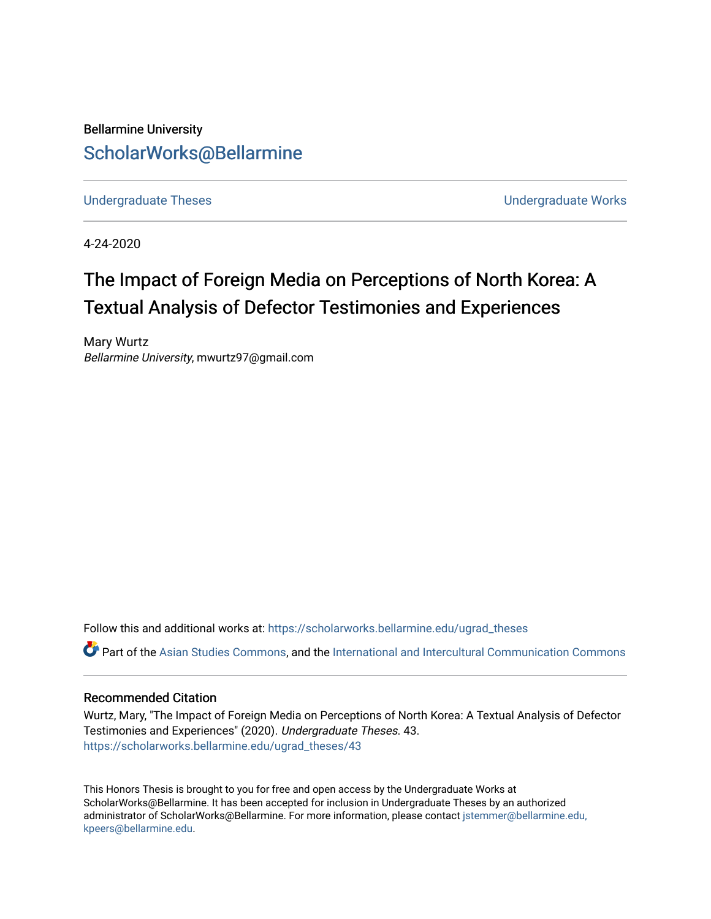Bellarmine University [ScholarWorks@Bellarmine](https://scholarworks.bellarmine.edu/) 

[Undergraduate Theses](https://scholarworks.bellarmine.edu/ugrad_theses) **Undergraduate Undergraduate Works** 

4-24-2020

# The Impact of Foreign Media on Perceptions of North Korea: A Textual Analysis of Defector Testimonies and Experiences

Mary Wurtz Bellarmine University, mwurtz97@gmail.com

Follow this and additional works at: [https://scholarworks.bellarmine.edu/ugrad\\_theses](https://scholarworks.bellarmine.edu/ugrad_theses?utm_source=scholarworks.bellarmine.edu%2Fugrad_theses%2F43&utm_medium=PDF&utm_campaign=PDFCoverPages) 

Part of the [Asian Studies Commons,](http://network.bepress.com/hgg/discipline/361?utm_source=scholarworks.bellarmine.edu%2Fugrad_theses%2F43&utm_medium=PDF&utm_campaign=PDFCoverPages) and the [International and Intercultural Communication Commons](http://network.bepress.com/hgg/discipline/331?utm_source=scholarworks.bellarmine.edu%2Fugrad_theses%2F43&utm_medium=PDF&utm_campaign=PDFCoverPages)

## Recommended Citation

Wurtz, Mary, "The Impact of Foreign Media on Perceptions of North Korea: A Textual Analysis of Defector Testimonies and Experiences" (2020). Undergraduate Theses. 43. [https://scholarworks.bellarmine.edu/ugrad\\_theses/43](https://scholarworks.bellarmine.edu/ugrad_theses/43?utm_source=scholarworks.bellarmine.edu%2Fugrad_theses%2F43&utm_medium=PDF&utm_campaign=PDFCoverPages) 

This Honors Thesis is brought to you for free and open access by the Undergraduate Works at ScholarWorks@Bellarmine. It has been accepted for inclusion in Undergraduate Theses by an authorized administrator of ScholarWorks@Bellarmine. For more information, please contact [jstemmer@bellarmine.edu,](mailto:jstemmer@bellarmine.edu,%20kpeers@bellarmine.edu)  [kpeers@bellarmine.edu](mailto:jstemmer@bellarmine.edu,%20kpeers@bellarmine.edu).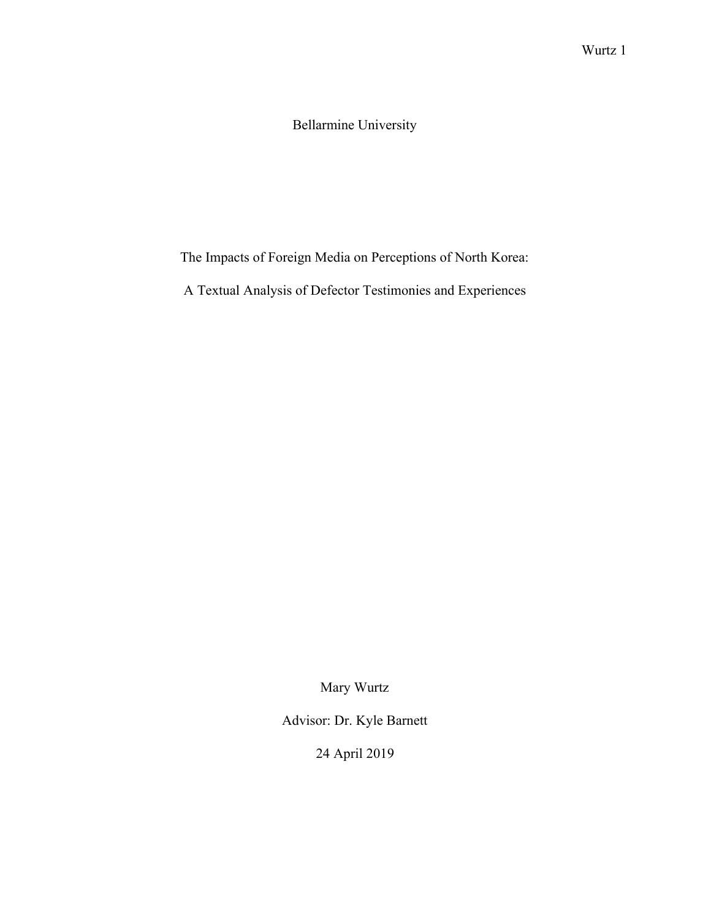# Bellarmine University

# The Impacts of Foreign Media on Perceptions of North Korea:

A Textual Analysis of Defector Testimonies and Experiences

Mary Wurtz

Advisor: Dr. Kyle Barnett

24 April 2019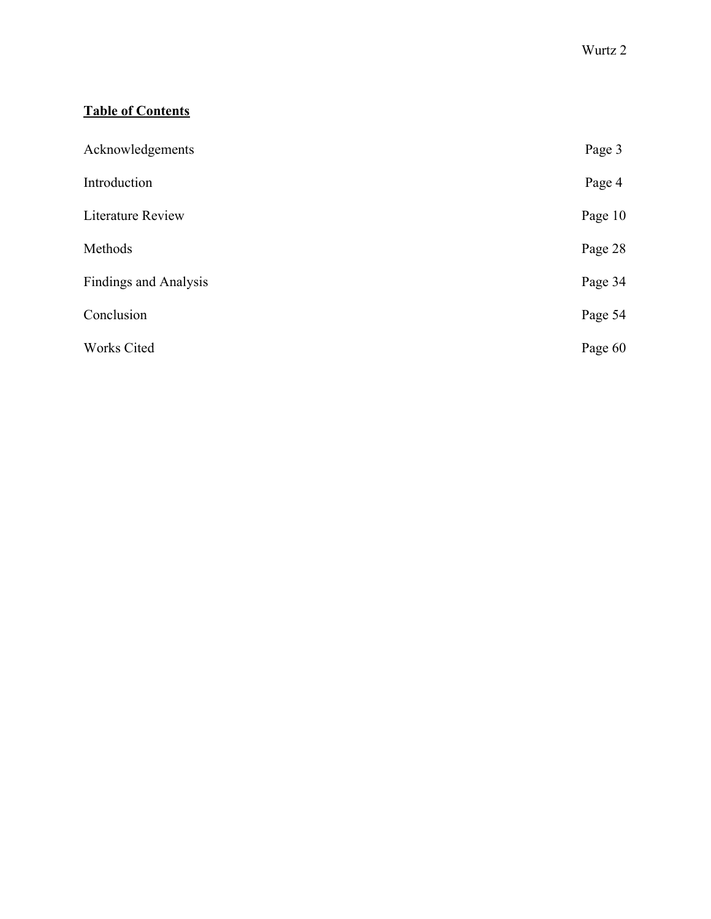# **Table of Contents**

| Acknowledgements             | Page 3  |
|------------------------------|---------|
| Introduction                 | Page 4  |
| <b>Literature Review</b>     | Page 10 |
| Methods                      | Page 28 |
| <b>Findings and Analysis</b> | Page 34 |
| Conclusion                   | Page 54 |
| <b>Works Cited</b>           | Page 60 |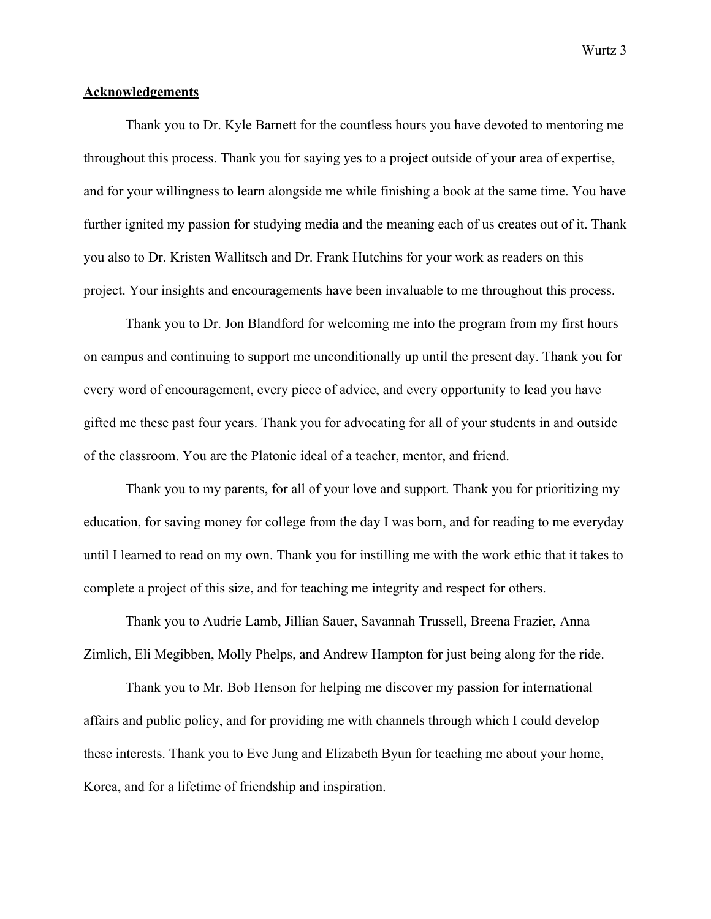## **Acknowledgements**

Thank you to Dr. Kyle Barnett for the countless hours you have devoted to mentoring me throughout this process. Thank you for saying yes to a project outside of your area of expertise, and for your willingness to learn alongside me while finishing a book at the same time. You have further ignited my passion for studying media and the meaning each of us creates out of it. Thank you also to Dr. Kristen Wallitsch and Dr. Frank Hutchins for your work as readers on this project. Your insights and encouragements have been invaluable to me throughout this process.

Thank you to Dr. Jon Blandford for welcoming me into the program from my first hours on campus and continuing to support me unconditionally up until the present day. Thank you for every word of encouragement, every piece of advice, and every opportunity to lead you have gifted me these past four years. Thank you for advocating for all of your students in and outside of the classroom. You are the Platonic ideal of a teacher, mentor, and friend.

Thank you to my parents, for all of your love and support. Thank you for prioritizing my education, for saving money for college from the day I was born, and for reading to me everyday until I learned to read on my own. Thank you for instilling me with the work ethic that it takes to complete a project of this size, and for teaching me integrity and respect for others.

Thank you to Audrie Lamb, Jillian Sauer, Savannah Trussell, Breena Frazier, Anna Zimlich, Eli Megibben, Molly Phelps, and Andrew Hampton for just being along for the ride.

Thank you to Mr. Bob Henson for helping me discover my passion for international affairs and public policy, and for providing me with channels through which I could develop these interests. Thank you to Eve Jung and Elizabeth Byun for teaching me about your home, Korea, and for a lifetime of friendship and inspiration.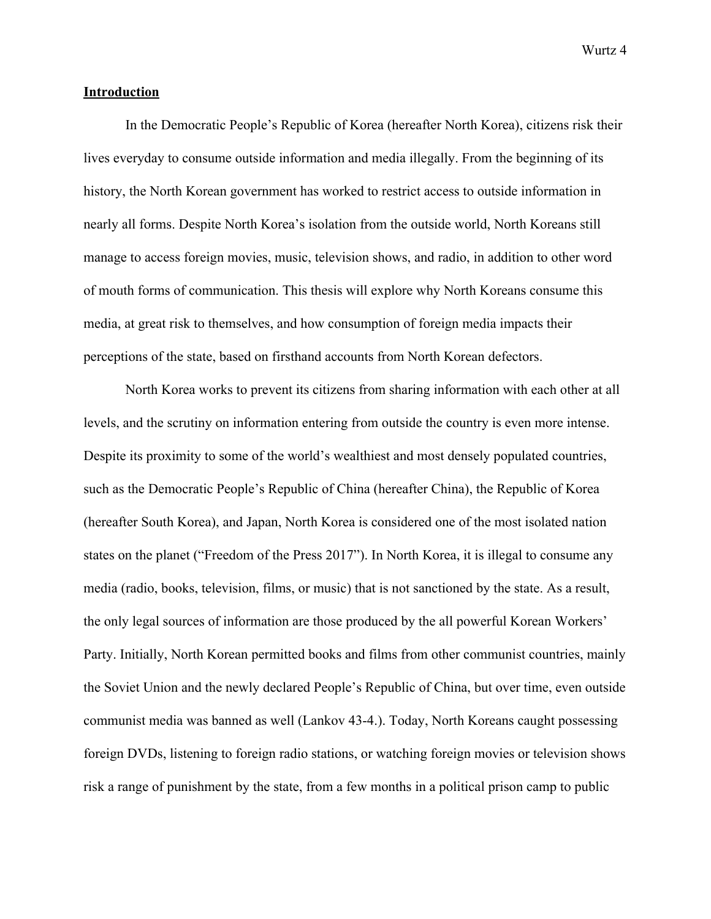#### **Introduction**

In the Democratic People's Republic of Korea (hereafter North Korea), citizens risk their lives everyday to consume outside information and media illegally. From the beginning of its history, the North Korean government has worked to restrict access to outside information in nearly all forms. Despite North Korea's isolation from the outside world, North Koreans still manage to access foreign movies, music, television shows, and radio, in addition to other word of mouth forms of communication. This thesis will explore why North Koreans consume this media, at great risk to themselves, and how consumption of foreign media impacts their perceptions of the state, based on firsthand accounts from North Korean defectors.

North Korea works to prevent its citizens from sharing information with each other at all levels, and the scrutiny on information entering from outside the country is even more intense. Despite its proximity to some of the world's wealthiest and most densely populated countries, such as the Democratic People's Republic of China (hereafter China), the Republic of Korea (hereafter South Korea), and Japan, North Korea is considered one of the most isolated nation states on the planet ("Freedom of the Press 2017"). In North Korea, it is illegal to consume any media (radio, books, television, films, or music) that is not sanctioned by the state. As a result, the only legal sources of information are those produced by the all powerful Korean Workers' Party. Initially, North Korean permitted books and films from other communist countries, mainly the Soviet Union and the newly declared People's Republic of China, but over time, even outside communist media was banned as well (Lankov 43-4.). Today, North Koreans caught possessing foreign DVDs, listening to foreign radio stations, or watching foreign movies or television shows risk a range of punishment by the state, from a few months in a political prison camp to public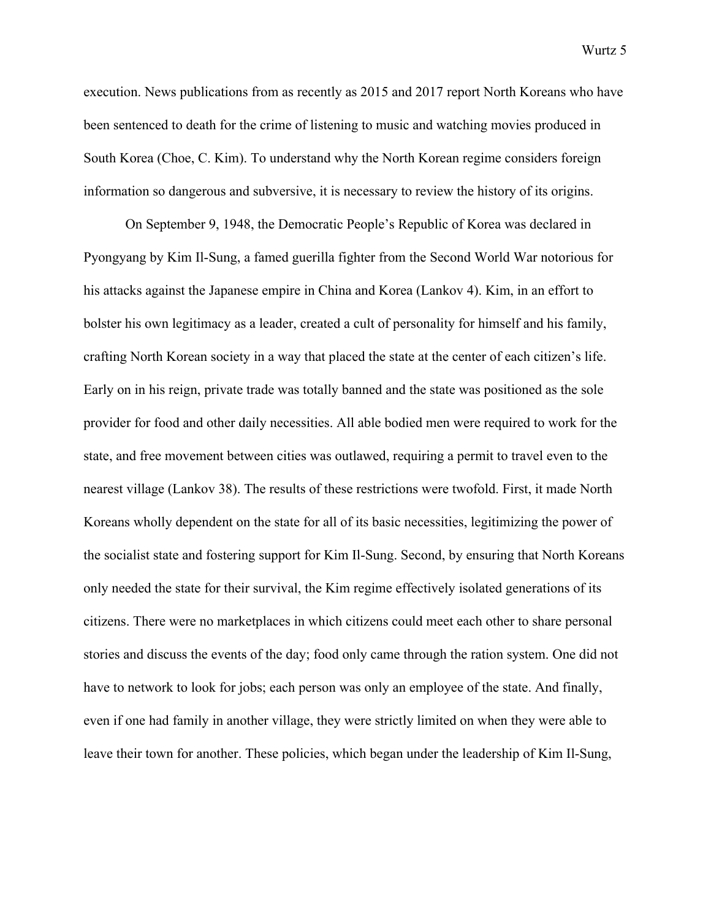execution. News publications from as recently as 2015 and 2017 report North Koreans who have been sentenced to death for the crime of listening to music and watching movies produced in South Korea (Choe, C. Kim). To understand why the North Korean regime considers foreign information so dangerous and subversive, it is necessary to review the history of its origins.

On September 9, 1948, the Democratic People's Republic of Korea was declared in Pyongyang by Kim Il-Sung, a famed guerilla fighter from the Second World War notorious for his attacks against the Japanese empire in China and Korea (Lankov 4). Kim, in an effort to bolster his own legitimacy as a leader, created a cult of personality for himself and his family, crafting North Korean society in a way that placed the state at the center of each citizen's life. Early on in his reign, private trade was totally banned and the state was positioned as the sole provider for food and other daily necessities. All able bodied men were required to work for the state, and free movement between cities was outlawed, requiring a permit to travel even to the nearest village (Lankov 38). The results of these restrictions were twofold. First, it made North Koreans wholly dependent on the state for all of its basic necessities, legitimizing the power of the socialist state and fostering support for Kim Il-Sung. Second, by ensuring that North Koreans only needed the state for their survival, the Kim regime effectively isolated generations of its citizens. There were no marketplaces in which citizens could meet each other to share personal stories and discuss the events of the day; food only came through the ration system. One did not have to network to look for jobs; each person was only an employee of the state. And finally, even if one had family in another village, they were strictly limited on when they were able to leave their town for another. These policies, which began under the leadership of Kim Il-Sung,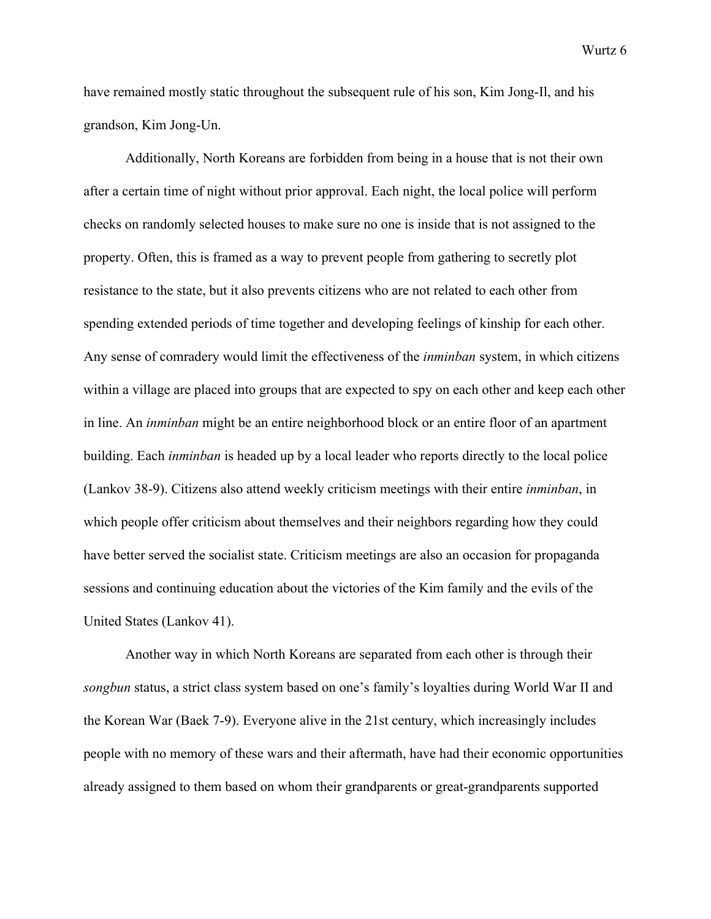have remained mostly static throughout the subsequent rule of his son, Kim Jong-Il, and his grandson, Kim Jong-Un.

Additionally, North Koreans are forbidden from being in a house that is not their own after a certain time of night without prior approval. Each night, the local police will perform checks on randomly selected houses to make sure no one is inside that is not assigned to the property. Often, this is framed as a way to prevent people from gathering to secretly plot resistance to the state, but it also prevents citizens who are not related to each other from spending extended periods of time together and developing feelings of kinship for each other. Any sense of comradery would limit the effectiveness of the *inminban* system, in which citizens within a village are placed into groups that are expected to spy on each other and keep each other in line. An *inminban* might be an entire neighborhood block or an entire floor of an apartment building. Each *inminban* is headed up by a local leader who reports directly to the local police (Lankov 38-9). Citizens also attend weekly criticism meetings with their entire *inminban*, in which people offer criticism about themselves and their neighbors regarding how they could have better served the socialist state. Criticism meetings are also an occasion for propaganda sessions and continuing education about the victories of the Kim family and the evils of the United States (Lankov 41).

Another way in which North Koreans are separated from each other is through their *songbun* status, a strict class system based on one's family's loyalties during World War II and the Korean War (Baek 7-9). Everyone alive in the 21st century, which increasingly includes people with no memory of these wars and their aftermath, have had their economic opportunities already assigned to them based on whom their grandparents or great-grandparents supported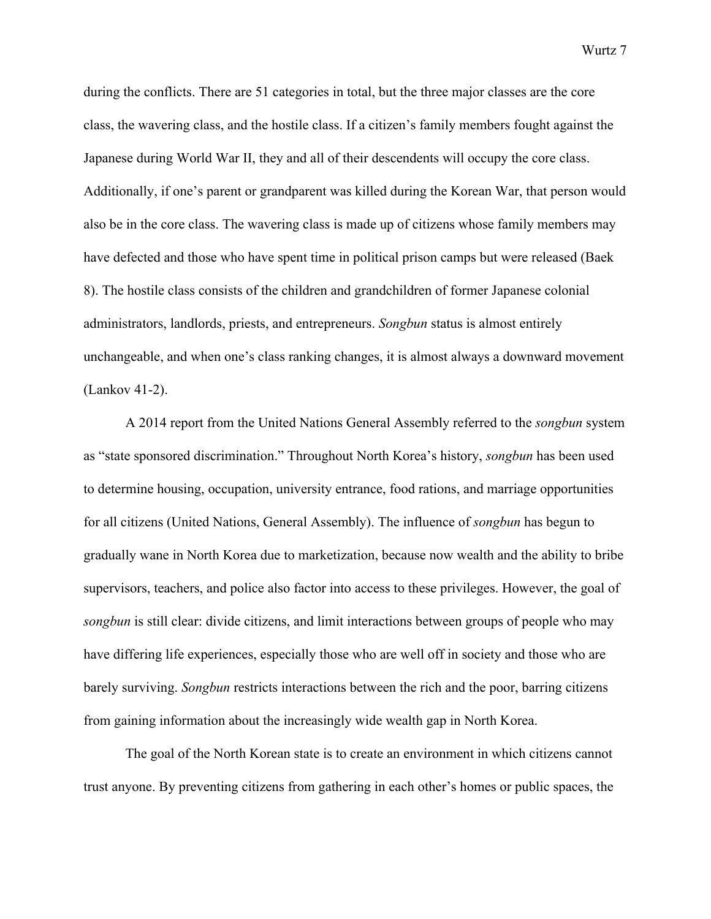during the conflicts. There are 51 categories in total, but the three major classes are the core class, the wavering class, and the hostile class. If a citizen's family members fought against the Japanese during World War II, they and all of their descendents will occupy the core class. Additionally, if one's parent or grandparent was killed during the Korean War, that person would also be in the core class. The wavering class is made up of citizens whose family members may

have defected and those who have spent time in political prison camps but were released (Baek 8). The hostile class consists of the children and grandchildren of former Japanese colonial administrators, landlords, priests, and entrepreneurs. *Songbun* status is almost entirely unchangeable, and when one's class ranking changes, it is almost always a downward movement (Lankov 41-2).

A 2014 report from the United Nations General Assembly referred to the *songbun* system as "state sponsored discrimination." Throughout North Korea's history, *songbun* has been used to determine housing, occupation, university entrance, food rations, and marriage opportunities for all citizens (United Nations, General Assembly). The influence of *songbun* has begun to gradually wane in North Korea due to marketization, because now wealth and the ability to bribe supervisors, teachers, and police also factor into access to these privileges. However, the goal of *songbun* is still clear: divide citizens, and limit interactions between groups of people who may have differing life experiences, especially those who are well off in society and those who are barely surviving. *Songbun* restricts interactions between the rich and the poor, barring citizens from gaining information about the increasingly wide wealth gap in North Korea.

The goal of the North Korean state is to create an environment in which citizens cannot trust anyone. By preventing citizens from gathering in each other's homes or public spaces, the

Wurtz 7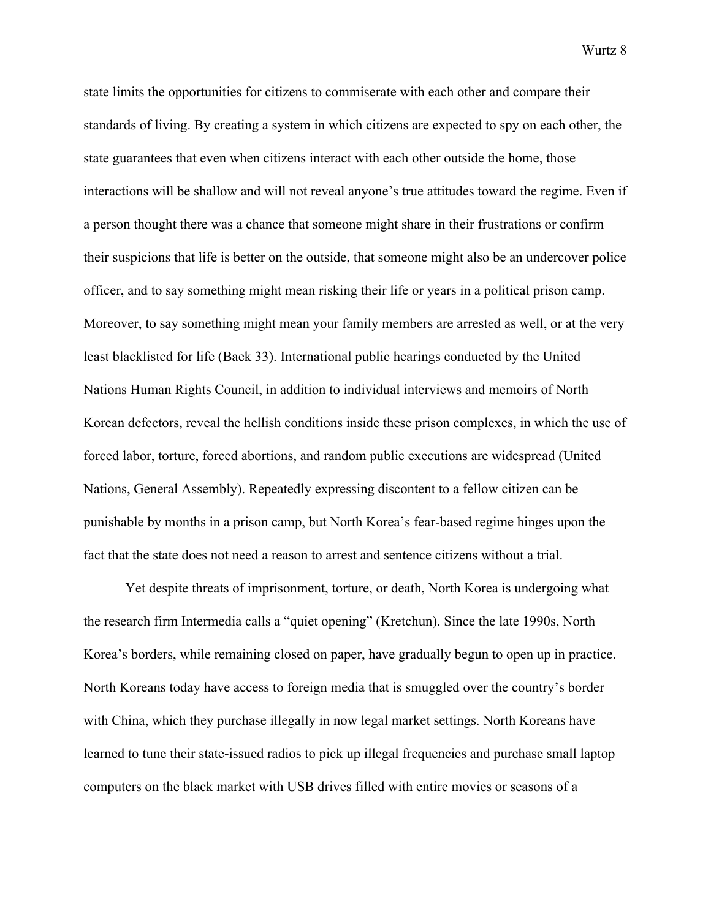state limits the opportunities for citizens to commiserate with each other and compare their standards of living. By creating a system in which citizens are expected to spy on each other, the state guarantees that even when citizens interact with each other outside the home, those interactions will be shallow and will not reveal anyone's true attitudes toward the regime. Even if a person thought there was a chance that someone might share in their frustrations or confirm their suspicions that life is better on the outside, that someone might also be an undercover police officer, and to say something might mean risking their life or years in a political prison camp. Moreover, to say something might mean your family members are arrested as well, or at the very least blacklisted for life (Baek 33). International public hearings conducted by the United Nations Human Rights Council, in addition to individual interviews and memoirs of North Korean defectors, reveal the hellish conditions inside these prison complexes, in which the use of forced labor, torture, forced abortions, and random public executions are widespread (United Nations, General Assembly). Repeatedly expressing discontent to a fellow citizen can be punishable by months in a prison camp, but North Korea's fear-based regime hinges upon the fact that the state does not need a reason to arrest and sentence citizens without a trial.

Yet despite threats of imprisonment, torture, or death, North Korea is undergoing what the research firm Intermedia calls a "quiet opening" (Kretchun). Since the late 1990s, North Korea's borders, while remaining closed on paper, have gradually begun to open up in practice. North Koreans today have access to foreign media that is smuggled over the country's border with China, which they purchase illegally in now legal market settings. North Koreans have learned to tune their state-issued radios to pick up illegal frequencies and purchase small laptop computers on the black market with USB drives filled with entire movies or seasons of a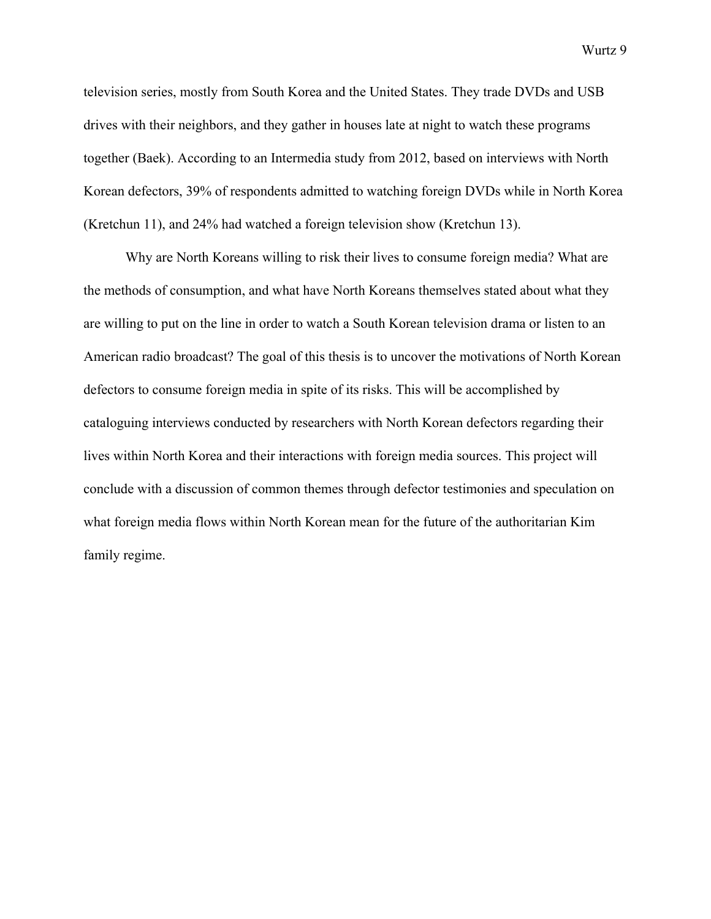television series, mostly from South Korea and the United States. They trade DVDs and USB drives with their neighbors, and they gather in houses late at night to watch these programs together (Baek). According to an Intermedia study from 2012, based on interviews with North Korean defectors, 39% of respondents admitted to watching foreign DVDs while in North Korea (Kretchun 11), and 24% had watched a foreign television show (Kretchun 13).

Why are North Koreans willing to risk their lives to consume foreign media? What are the methods of consumption, and what have North Koreans themselves stated about what they are willing to put on the line in order to watch a South Korean television drama or listen to an American radio broadcast? The goal of this thesis is to uncover the motivations of North Korean defectors to consume foreign media in spite of its risks. This will be accomplished by cataloguing interviews conducted by researchers with North Korean defectors regarding their lives within North Korea and their interactions with foreign media sources. This project will conclude with a discussion of common themes through defector testimonies and speculation on what foreign media flows within North Korean mean for the future of the authoritarian Kim family regime.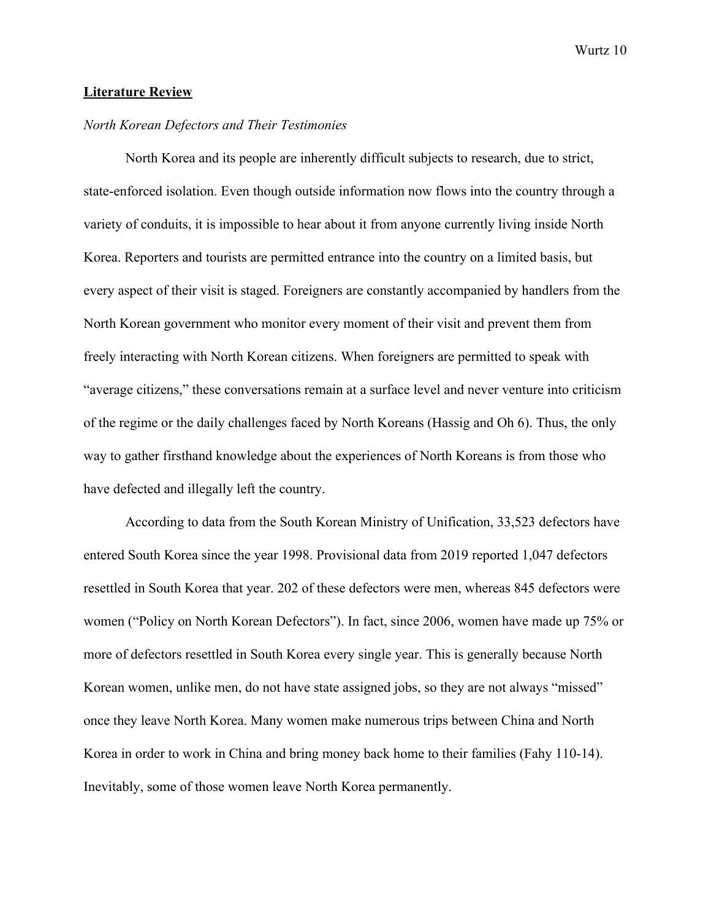#### **Literature Review**

## *North Korean Defectors and Their Testimonies*

North Korea and its people are inherently difficult subjects to research, due to strict, state-enforced isolation. Even though outside information now flows into the country through a variety of conduits, it is impossible to hear about it from anyone currently living inside North Korea. Reporters and tourists are permitted entrance into the country on a limited basis, but every aspect of their visit is staged. Foreigners are constantly accompanied by handlers from the North Korean government who monitor every moment of their visit and prevent them from freely interacting with North Korean citizens. When foreigners are permitted to speak with "average citizens," these conversations remain at a surface level and never venture into criticism of the regime or the daily challenges faced by North Koreans (Hassig and Oh 6). Thus, the only way to gather firsthand knowledge about the experiences of North Koreans is from those who have defected and illegally left the country.

According to data from the South Korean Ministry of Unification, 33,523 defectors have entered South Korea since the year 1998. Provisional data from 2019 reported 1,047 defectors resettled in South Korea that year. 202 of these defectors were men, whereas 845 defectors were women ("Policy on North Korean Defectors"). In fact, since 2006, women have made up 75% or more of defectors resettled in South Korea every single year. This is generally because North Korean women, unlike men, do not have state assigned jobs, so they are not always "missed" once they leave North Korea. Many women make numerous trips between China and North Korea in order to work in China and bring money back home to their families (Fahy 110-14). Inevitably, some of those women leave North Korea permanently.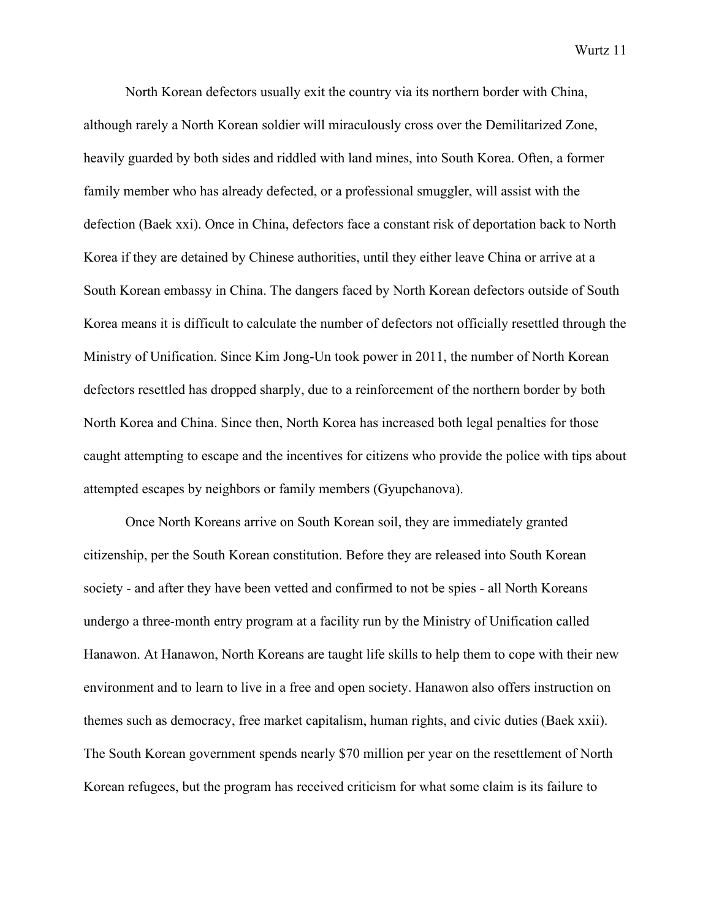North Korean defectors usually exit the country via its northern border with China, although rarely a North Korean soldier will miraculously cross over the Demilitarized Zone, heavily guarded by both sides and riddled with land mines, into South Korea. Often, a former family member who has already defected, or a professional smuggler, will assist with the defection (Baek xxi). Once in China, defectors face a constant risk of deportation back to North Korea if they are detained by Chinese authorities, until they either leave China or arrive at a South Korean embassy in China. The dangers faced by North Korean defectors outside of South Korea means it is difficult to calculate the number of defectors not officially resettled through the Ministry of Unification. Since Kim Jong-Un took power in 2011, the number of North Korean defectors resettled has dropped sharply, due to a reinforcement of the northern border by both North Korea and China. Since then, North Korea has increased both legal penalties for those caught attempting to escape and the incentives for citizens who provide the police with tips about attempted escapes by neighbors or family members (Gyupchanova).

Once North Koreans arrive on South Korean soil, they are immediately granted citizenship, per the South Korean constitution. Before they are released into South Korean society - and after they have been vetted and confirmed to not be spies - all North Koreans undergo a three-month entry program at a facility run by the Ministry of Unification called Hanawon. At Hanawon, North Koreans are taught life skills to help them to cope with their new environment and to learn to live in a free and open society. Hanawon also offers instruction on themes such as democracy, free market capitalism, human rights, and civic duties (Baek xxii). The South Korean government spends nearly \$70 million per year on the resettlement of North Korean refugees, but the program has received criticism for what some claim is its failure to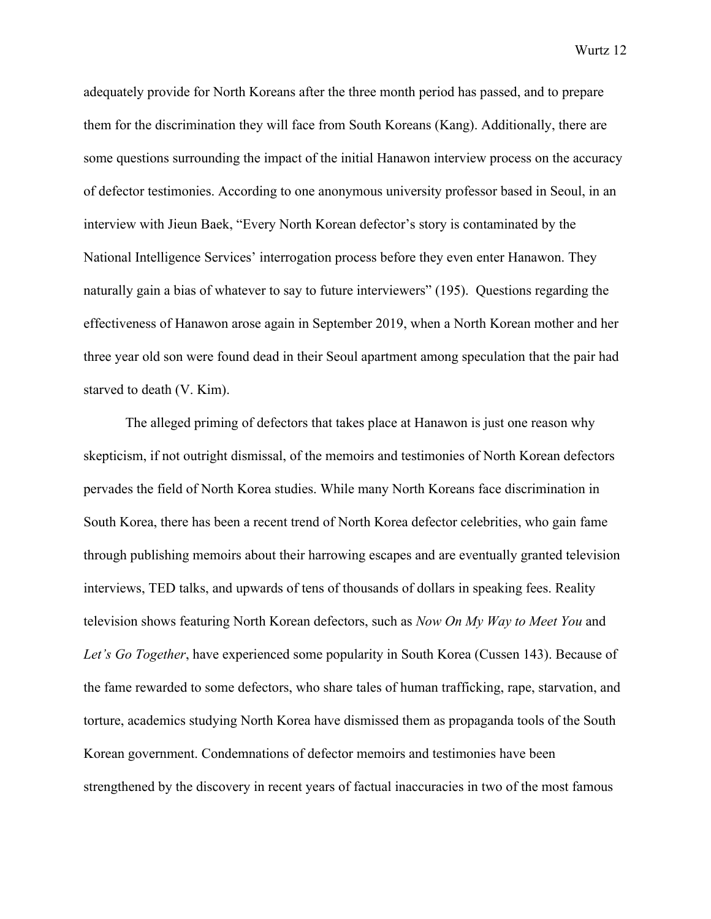adequately provide for North Koreans after the three month period has passed, and to prepare them for the discrimination they will face from South Koreans (Kang). Additionally, there are some questions surrounding the impact of the initial Hanawon interview process on the accuracy of defector testimonies. According to one anonymous university professor based in Seoul, in an interview with Jieun Baek, "Every North Korean defector's story is contaminated by the National Intelligence Services' interrogation process before they even enter Hanawon. They naturally gain a bias of whatever to say to future interviewers" (195). Questions regarding the effectiveness of Hanawon arose again in September 2019, when a North Korean mother and her three year old son were found dead in their Seoul apartment among speculation that the pair had starved to death (V. Kim).

The alleged priming of defectors that takes place at Hanawon is just one reason why skepticism, if not outright dismissal, of the memoirs and testimonies of North Korean defectors pervades the field of North Korea studies. While many North Koreans face discrimination in South Korea, there has been a recent trend of North Korea defector celebrities, who gain fame through publishing memoirs about their harrowing escapes and are eventually granted television interviews, TED talks, and upwards of tens of thousands of dollars in speaking fees. Reality television shows featuring North Korean defectors, such as *Now On My Way to Meet You* and *Let's Go Together*, have experienced some popularity in South Korea (Cussen 143). Because of the fame rewarded to some defectors, who share tales of human trafficking, rape, starvation, and torture, academics studying North Korea have dismissed them as propaganda tools of the South Korean government. Condemnations of defector memoirs and testimonies have been strengthened by the discovery in recent years of factual inaccuracies in two of the most famous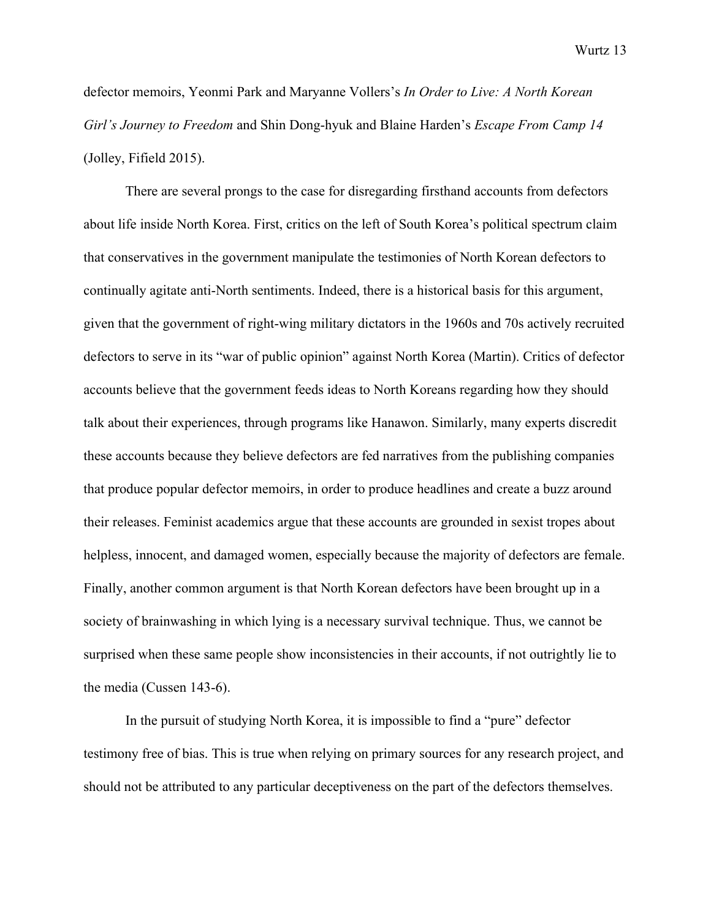defector memoirs, Yeonmi Park and Maryanne Vollers's *In Order to Live: A North Korean Girl's Journey to Freedom* and Shin Dong-hyuk and Blaine Harden's *Escape From Camp 14* (Jolley, Fifield 2015).

There are several prongs to the case for disregarding firsthand accounts from defectors about life inside North Korea. First, critics on the left of South Korea's political spectrum claim that conservatives in the government manipulate the testimonies of North Korean defectors to continually agitate anti-North sentiments. Indeed, there is a historical basis for this argument, given that the government of right-wing military dictators in the 1960s and 70s actively recruited defectors to serve in its "war of public opinion" against North Korea (Martin). Critics of defector accounts believe that the government feeds ideas to North Koreans regarding how they should talk about their experiences, through programs like Hanawon. Similarly, many experts discredit these accounts because they believe defectors are fed narratives from the publishing companies that produce popular defector memoirs, in order to produce headlines and create a buzz around their releases. Feminist academics argue that these accounts are grounded in sexist tropes about helpless, innocent, and damaged women, especially because the majority of defectors are female. Finally, another common argument is that North Korean defectors have been brought up in a society of brainwashing in which lying is a necessary survival technique. Thus, we cannot be surprised when these same people show inconsistencies in their accounts, if not outrightly lie to the media (Cussen 143-6).

In the pursuit of studying North Korea, it is impossible to find a "pure" defector testimony free of bias. This is true when relying on primary sources for any research project, and should not be attributed to any particular deceptiveness on the part of the defectors themselves.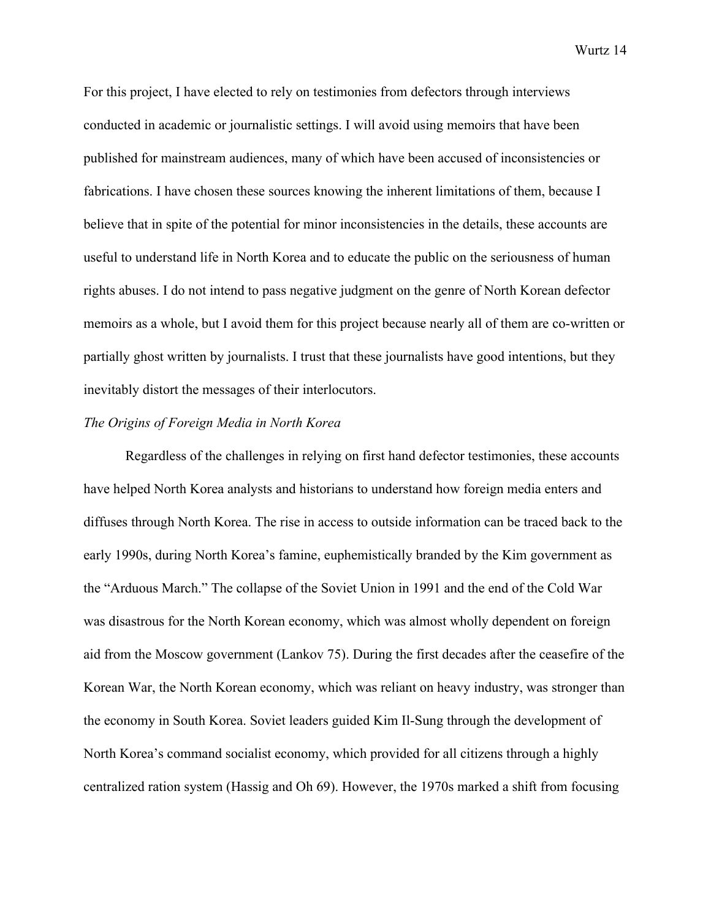For this project, I have elected to rely on testimonies from defectors through interviews conducted in academic or journalistic settings. I will avoid using memoirs that have been published for mainstream audiences, many of which have been accused of inconsistencies or fabrications. I have chosen these sources knowing the inherent limitations of them, because I believe that in spite of the potential for minor inconsistencies in the details, these accounts are useful to understand life in North Korea and to educate the public on the seriousness of human rights abuses. I do not intend to pass negative judgment on the genre of North Korean defector memoirs as a whole, but I avoid them for this project because nearly all of them are co-written or partially ghost written by journalists. I trust that these journalists have good intentions, but they inevitably distort the messages of their interlocutors.

## *The Origins of Foreign Media in North Korea*

Regardless of the challenges in relying on first hand defector testimonies, these accounts have helped North Korea analysts and historians to understand how foreign media enters and diffuses through North Korea. The rise in access to outside information can be traced back to the early 1990s, during North Korea's famine, euphemistically branded by the Kim government as the "Arduous March." The collapse of the Soviet Union in 1991 and the end of the Cold War was disastrous for the North Korean economy, which was almost wholly dependent on foreign aid from the Moscow government (Lankov 75). During the first decades after the ceasefire of the Korean War, the North Korean economy, which was reliant on heavy industry, was stronger than the economy in South Korea. Soviet leaders guided Kim Il-Sung through the development of North Korea's command socialist economy, which provided for all citizens through a highly centralized ration system (Hassig and Oh 69). However, the 1970s marked a shift from focusing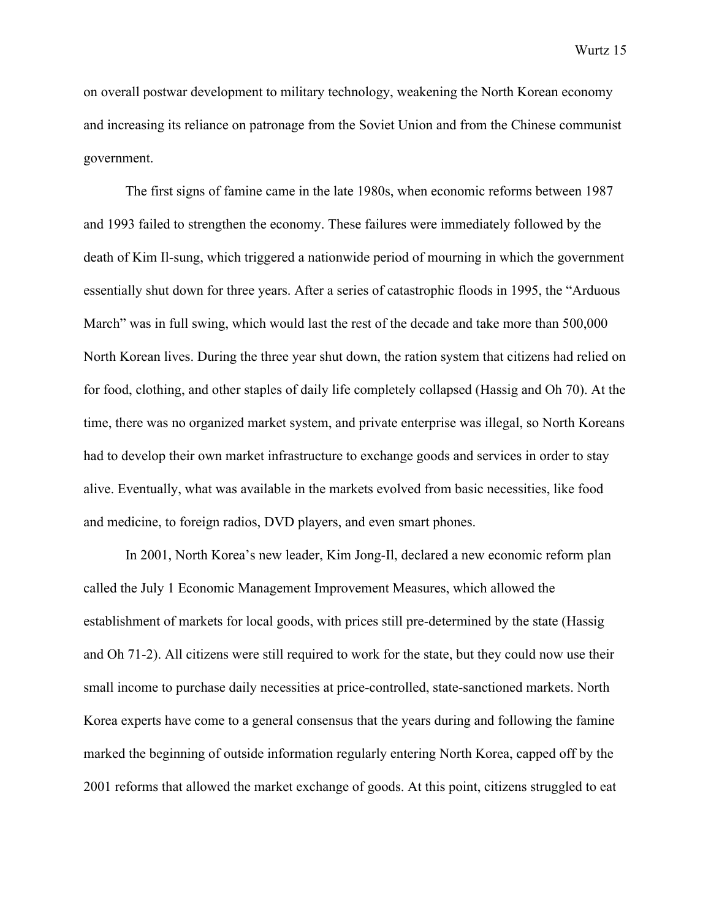on overall postwar development to military technology, weakening the North Korean economy and increasing its reliance on patronage from the Soviet Union and from the Chinese communist government.

The first signs of famine came in the late 1980s, when economic reforms between 1987 and 1993 failed to strengthen the economy. These failures were immediately followed by the death of Kim Il-sung, which triggered a nationwide period of mourning in which the government essentially shut down for three years. After a series of catastrophic floods in 1995, the "Arduous March" was in full swing, which would last the rest of the decade and take more than 500,000 North Korean lives. During the three year shut down, the ration system that citizens had relied on for food, clothing, and other staples of daily life completely collapsed (Hassig and Oh 70). At the time, there was no organized market system, and private enterprise was illegal, so North Koreans had to develop their own market infrastructure to exchange goods and services in order to stay alive. Eventually, what was available in the markets evolved from basic necessities, like food and medicine, to foreign radios, DVD players, and even smart phones.

In 2001, North Korea's new leader, Kim Jong-Il, declared a new economic reform plan called the July 1 Economic Management Improvement Measures, which allowed the establishment of markets for local goods, with prices still pre-determined by the state (Hassig and Oh 71-2). All citizens were still required to work for the state, but they could now use their small income to purchase daily necessities at price-controlled, state-sanctioned markets. North Korea experts have come to a general consensus that the years during and following the famine marked the beginning of outside information regularly entering North Korea, capped off by the 2001 reforms that allowed the market exchange of goods. At this point, citizens struggled to eat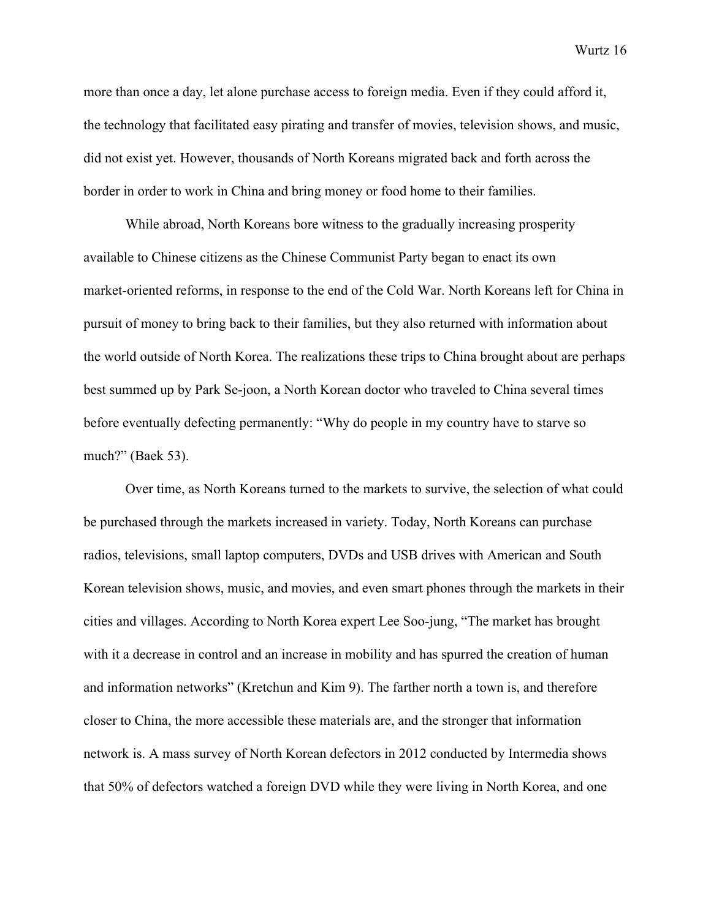more than once a day, let alone purchase access to foreign media. Even if they could afford it, the technology that facilitated easy pirating and transfer of movies, television shows, and music, did not exist yet. However, thousands of North Koreans migrated back and forth across the border in order to work in China and bring money or food home to their families.

While abroad, North Koreans bore witness to the gradually increasing prosperity available to Chinese citizens as the Chinese Communist Party began to enact its own market-oriented reforms, in response to the end of the Cold War. North Koreans left for China in pursuit of money to bring back to their families, but they also returned with information about the world outside of North Korea. The realizations these trips to China brought about are perhaps best summed up by Park Se-joon, a North Korean doctor who traveled to China several times before eventually defecting permanently: "Why do people in my country have to starve so much?" (Baek 53).

Over time, as North Koreans turned to the markets to survive, the selection of what could be purchased through the markets increased in variety. Today, North Koreans can purchase radios, televisions, small laptop computers, DVDs and USB drives with American and South Korean television shows, music, and movies, and even smart phones through the markets in their cities and villages. According to North Korea expert Lee Soo-jung, "The market has brought with it a decrease in control and an increase in mobility and has spurred the creation of human and information networks" (Kretchun and Kim 9). The farther north a town is, and therefore closer to China, the more accessible these materials are, and the stronger that information network is. A mass survey of North Korean defectors in 2012 conducted by Intermedia shows that 50% of defectors watched a foreign DVD while they were living in North Korea, and one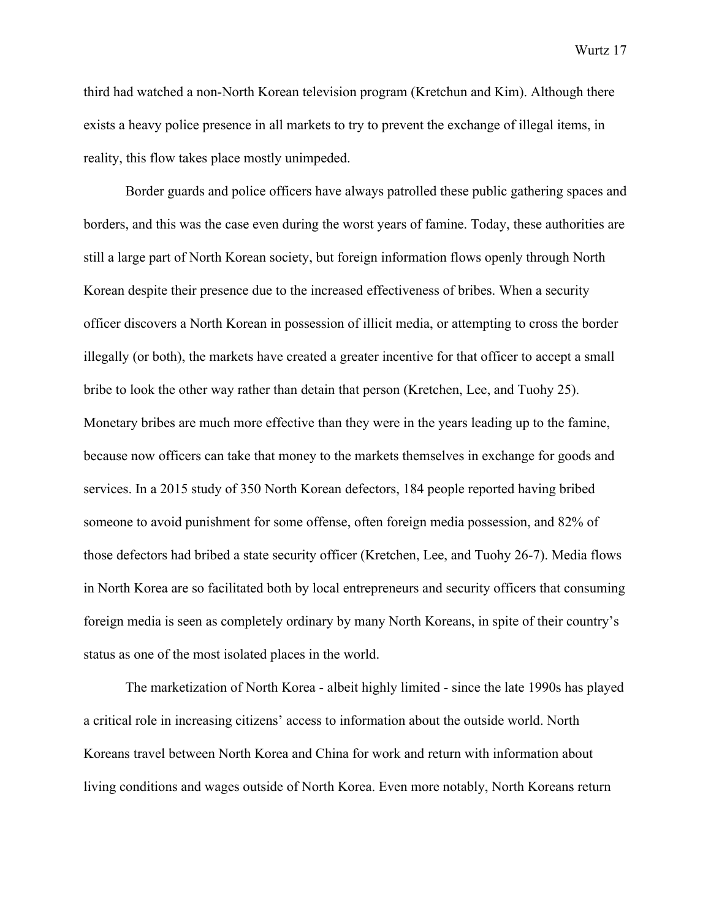third had watched a non-North Korean television program (Kretchun and Kim). Although there exists a heavy police presence in all markets to try to prevent the exchange of illegal items, in reality, this flow takes place mostly unimpeded.

Border guards and police officers have always patrolled these public gathering spaces and borders, and this was the case even during the worst years of famine. Today, these authorities are still a large part of North Korean society, but foreign information flows openly through North Korean despite their presence due to the increased effectiveness of bribes. When a security officer discovers a North Korean in possession of illicit media, or attempting to cross the border illegally (or both), the markets have created a greater incentive for that officer to accept a small bribe to look the other way rather than detain that person (Kretchen, Lee, and Tuohy 25). Monetary bribes are much more effective than they were in the years leading up to the famine, because now officers can take that money to the markets themselves in exchange for goods and services. In a 2015 study of 350 North Korean defectors, 184 people reported having bribed someone to avoid punishment for some offense, often foreign media possession, and 82% of those defectors had bribed a state security officer (Kretchen, Lee, and Tuohy 26-7). Media flows in North Korea are so facilitated both by local entrepreneurs and security officers that consuming foreign media is seen as completely ordinary by many North Koreans, in spite of their country's status as one of the most isolated places in the world.

The marketization of North Korea - albeit highly limited - since the late 1990s has played a critical role in increasing citizens' access to information about the outside world. North Koreans travel between North Korea and China for work and return with information about living conditions and wages outside of North Korea. Even more notably, North Koreans return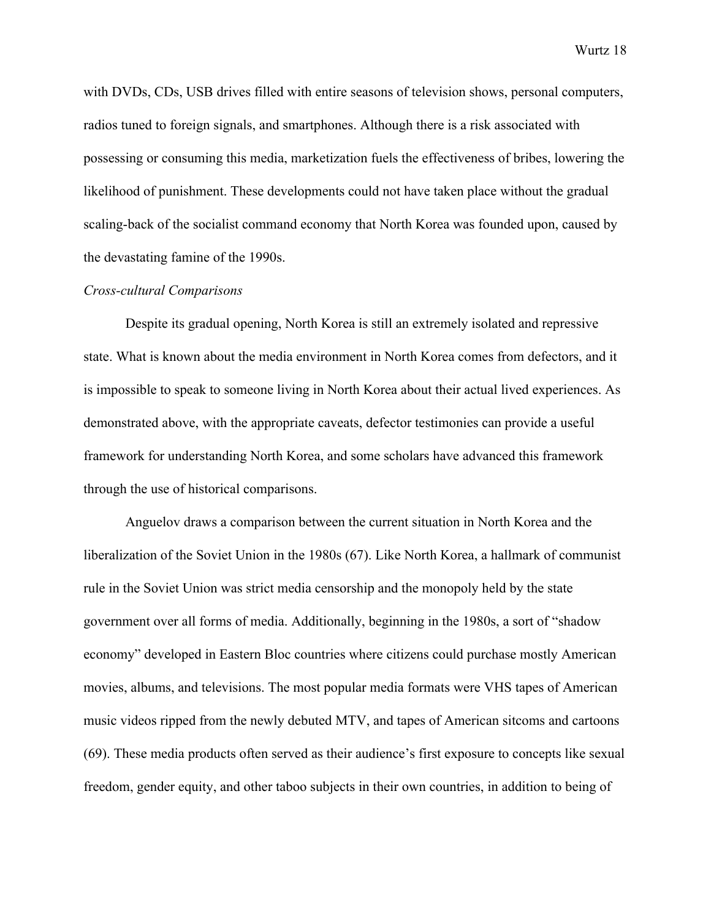with DVDs, CDs, USB drives filled with entire seasons of television shows, personal computers, radios tuned to foreign signals, and smartphones. Although there is a risk associated with possessing or consuming this media, marketization fuels the effectiveness of bribes, lowering the likelihood of punishment. These developments could not have taken place without the gradual scaling-back of the socialist command economy that North Korea was founded upon, caused by the devastating famine of the 1990s.

#### *Cross-cultural Comparisons*

Despite its gradual opening, North Korea is still an extremely isolated and repressive state. What is known about the media environment in North Korea comes from defectors, and it is impossible to speak to someone living in North Korea about their actual lived experiences. As demonstrated above, with the appropriate caveats, defector testimonies can provide a useful framework for understanding North Korea, and some scholars have advanced this framework through the use of historical comparisons.

Anguelov draws a comparison between the current situation in North Korea and the liberalization of the Soviet Union in the 1980s (67). Like North Korea, a hallmark of communist rule in the Soviet Union was strict media censorship and the monopoly held by the state government over all forms of media. Additionally, beginning in the 1980s, a sort of "shadow economy" developed in Eastern Bloc countries where citizens could purchase mostly American movies, albums, and televisions. The most popular media formats were VHS tapes of American music videos ripped from the newly debuted MTV, and tapes of American sitcoms and cartoons (69). These media products often served as their audience's first exposure to concepts like sexual freedom, gender equity, and other taboo subjects in their own countries, in addition to being of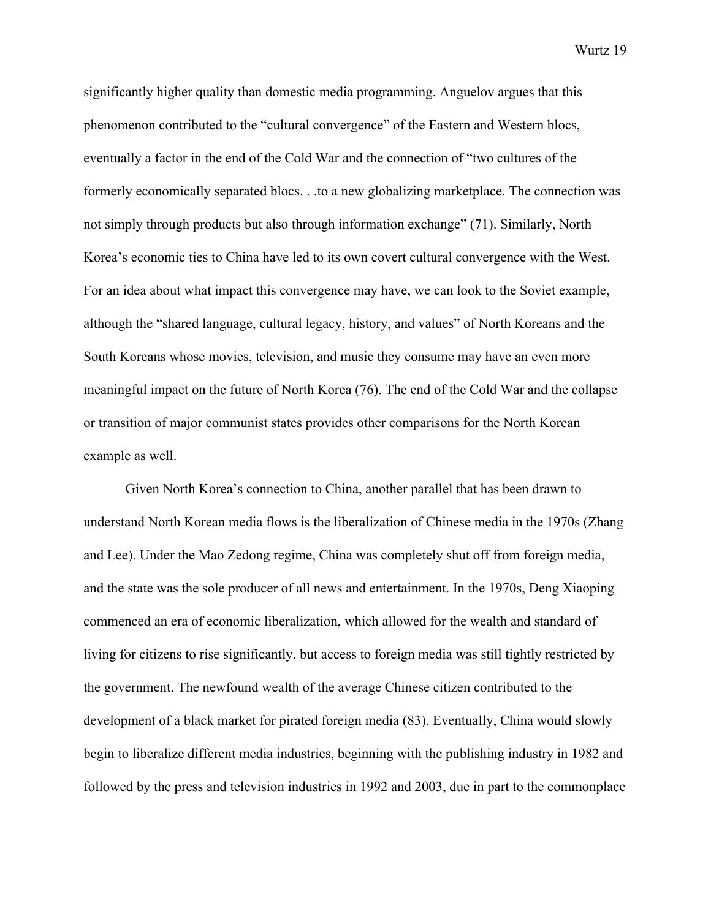significantly higher quality than domestic media programming. Anguelov argues that this phenomenon contributed to the "cultural convergence" of the Eastern and Western blocs, eventually a factor in the end of the Cold War and the connection of "two cultures of the formerly economically separated blocs. . .to a new globalizing marketplace. The connection was not simply through products but also through information exchange" (71). Similarly, North Korea's economic ties to China have led to its own covert cultural convergence with the West. For an idea about what impact this convergence may have, we can look to the Soviet example, although the "shared language, cultural legacy, history, and values" of North Koreans and the South Koreans whose movies, television, and music they consume may have an even more meaningful impact on the future of North Korea (76). The end of the Cold War and the collapse or transition of major communist states provides other comparisons for the North Korean example as well.

Given North Korea's connection to China, another parallel that has been drawn to understand North Korean media flows is the liberalization of Chinese media in the 1970s (Zhang and Lee). Under the Mao Zedong regime, China was completely shut off from foreign media, and the state was the sole producer of all news and entertainment. In the 1970s, Deng Xiaoping commenced an era of economic liberalization, which allowed for the wealth and standard of living for citizens to rise significantly, but access to foreign media was still tightly restricted by the government. The newfound wealth of the average Chinese citizen contributed to the development of a black market for pirated foreign media (83). Eventually, China would slowly begin to liberalize different media industries, beginning with the publishing industry in 1982 and followed by the press and television industries in 1992 and 2003, due in part to the commonplace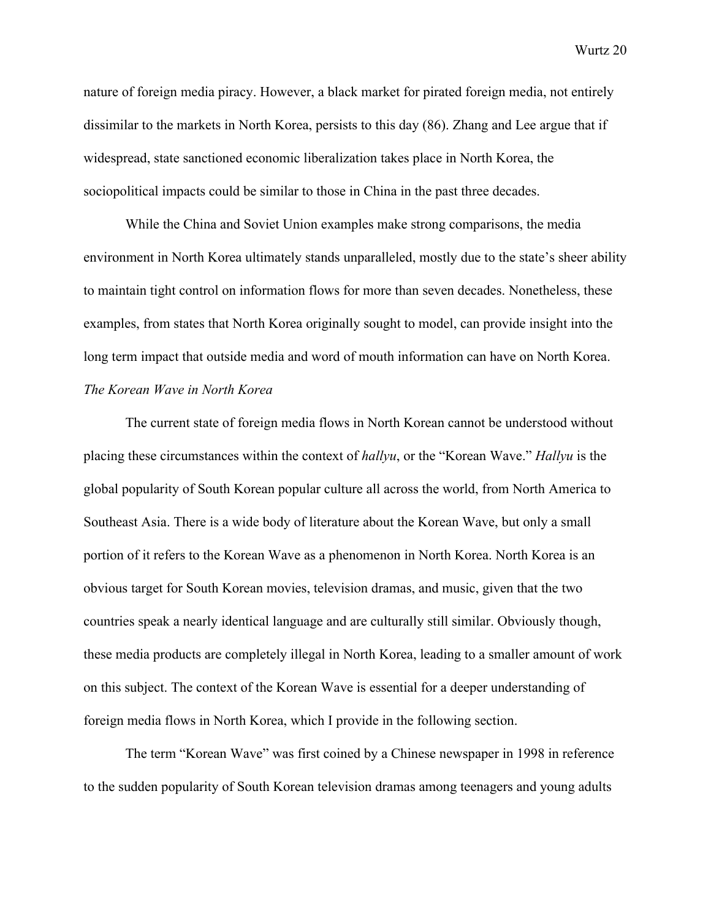nature of foreign media piracy. However, a black market for pirated foreign media, not entirely dissimilar to the markets in North Korea, persists to this day (86). Zhang and Lee argue that if widespread, state sanctioned economic liberalization takes place in North Korea, the sociopolitical impacts could be similar to those in China in the past three decades.

While the China and Soviet Union examples make strong comparisons, the media environment in North Korea ultimately stands unparalleled, mostly due to the state's sheer ability to maintain tight control on information flows for more than seven decades. Nonetheless, these examples, from states that North Korea originally sought to model, can provide insight into the long term impact that outside media and word of mouth information can have on North Korea. *The Korean Wave in North Korea*

The current state of foreign media flows in North Korean cannot be understood without placing these circumstances within the context of *hallyu*, or the "Korean Wave." *Hallyu* is the global popularity of South Korean popular culture all across the world, from North America to Southeast Asia. There is a wide body of literature about the Korean Wave, but only a small portion of it refers to the Korean Wave as a phenomenon in North Korea. North Korea is an obvious target for South Korean movies, television dramas, and music, given that the two countries speak a nearly identical language and are culturally still similar. Obviously though, these media products are completely illegal in North Korea, leading to a smaller amount of work on this subject. The context of the Korean Wave is essential for a deeper understanding of foreign media flows in North Korea, which I provide in the following section.

The term "Korean Wave" was first coined by a Chinese newspaper in 1998 in reference to the sudden popularity of South Korean television dramas among teenagers and young adults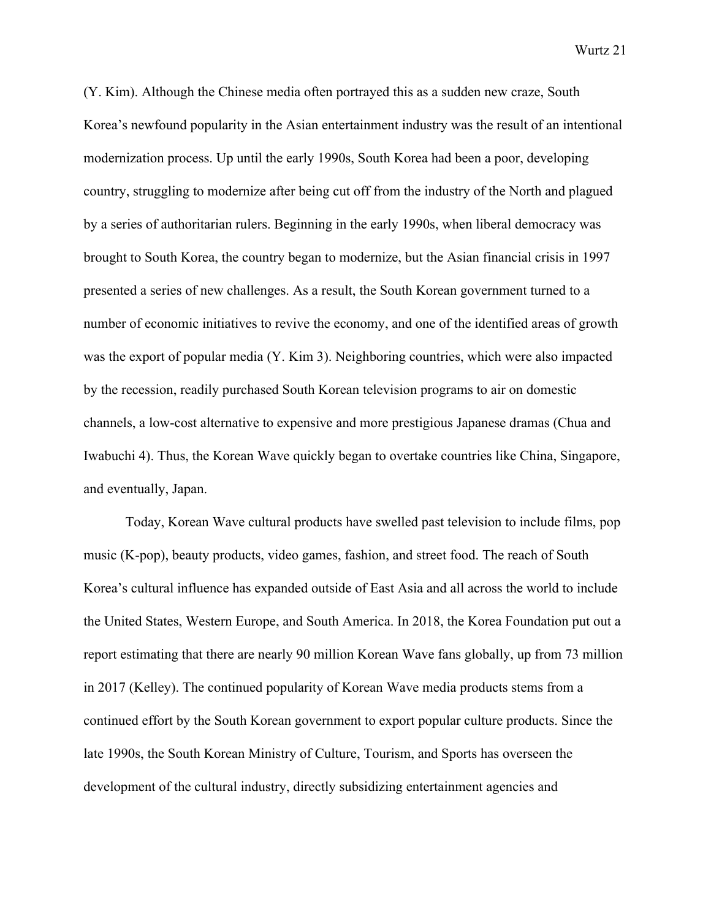(Y. Kim). Although the Chinese media often portrayed this as a sudden new craze, South Korea's newfound popularity in the Asian entertainment industry was the result of an intentional modernization process. Up until the early 1990s, South Korea had been a poor, developing country, struggling to modernize after being cut off from the industry of the North and plagued by a series of authoritarian rulers. Beginning in the early 1990s, when liberal democracy was brought to South Korea, the country began to modernize, but the Asian financial crisis in 1997 presented a series of new challenges. As a result, the South Korean government turned to a number of economic initiatives to revive the economy, and one of the identified areas of growth was the export of popular media (Y. Kim 3). Neighboring countries, which were also impacted by the recession, readily purchased South Korean television programs to air on domestic channels, a low-cost alternative to expensive and more prestigious Japanese dramas (Chua and Iwabuchi 4). Thus, the Korean Wave quickly began to overtake countries like China, Singapore, and eventually, Japan.

Today, Korean Wave cultural products have swelled past television to include films, pop music (K-pop), beauty products, video games, fashion, and street food. The reach of South Korea's cultural influence has expanded outside of East Asia and all across the world to include the United States, Western Europe, and South America. In 2018, the Korea Foundation put out a report estimating that there are nearly 90 million Korean Wave fans globally, up from 73 million in 2017 (Kelley). The continued popularity of Korean Wave media products stems from a continued effort by the South Korean government to export popular culture products. Since the late 1990s, the South Korean Ministry of Culture, Tourism, and Sports has overseen the development of the cultural industry, directly subsidizing entertainment agencies and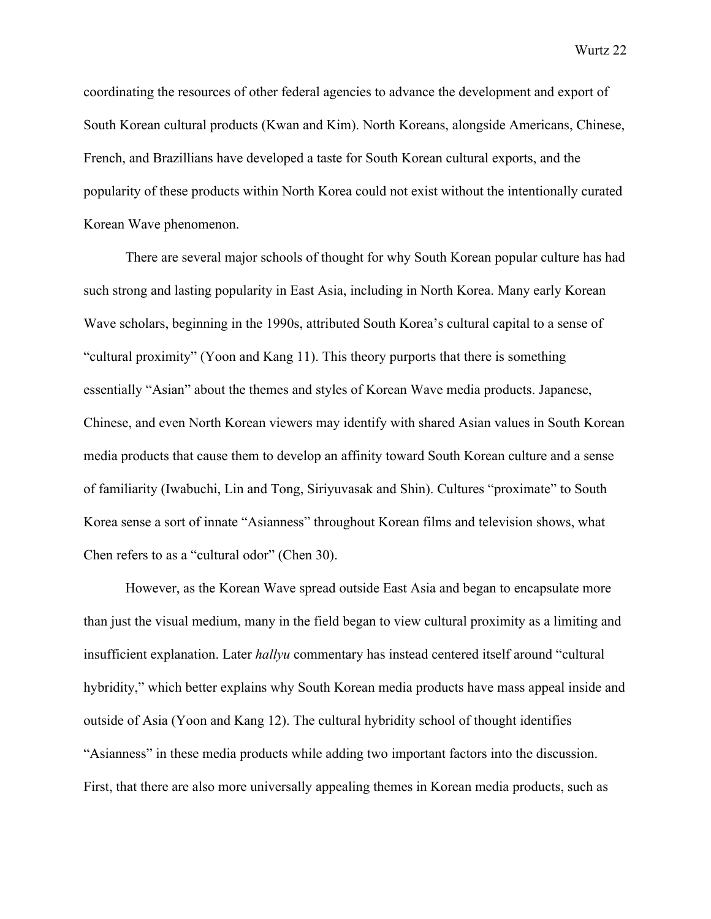coordinating the resources of other federal agencies to advance the development and export of South Korean cultural products (Kwan and Kim). North Koreans, alongside Americans, Chinese, French, and Brazillians have developed a taste for South Korean cultural exports, and the popularity of these products within North Korea could not exist without the intentionally curated Korean Wave phenomenon.

There are several major schools of thought for why South Korean popular culture has had such strong and lasting popularity in East Asia, including in North Korea. Many early Korean Wave scholars, beginning in the 1990s, attributed South Korea's cultural capital to a sense of "cultural proximity" (Yoon and Kang 11). This theory purports that there is something essentially "Asian" about the themes and styles of Korean Wave media products. Japanese, Chinese, and even North Korean viewers may identify with shared Asian values in South Korean media products that cause them to develop an affinity toward South Korean culture and a sense of familiarity (Iwabuchi, Lin and Tong, Siriyuvasak and Shin). Cultures "proximate" to South Korea sense a sort of innate "Asianness" throughout Korean films and television shows, what Chen refers to as a "cultural odor" (Chen 30).

However, as the Korean Wave spread outside East Asia and began to encapsulate more than just the visual medium, many in the field began to view cultural proximity as a limiting and insufficient explanation. Later *hallyu* commentary has instead centered itself around "cultural hybridity," which better explains why South Korean media products have mass appeal inside and outside of Asia (Yoon and Kang 12). The cultural hybridity school of thought identifies "Asianness" in these media products while adding two important factors into the discussion. First, that there are also more universally appealing themes in Korean media products, such as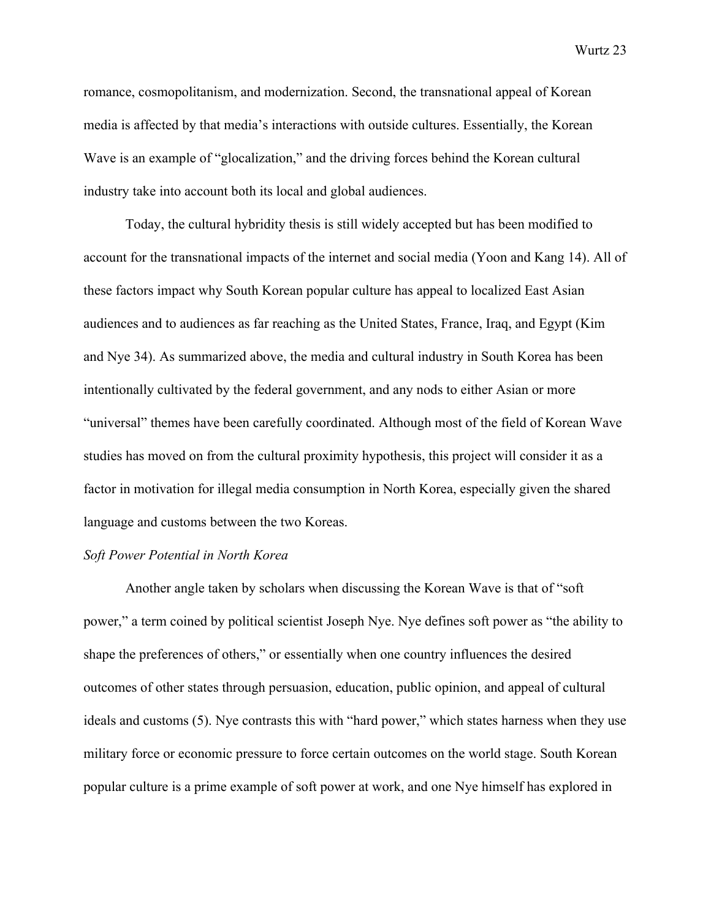romance, cosmopolitanism, and modernization. Second, the transnational appeal of Korean media is affected by that media's interactions with outside cultures. Essentially, the Korean Wave is an example of "glocalization," and the driving forces behind the Korean cultural industry take into account both its local and global audiences.

Today, the cultural hybridity thesis is still widely accepted but has been modified to account for the transnational impacts of the internet and social media (Yoon and Kang 14). All of these factors impact why South Korean popular culture has appeal to localized East Asian audiences and to audiences as far reaching as the United States, France, Iraq, and Egypt (Kim and Nye 34). As summarized above, the media and cultural industry in South Korea has been intentionally cultivated by the federal government, and any nods to either Asian or more "universal" themes have been carefully coordinated. Although most of the field of Korean Wave studies has moved on from the cultural proximity hypothesis, this project will consider it as a factor in motivation for illegal media consumption in North Korea, especially given the shared language and customs between the two Koreas.

#### *Soft Power Potential in North Korea*

Another angle taken by scholars when discussing the Korean Wave is that of "soft power," a term coined by political scientist Joseph Nye. Nye defines soft power as "the ability to shape the preferences of others," or essentially when one country influences the desired outcomes of other states through persuasion, education, public opinion, and appeal of cultural ideals and customs (5). Nye contrasts this with "hard power," which states harness when they use military force or economic pressure to force certain outcomes on the world stage. South Korean popular culture is a prime example of soft power at work, and one Nye himself has explored in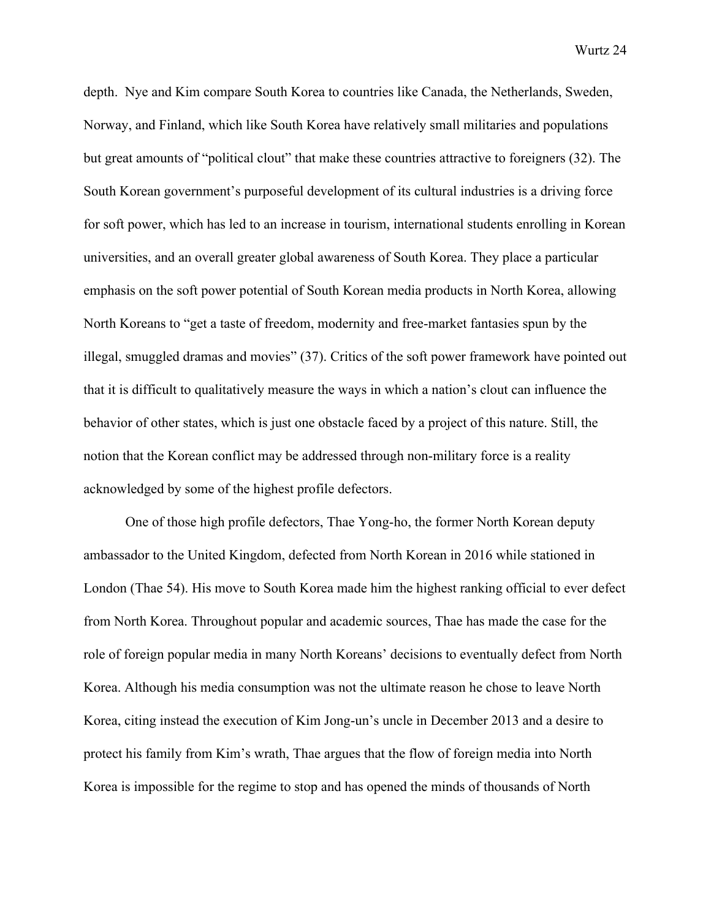depth. Nye and Kim compare South Korea to countries like Canada, the Netherlands, Sweden, Norway, and Finland, which like South Korea have relatively small militaries and populations but great amounts of "political clout" that make these countries attractive to foreigners (32). The South Korean government's purposeful development of its cultural industries is a driving force for soft power, which has led to an increase in tourism, international students enrolling in Korean universities, and an overall greater global awareness of South Korea. They place a particular emphasis on the soft power potential of South Korean media products in North Korea, allowing North Koreans to "get a taste of freedom, modernity and free-market fantasies spun by the illegal, smuggled dramas and movies" (37). Critics of the soft power framework have pointed out that it is difficult to qualitatively measure the ways in which a nation's clout can influence the behavior of other states, which is just one obstacle faced by a project of this nature. Still, the notion that the Korean conflict may be addressed through non-military force is a reality acknowledged by some of the highest profile defectors.

One of those high profile defectors, Thae Yong-ho, the former North Korean deputy ambassador to the United Kingdom, defected from North Korean in 2016 while stationed in London (Thae 54). His move to South Korea made him the highest ranking official to ever defect from North Korea. Throughout popular and academic sources, Thae has made the case for the role of foreign popular media in many North Koreans' decisions to eventually defect from North Korea. Although his media consumption was not the ultimate reason he chose to leave North Korea, citing instead the execution of Kim Jong-un's uncle in December 2013 and a desire to protect his family from Kim's wrath, Thae argues that the flow of foreign media into North Korea is impossible for the regime to stop and has opened the minds of thousands of North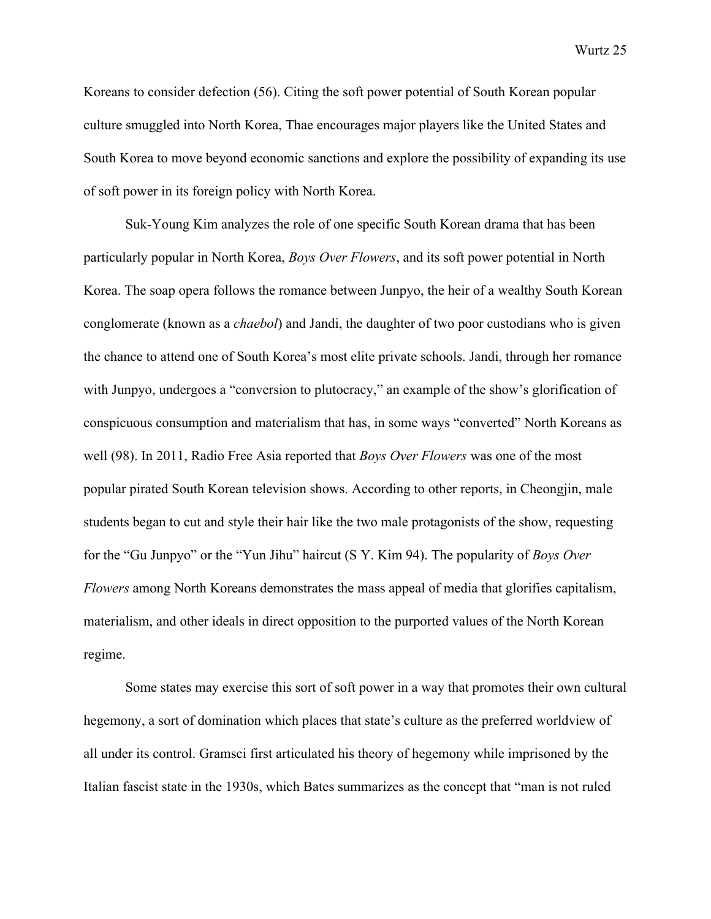Koreans to consider defection (56). Citing the soft power potential of South Korean popular culture smuggled into North Korea, Thae encourages major players like the United States and South Korea to move beyond economic sanctions and explore the possibility of expanding its use of soft power in its foreign policy with North Korea.

Suk-Young Kim analyzes the role of one specific South Korean drama that has been particularly popular in North Korea, *Boys Over Flowers*, and its soft power potential in North Korea. The soap opera follows the romance between Junpyo, the heir of a wealthy South Korean conglomerate (known as a *chaebol*) and Jandi, the daughter of two poor custodians who is given the chance to attend one of South Korea's most elite private schools. Jandi, through her romance with Junpyo, undergoes a "conversion to plutocracy," an example of the show's glorification of conspicuous consumption and materialism that has, in some ways "converted" North Koreans as well (98). In 2011, Radio Free Asia reported that *Boys Over Flowers* was one of the most popular pirated South Korean television shows. According to other reports, in Cheongjin, male students began to cut and style their hair like the two male protagonists of the show, requesting for the "Gu Junpyo" or the "Yun Jihu" haircut (S Y. Kim 94). The popularity of *Boys Over Flowers* among North Koreans demonstrates the mass appeal of media that glorifies capitalism, materialism, and other ideals in direct opposition to the purported values of the North Korean regime.

Some states may exercise this sort of soft power in a way that promotes their own cultural hegemony, a sort of domination which places that state's culture as the preferred worldview of all under its control. Gramsci first articulated his theory of hegemony while imprisoned by the Italian fascist state in the 1930s, which Bates summarizes as the concept that "man is not ruled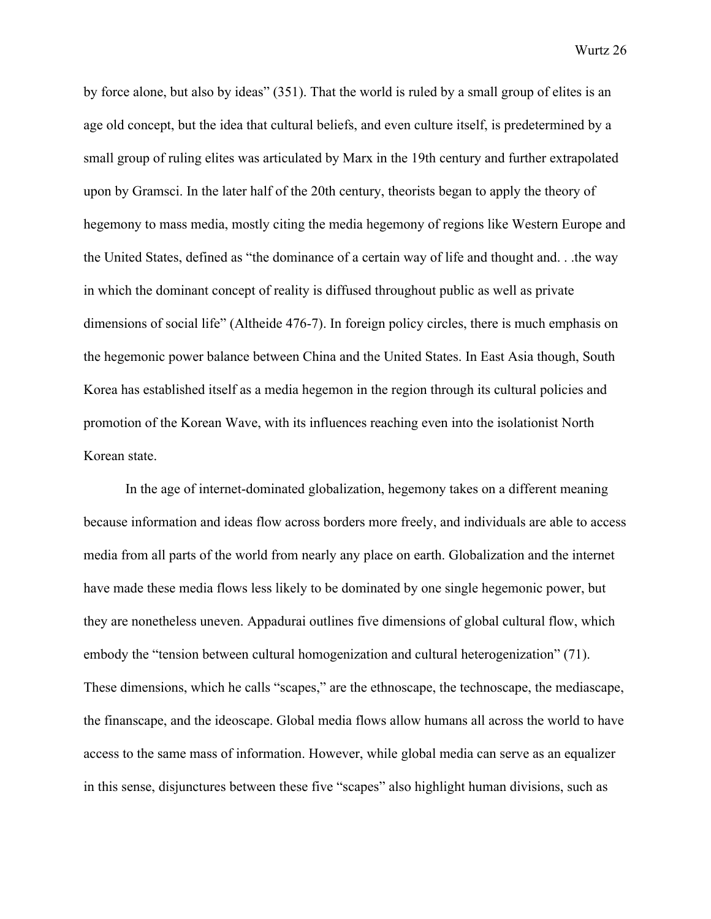by force alone, but also by ideas" (351). That the world is ruled by a small group of elites is an age old concept, but the idea that cultural beliefs, and even culture itself, is predetermined by a small group of ruling elites was articulated by Marx in the 19th century and further extrapolated upon by Gramsci. In the later half of the 20th century, theorists began to apply the theory of hegemony to mass media, mostly citing the media hegemony of regions like Western Europe and the United States, defined as "the dominance of a certain way of life and thought and. . .the way in which the dominant concept of reality is diffused throughout public as well as private dimensions of social life" (Altheide 476-7). In foreign policy circles, there is much emphasis on the hegemonic power balance between China and the United States. In East Asia though, South Korea has established itself as a media hegemon in the region through its cultural policies and promotion of the Korean Wave, with its influences reaching even into the isolationist North Korean state.

In the age of internet-dominated globalization, hegemony takes on a different meaning because information and ideas flow across borders more freely, and individuals are able to access media from all parts of the world from nearly any place on earth. Globalization and the internet have made these media flows less likely to be dominated by one single hegemonic power, but they are nonetheless uneven. Appadurai outlines five dimensions of global cultural flow, which embody the "tension between cultural homogenization and cultural heterogenization" (71). These dimensions, which he calls "scapes," are the ethnoscape, the technoscape, the mediascape, the finanscape, and the ideoscape. Global media flows allow humans all across the world to have access to the same mass of information. However, while global media can serve as an equalizer in this sense, disjunctures between these five "scapes" also highlight human divisions, such as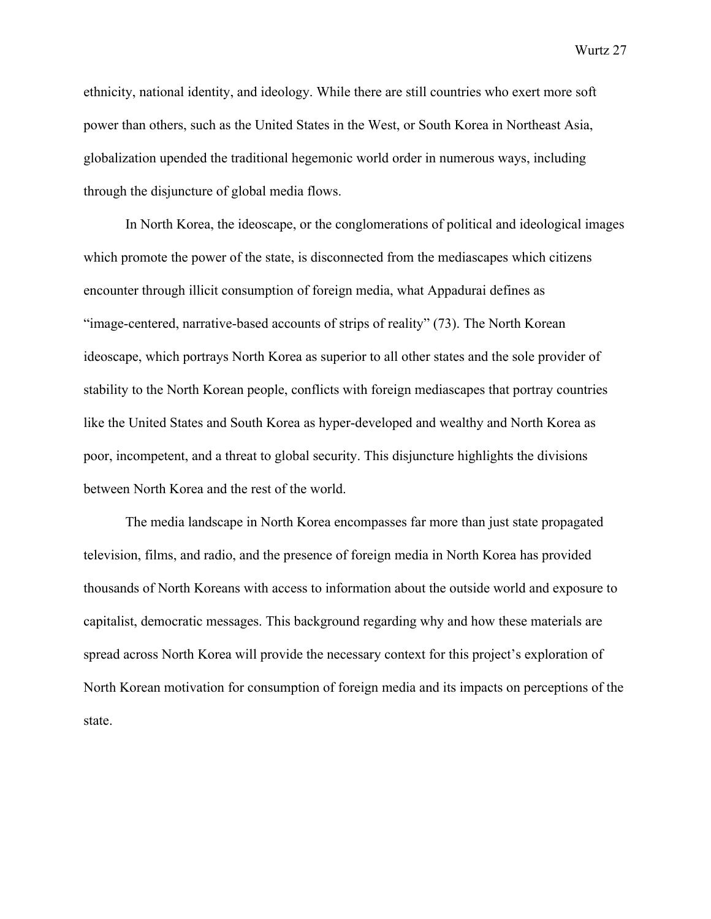ethnicity, national identity, and ideology. While there are still countries who exert more soft power than others, such as the United States in the West, or South Korea in Northeast Asia, globalization upended the traditional hegemonic world order in numerous ways, including through the disjuncture of global media flows.

In North Korea, the ideoscape, or the conglomerations of political and ideological images which promote the power of the state, is disconnected from the mediascapes which citizens encounter through illicit consumption of foreign media, what Appadurai defines as "image-centered, narrative-based accounts of strips of reality" (73). The North Korean ideoscape, which portrays North Korea as superior to all other states and the sole provider of stability to the North Korean people, conflicts with foreign mediascapes that portray countries like the United States and South Korea as hyper-developed and wealthy and North Korea as poor, incompetent, and a threat to global security. This disjuncture highlights the divisions between North Korea and the rest of the world.

The media landscape in North Korea encompasses far more than just state propagated television, films, and radio, and the presence of foreign media in North Korea has provided thousands of North Koreans with access to information about the outside world and exposure to capitalist, democratic messages. This background regarding why and how these materials are spread across North Korea will provide the necessary context for this project's exploration of North Korean motivation for consumption of foreign media and its impacts on perceptions of the state.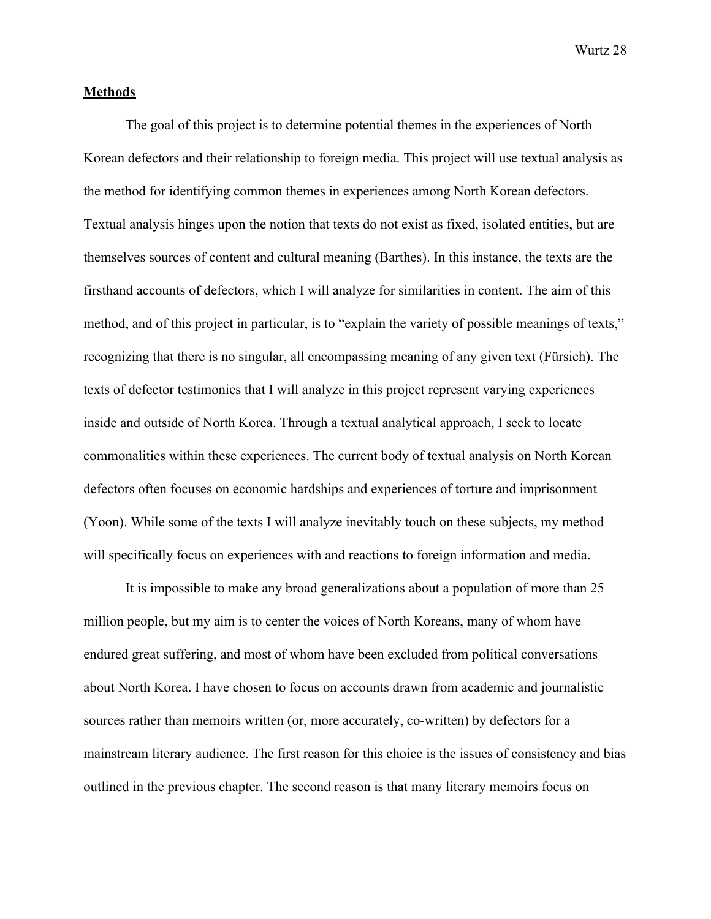#### **Methods**

The goal of this project is to determine potential themes in the experiences of North Korean defectors and their relationship to foreign media. This project will use textual analysis as the method for identifying common themes in experiences among North Korean defectors. Textual analysis hinges upon the notion that texts do not exist as fixed, isolated entities, but are themselves sources of content and cultural meaning (Barthes). In this instance, the texts are the firsthand accounts of defectors, which I will analyze for similarities in content. The aim of this method, and of this project in particular, is to "explain the variety of possible meanings of texts," recognizing that there is no singular, all encompassing meaning of any given text (Fürsich). The texts of defector testimonies that I will analyze in this project represent varying experiences inside and outside of North Korea. Through a textual analytical approach, I seek to locate commonalities within these experiences. The current body of textual analysis on North Korean defectors often focuses on economic hardships and experiences of torture and imprisonment (Yoon). While some of the texts I will analyze inevitably touch on these subjects, my method will specifically focus on experiences with and reactions to foreign information and media.

It is impossible to make any broad generalizations about a population of more than 25 million people, but my aim is to center the voices of North Koreans, many of whom have endured great suffering, and most of whom have been excluded from political conversations about North Korea. I have chosen to focus on accounts drawn from academic and journalistic sources rather than memoirs written (or, more accurately, co-written) by defectors for a mainstream literary audience. The first reason for this choice is the issues of consistency and bias outlined in the previous chapter. The second reason is that many literary memoirs focus on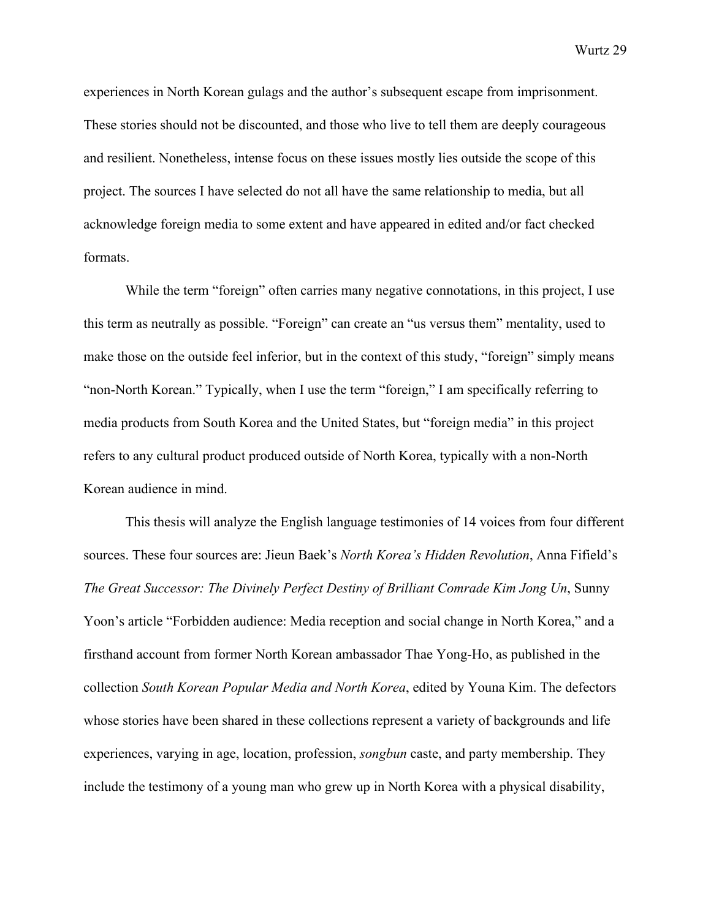experiences in North Korean gulags and the author's subsequent escape from imprisonment. These stories should not be discounted, and those who live to tell them are deeply courageous and resilient. Nonetheless, intense focus on these issues mostly lies outside the scope of this project. The sources I have selected do not all have the same relationship to media, but all acknowledge foreign media to some extent and have appeared in edited and/or fact checked formats.

While the term "foreign" often carries many negative connotations, in this project, I use this term as neutrally as possible. "Foreign" can create an "us versus them" mentality, used to make those on the outside feel inferior, but in the context of this study, "foreign" simply means "non-North Korean." Typically, when I use the term "foreign," I am specifically referring to media products from South Korea and the United States, but "foreign media" in this project refers to any cultural product produced outside of North Korea, typically with a non-North Korean audience in mind.

This thesis will analyze the English language testimonies of 14 voices from four different sources. These four sources are: Jieun Baek's *North Korea's Hidden Revolution*, Anna Fifield's *The Great Successor: The Divinely Perfect Destiny of Brilliant Comrade Kim Jong Un*, Sunny Yoon's article "Forbidden audience: Media reception and social change in North Korea," and a firsthand account from former North Korean ambassador Thae Yong-Ho, as published in the collection *South Korean Popular Media and North Korea*, edited by Youna Kim. The defectors whose stories have been shared in these collections represent a variety of backgrounds and life experiences, varying in age, location, profession, *songbun* caste, and party membership. They include the testimony of a young man who grew up in North Korea with a physical disability,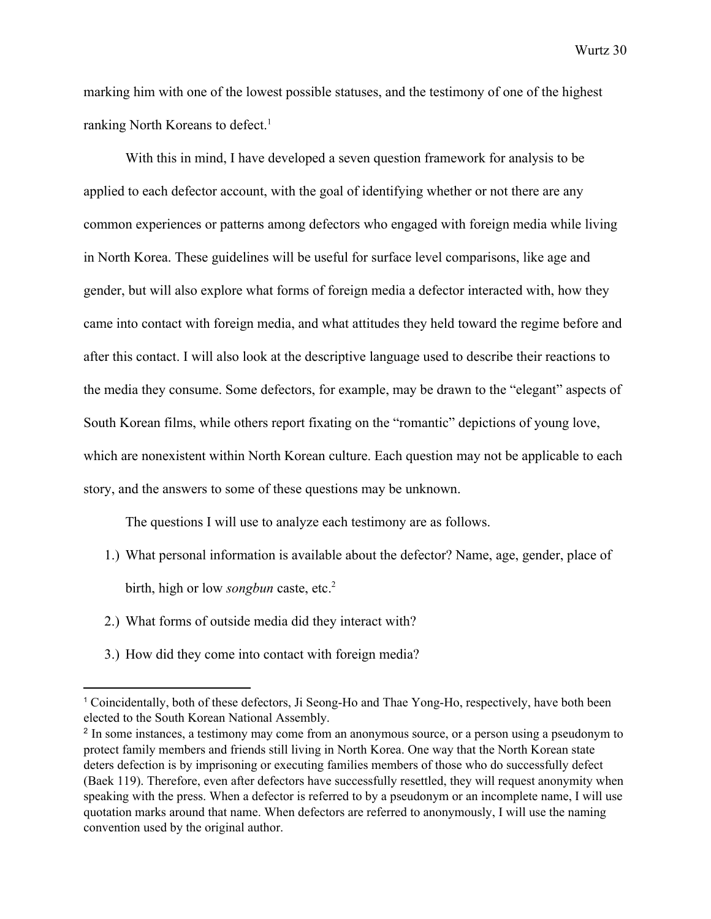marking him with one of the lowest possible statuses, and the testimony of one of the highest ranking North Koreans to defect.<sup>1</sup>

With this in mind, I have developed a seven question framework for analysis to be applied to each defector account, with the goal of identifying whether or not there are any common experiences or patterns among defectors who engaged with foreign media while living in North Korea. These guidelines will be useful for surface level comparisons, like age and gender, but will also explore what forms of foreign media a defector interacted with, how they came into contact with foreign media, and what attitudes they held toward the regime before and after this contact. I will also look at the descriptive language used to describe their reactions to the media they consume. Some defectors, for example, may be drawn to the "elegant" aspects of South Korean films, while others report fixating on the "romantic" depictions of young love, which are nonexistent within North Korean culture. Each question may not be applicable to each story, and the answers to some of these questions may be unknown.

The questions I will use to analyze each testimony are as follows.

- 1.) What personal information is available about the defector? Name, age, gender, place of birth, high or low *songbun* caste, etc.<sup>2</sup>
- 2.) What forms of outside media did they interact with?
- 3.) How did they come into contact with foreign media?

<sup>1</sup> Coincidentally, both of these defectors, Ji Seong-Ho and Thae Yong-Ho, respectively, have both been elected to the South Korean National Assembly.

<sup>&</sup>lt;sup>2</sup> In some instances, a testimony may come from an anonymous source, or a person using a pseudonym to protect family members and friends still living in North Korea. One way that the North Korean state deters defection is by imprisoning or executing families members of those who do successfully defect (Baek 119). Therefore, even after defectors have successfully resettled, they will request anonymity when speaking with the press. When a defector is referred to by a pseudonym or an incomplete name, I will use quotation marks around that name. When defectors are referred to anonymously, I will use the naming convention used by the original author.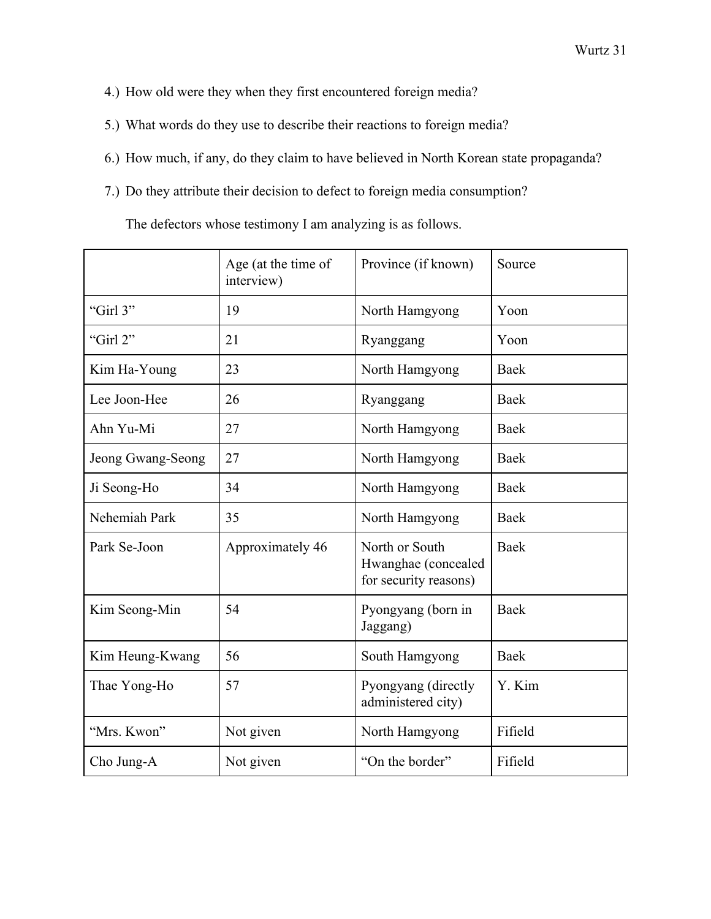- 4.) How old were they when they first encountered foreign media?
- 5.) What words do they use to describe their reactions to foreign media?
- 6.) How much, if any, do they claim to have believed in North Korean state propaganda?
- 7.) Do they attribute their decision to defect to foreign media consumption?

The defectors whose testimony I am analyzing is as follows.

|                   | Age (at the time of<br>interview) | Province (if known)                                            | Source      |
|-------------------|-----------------------------------|----------------------------------------------------------------|-------------|
| "Girl 3"          | 19                                | North Hamgyong                                                 | Yoon        |
| "Girl 2"          | 21                                | Ryanggang                                                      | Yoon        |
| Kim Ha-Young      | 23                                | North Hamgyong                                                 | <b>Baek</b> |
| Lee Joon-Hee      | 26                                | Ryanggang                                                      | Baek        |
| Ahn Yu-Mi         | 27                                | North Hamgyong                                                 | Baek        |
| Jeong Gwang-Seong | 27                                | North Hamgyong                                                 | Baek        |
| Ji Seong-Ho       | 34                                | North Hamgyong                                                 | Baek        |
| Nehemiah Park     | 35                                | North Hamgyong                                                 | Baek        |
| Park Se-Joon      | Approximately 46                  | North or South<br>Hwanghae (concealed<br>for security reasons) | Baek        |
| Kim Seong-Min     | 54                                | Pyongyang (born in<br>Jaggang)                                 | Baek        |
| Kim Heung-Kwang   | 56                                | South Hamgyong                                                 | <b>Baek</b> |
| Thae Yong-Ho      | 57                                | Pyongyang (directly<br>administered city)                      | Y. Kim      |
| "Mrs. Kwon"       | Not given                         | North Hamgyong                                                 | Fifield     |
| Cho Jung-A        | Not given                         | "On the border"                                                | Fifield     |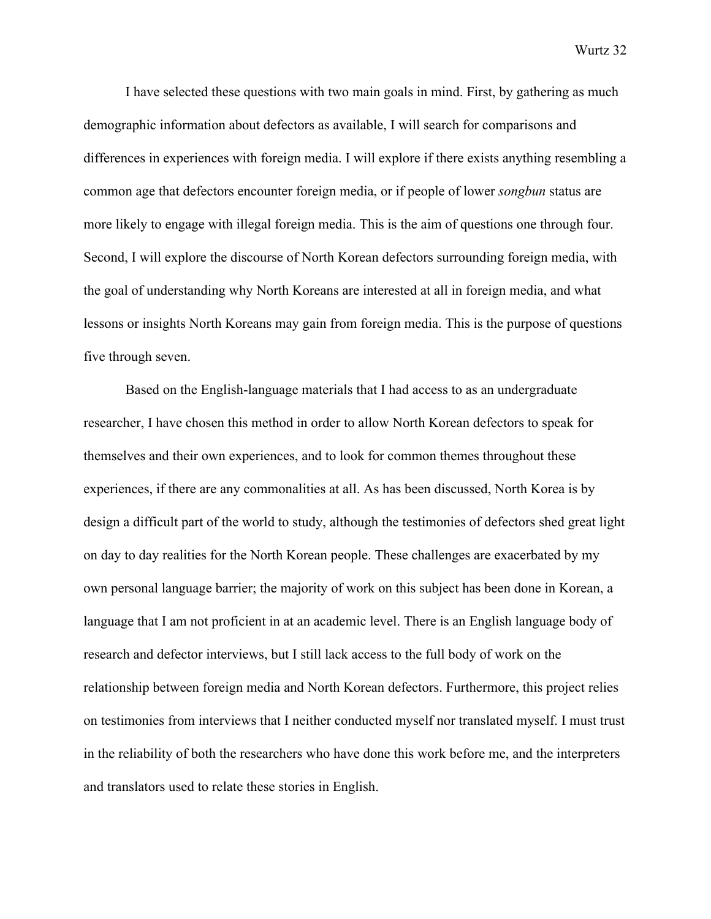I have selected these questions with two main goals in mind. First, by gathering as much demographic information about defectors as available, I will search for comparisons and differences in experiences with foreign media. I will explore if there exists anything resembling a common age that defectors encounter foreign media, or if people of lower *songbun* status are more likely to engage with illegal foreign media. This is the aim of questions one through four. Second, I will explore the discourse of North Korean defectors surrounding foreign media, with the goal of understanding why North Koreans are interested at all in foreign media, and what lessons or insights North Koreans may gain from foreign media. This is the purpose of questions five through seven.

Based on the English-language materials that I had access to as an undergraduate researcher, I have chosen this method in order to allow North Korean defectors to speak for themselves and their own experiences, and to look for common themes throughout these experiences, if there are any commonalities at all. As has been discussed, North Korea is by design a difficult part of the world to study, although the testimonies of defectors shed great light on day to day realities for the North Korean people. These challenges are exacerbated by my own personal language barrier; the majority of work on this subject has been done in Korean, a language that I am not proficient in at an academic level. There is an English language body of research and defector interviews, but I still lack access to the full body of work on the relationship between foreign media and North Korean defectors. Furthermore, this project relies on testimonies from interviews that I neither conducted myself nor translated myself. I must trust in the reliability of both the researchers who have done this work before me, and the interpreters and translators used to relate these stories in English.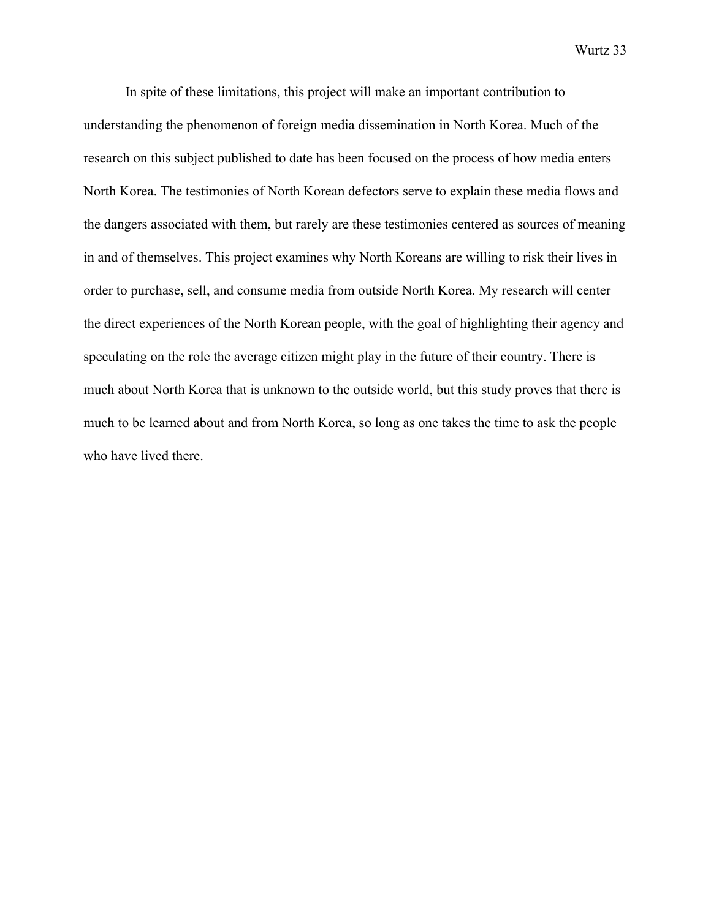In spite of these limitations, this project will make an important contribution to understanding the phenomenon of foreign media dissemination in North Korea. Much of the research on this subject published to date has been focused on the process of how media enters North Korea. The testimonies of North Korean defectors serve to explain these media flows and the dangers associated with them, but rarely are these testimonies centered as sources of meaning in and of themselves. This project examines why North Koreans are willing to risk their lives in order to purchase, sell, and consume media from outside North Korea. My research will center the direct experiences of the North Korean people, with the goal of highlighting their agency and speculating on the role the average citizen might play in the future of their country. There is much about North Korea that is unknown to the outside world, but this study proves that there is much to be learned about and from North Korea, so long as one takes the time to ask the people who have lived there.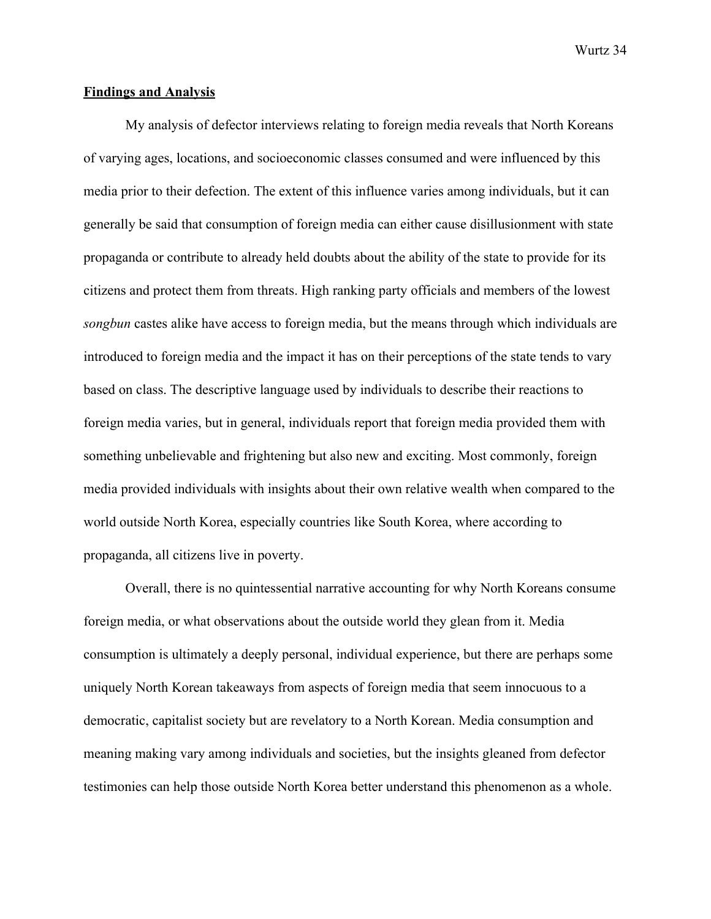#### **Findings and Analysis**

My analysis of defector interviews relating to foreign media reveals that North Koreans of varying ages, locations, and socioeconomic classes consumed and were influenced by this media prior to their defection. The extent of this influence varies among individuals, but it can generally be said that consumption of foreign media can either cause disillusionment with state propaganda or contribute to already held doubts about the ability of the state to provide for its citizens and protect them from threats. High ranking party officials and members of the lowest *songbun* castes alike have access to foreign media, but the means through which individuals are introduced to foreign media and the impact it has on their perceptions of the state tends to vary based on class. The descriptive language used by individuals to describe their reactions to foreign media varies, but in general, individuals report that foreign media provided them with something unbelievable and frightening but also new and exciting. Most commonly, foreign media provided individuals with insights about their own relative wealth when compared to the world outside North Korea, especially countries like South Korea, where according to propaganda, all citizens live in poverty.

Overall, there is no quintessential narrative accounting for why North Koreans consume foreign media, or what observations about the outside world they glean from it. Media consumption is ultimately a deeply personal, individual experience, but there are perhaps some uniquely North Korean takeaways from aspects of foreign media that seem innocuous to a democratic, capitalist society but are revelatory to a North Korean. Media consumption and meaning making vary among individuals and societies, but the insights gleaned from defector testimonies can help those outside North Korea better understand this phenomenon as a whole.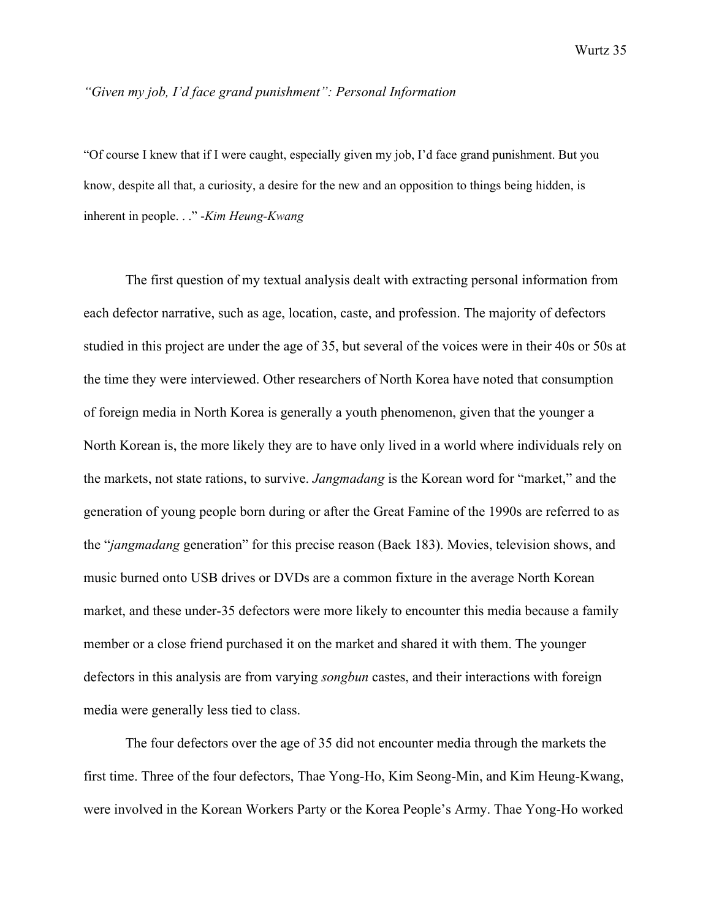#### *"Given my job, I'd face grand punishment": Personal Information*

"Of course I knew that if I were caught, especially given my job, I'd face grand punishment. But you know, despite all that, a curiosity, a desire for the new and an opposition to things being hidden, is inherent in people. . ." -*Kim Heung-Kwang*

The first question of my textual analysis dealt with extracting personal information from each defector narrative, such as age, location, caste, and profession. The majority of defectors studied in this project are under the age of 35, but several of the voices were in their 40s or 50s at the time they were interviewed. Other researchers of North Korea have noted that consumption of foreign media in North Korea is generally a youth phenomenon, given that the younger a North Korean is, the more likely they are to have only lived in a world where individuals rely on the markets, not state rations, to survive. *Jangmadang* is the Korean word for "market," and the generation of young people born during or after the Great Famine of the 1990s are referred to as the "*jangmadang* generation" for this precise reason (Baek 183). Movies, television shows, and music burned onto USB drives or DVDs are a common fixture in the average North Korean market, and these under-35 defectors were more likely to encounter this media because a family member or a close friend purchased it on the market and shared it with them. The younger defectors in this analysis are from varying *songbun* castes, and their interactions with foreign media were generally less tied to class.

The four defectors over the age of 35 did not encounter media through the markets the first time. Three of the four defectors, Thae Yong-Ho, Kim Seong-Min, and Kim Heung-Kwang, were involved in the Korean Workers Party or the Korea People's Army. Thae Yong-Ho worked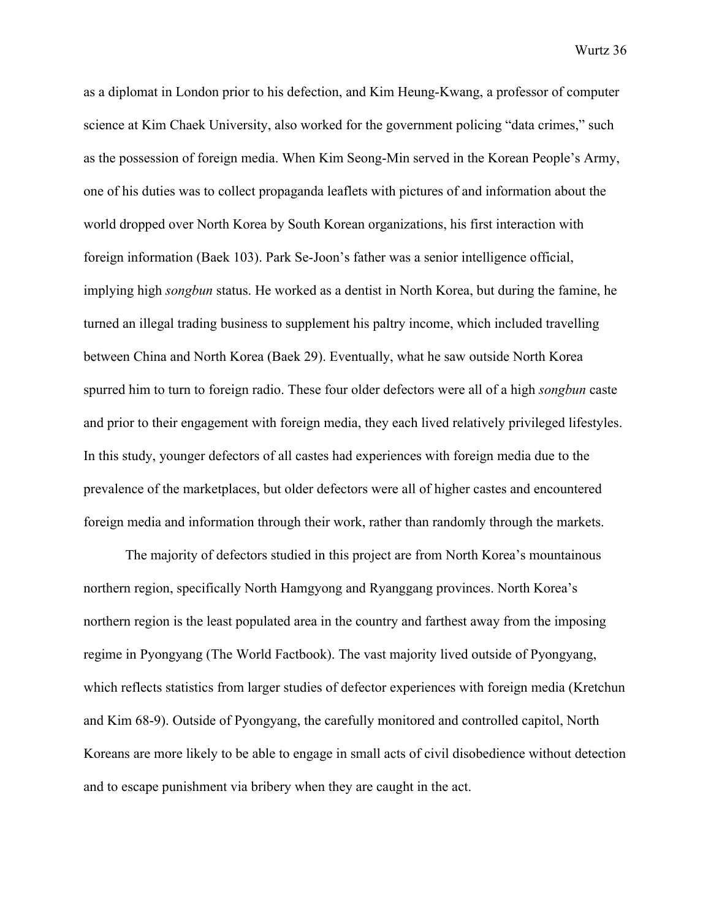as a diplomat in London prior to his defection, and Kim Heung-Kwang, a professor of computer science at Kim Chaek University, also worked for the government policing "data crimes," such as the possession of foreign media. When Kim Seong-Min served in the Korean People's Army, one of his duties was to collect propaganda leaflets with pictures of and information about the world dropped over North Korea by South Korean organizations, his first interaction with foreign information (Baek 103). Park Se-Joon's father was a senior intelligence official, implying high *songbun* status. He worked as a dentist in North Korea, but during the famine, he turned an illegal trading business to supplement his paltry income, which included travelling between China and North Korea (Baek 29). Eventually, what he saw outside North Korea spurred him to turn to foreign radio. These four older defectors were all of a high *songbun* caste and prior to their engagement with foreign media, they each lived relatively privileged lifestyles. In this study, younger defectors of all castes had experiences with foreign media due to the prevalence of the marketplaces, but older defectors were all of higher castes and encountered foreign media and information through their work, rather than randomly through the markets.

The majority of defectors studied in this project are from North Korea's mountainous northern region, specifically North Hamgyong and Ryanggang provinces. North Korea's northern region is the least populated area in the country and farthest away from the imposing regime in Pyongyang (The World Factbook). The vast majority lived outside of Pyongyang, which reflects statistics from larger studies of defector experiences with foreign media (Kretchun and Kim 68-9). Outside of Pyongyang, the carefully monitored and controlled capitol, North Koreans are more likely to be able to engage in small acts of civil disobedience without detection and to escape punishment via bribery when they are caught in the act.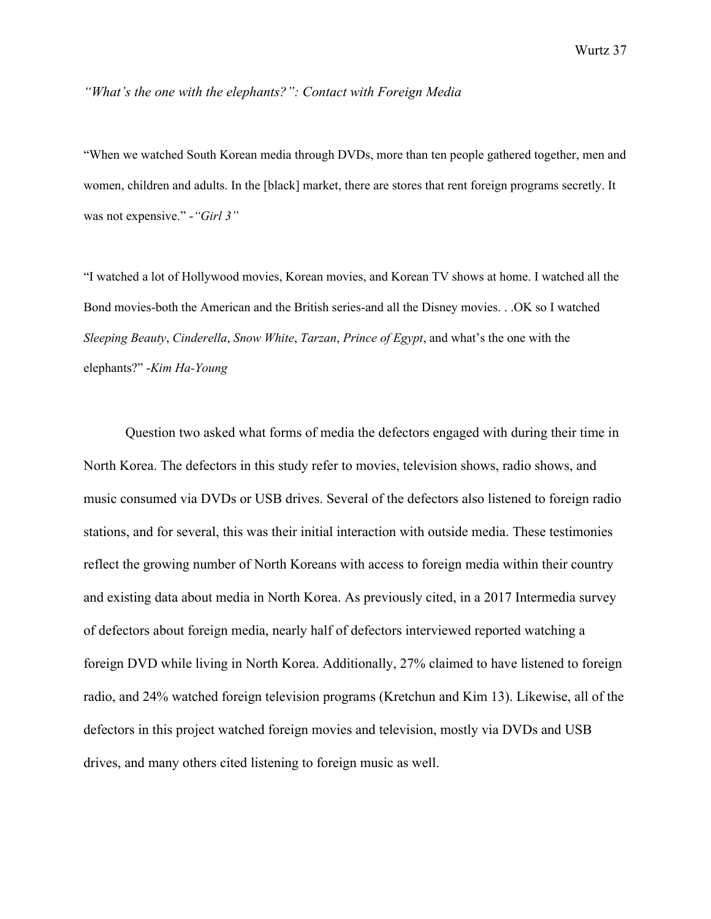*"What's the one with the elephants?": Contact with Foreign Media*

"When we watched South Korean media through DVDs, more than ten people gathered together, men and women, children and adults. In the [black] market, there are stores that rent foreign programs secretly. It was not expensive." -*"Girl 3"*

"I watched a lot of Hollywood movies, Korean movies, and Korean TV shows at home. I watched all the Bond movies-both the American and the British series-and all the Disney movies. . .OK so I watched *Sleeping Beauty*, *Cinderella*, *Snow White*, *Tarzan*, *Prince of Egypt*, and what's the one with the elephants?" -*Kim Ha-Young*

Question two asked what forms of media the defectors engaged with during their time in North Korea. The defectors in this study refer to movies, television shows, radio shows, and music consumed via DVDs or USB drives. Several of the defectors also listened to foreign radio stations, and for several, this was their initial interaction with outside media. These testimonies reflect the growing number of North Koreans with access to foreign media within their country and existing data about media in North Korea. As previously cited, in a 2017 Intermedia survey of defectors about foreign media, nearly half of defectors interviewed reported watching a foreign DVD while living in North Korea. Additionally, 27% claimed to have listened to foreign radio, and 24% watched foreign television programs (Kretchun and Kim 13). Likewise, all of the defectors in this project watched foreign movies and television, mostly via DVDs and USB drives, and many others cited listening to foreign music as well.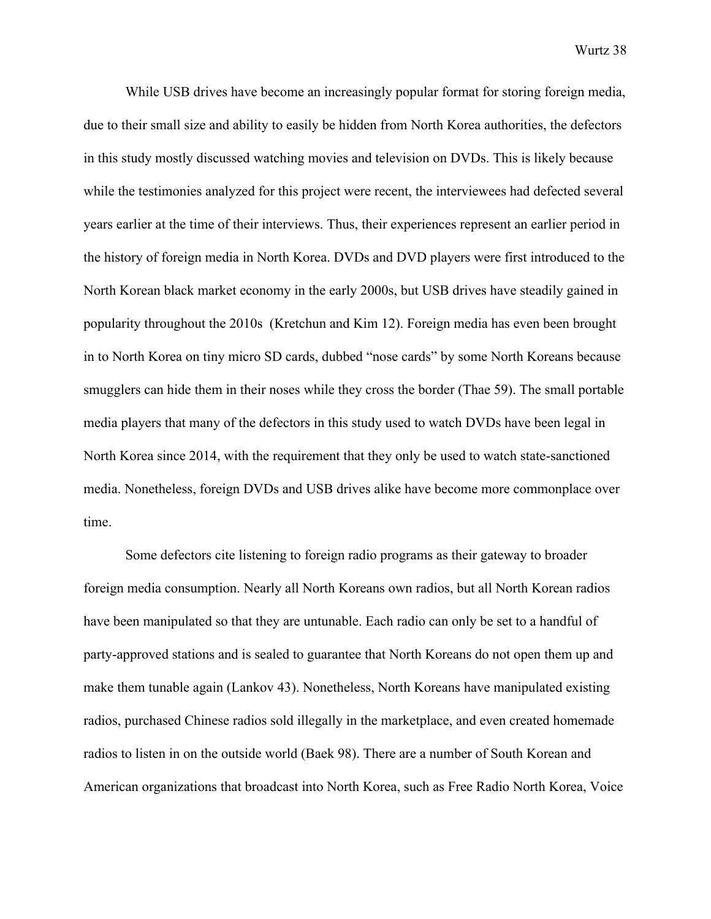While USB drives have become an increasingly popular format for storing foreign media, due to their small size and ability to easily be hidden from North Korea authorities, the defectors in this study mostly discussed watching movies and television on DVDs. This is likely because while the testimonies analyzed for this project were recent, the interviewees had defected several years earlier at the time of their interviews. Thus, their experiences represent an earlier period in the history of foreign media in North Korea. DVDs and DVD players were first introduced to the North Korean black market economy in the early 2000s, but USB drives have steadily gained in popularity throughout the 2010s (Kretchun and Kim 12). Foreign media has even been brought in to North Korea on tiny micro SD cards, dubbed "nose cards" by some North Koreans because smugglers can hide them in their noses while they cross the border (Thae 59). The small portable media players that many of the defectors in this study used to watch DVDs have been legal in North Korea since 2014, with the requirement that they only be used to watch state-sanctioned media. Nonetheless, foreign DVDs and USB drives alike have become more commonplace over time.

Some defectors cite listening to foreign radio programs as their gateway to broader foreign media consumption. Nearly all North Koreans own radios, but all North Korean radios have been manipulated so that they are untunable. Each radio can only be set to a handful of party-approved stations and is sealed to guarantee that North Koreans do not open them up and make them tunable again (Lankov 43). Nonetheless, North Koreans have manipulated existing radios, purchased Chinese radios sold illegally in the marketplace, and even created homemade radios to listen in on the outside world (Baek 98). There are a number of South Korean and American organizations that broadcast into North Korea, such as Free Radio North Korea, Voice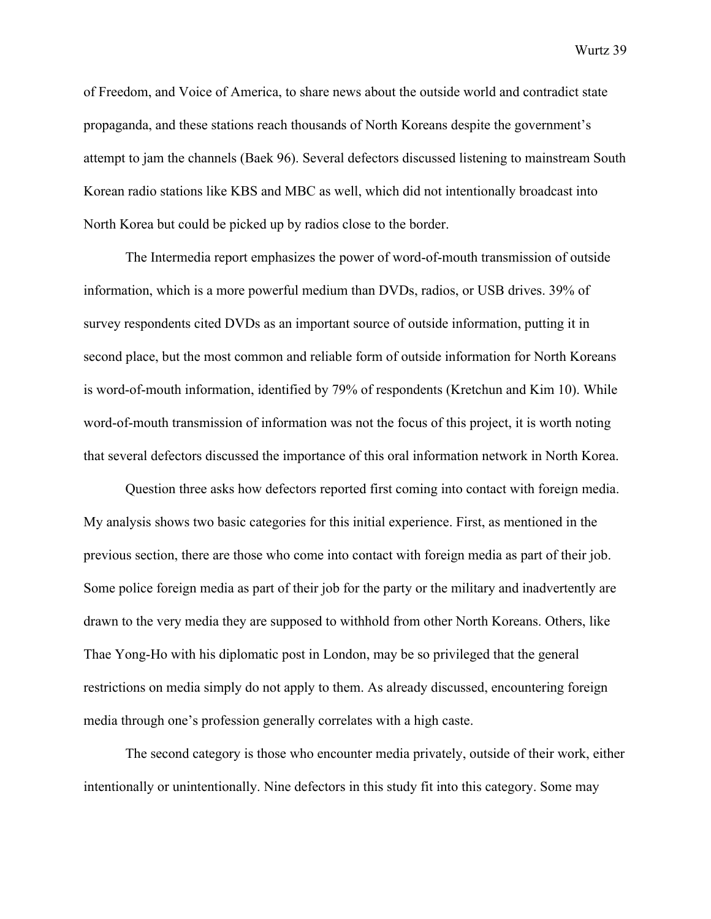of Freedom, and Voice of America, to share news about the outside world and contradict state propaganda, and these stations reach thousands of North Koreans despite the government's attempt to jam the channels (Baek 96). Several defectors discussed listening to mainstream South Korean radio stations like KBS and MBC as well, which did not intentionally broadcast into North Korea but could be picked up by radios close to the border.

The Intermedia report emphasizes the power of word-of-mouth transmission of outside information, which is a more powerful medium than DVDs, radios, or USB drives. 39% of survey respondents cited DVDs as an important source of outside information, putting it in second place, but the most common and reliable form of outside information for North Koreans is word-of-mouth information, identified by 79% of respondents (Kretchun and Kim 10). While word-of-mouth transmission of information was not the focus of this project, it is worth noting that several defectors discussed the importance of this oral information network in North Korea.

Question three asks how defectors reported first coming into contact with foreign media. My analysis shows two basic categories for this initial experience. First, as mentioned in the previous section, there are those who come into contact with foreign media as part of their job. Some police foreign media as part of their job for the party or the military and inadvertently are drawn to the very media they are supposed to withhold from other North Koreans. Others, like Thae Yong-Ho with his diplomatic post in London, may be so privileged that the general restrictions on media simply do not apply to them. As already discussed, encountering foreign media through one's profession generally correlates with a high caste.

The second category is those who encounter media privately, outside of their work, either intentionally or unintentionally. Nine defectors in this study fit into this category. Some may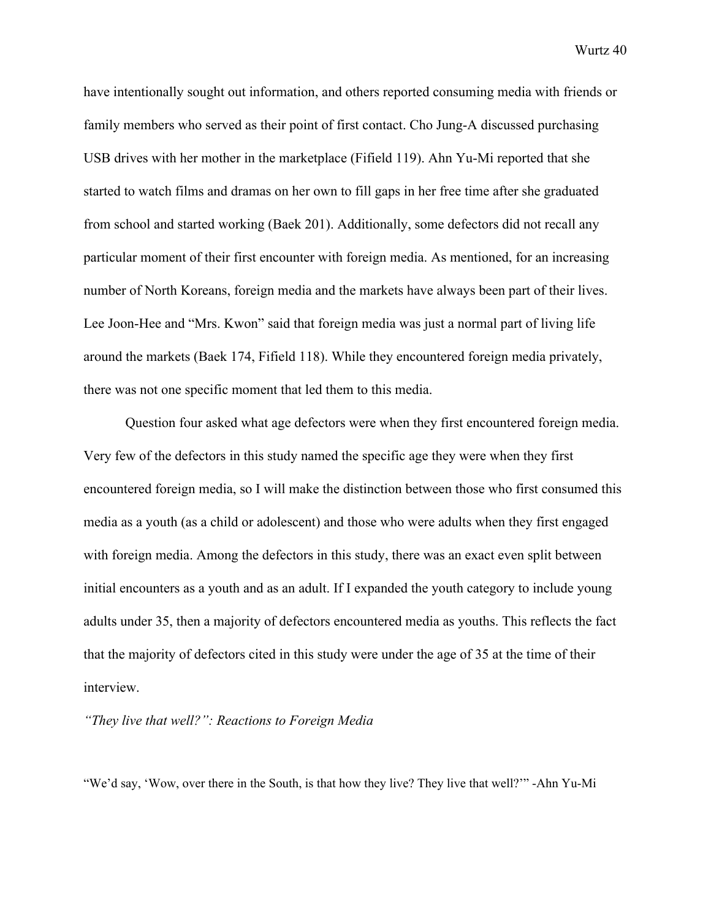have intentionally sought out information, and others reported consuming media with friends or family members who served as their point of first contact. Cho Jung-A discussed purchasing USB drives with her mother in the marketplace (Fifield 119). Ahn Yu-Mi reported that she started to watch films and dramas on her own to fill gaps in her free time after she graduated from school and started working (Baek 201). Additionally, some defectors did not recall any particular moment of their first encounter with foreign media. As mentioned, for an increasing number of North Koreans, foreign media and the markets have always been part of their lives. Lee Joon-Hee and "Mrs. Kwon" said that foreign media was just a normal part of living life around the markets (Baek 174, Fifield 118). While they encountered foreign media privately, there was not one specific moment that led them to this media.

Question four asked what age defectors were when they first encountered foreign media. Very few of the defectors in this study named the specific age they were when they first encountered foreign media, so I will make the distinction between those who first consumed this media as a youth (as a child or adolescent) and those who were adults when they first engaged with foreign media. Among the defectors in this study, there was an exact even split between initial encounters as a youth and as an adult. If I expanded the youth category to include young adults under 35, then a majority of defectors encountered media as youths. This reflects the fact that the majority of defectors cited in this study were under the age of 35 at the time of their interview.

*"They live that well?": Reactions to Foreign Media*

"We'd say, 'Wow, over there in the South, is that how they live? They live that well?'" -Ahn Yu-Mi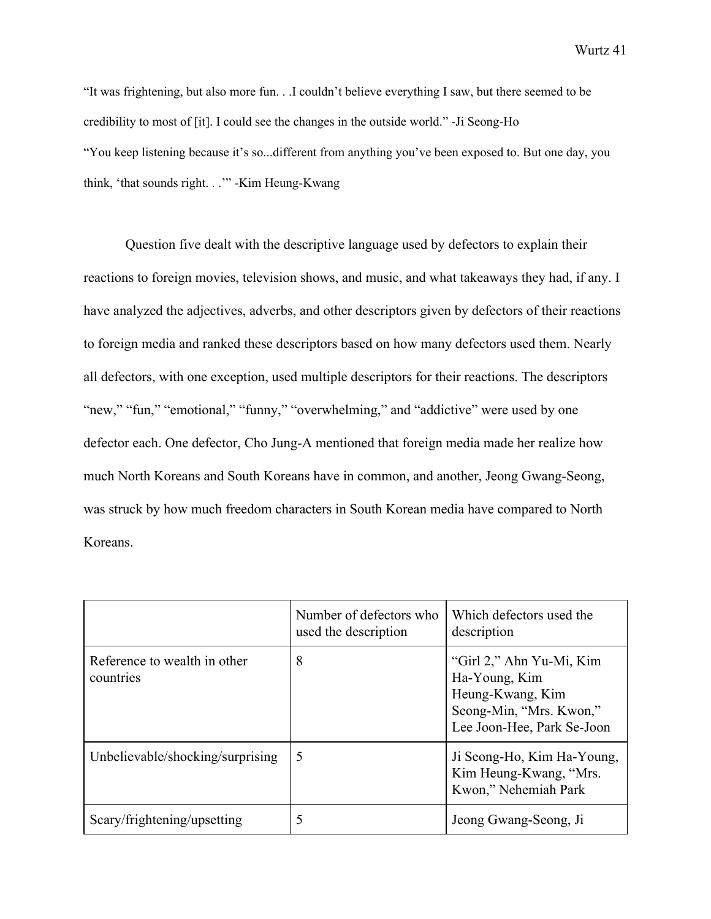"It was frightening, but also more fun. . .I couldn't believe everything I saw, but there seemed to be credibility to most of [it]. I could see the changes in the outside world." -Ji Seong-Ho "You keep listening because it's so...different from anything you've been exposed to. But one day, you think, 'that sounds right. . .'" -Kim Heung-Kwang

Question five dealt with the descriptive language used by defectors to explain their reactions to foreign movies, television shows, and music, and what takeaways they had, if any. I have analyzed the adjectives, adverbs, and other descriptors given by defectors of their reactions to foreign media and ranked these descriptors based on how many defectors used them. Nearly all defectors, with one exception, used multiple descriptors for their reactions. The descriptors "new," "fun," "emotional," "funny," "overwhelming," and "addictive" were used by one defector each. One defector, Cho Jung-A mentioned that foreign media made her realize how much North Koreans and South Koreans have in common, and another, Jeong Gwang-Seong, was struck by how much freedom characters in South Korean media have compared to North Koreans.

|                                           | Number of defectors who<br>used the description | Which defectors used the<br>description                                                                                |
|-------------------------------------------|-------------------------------------------------|------------------------------------------------------------------------------------------------------------------------|
| Reference to wealth in other<br>countries | 8                                               | "Girl 2," Ahn Yu-Mi, Kim<br>Ha-Young, Kim<br>Heung-Kwang, Kim<br>Seong-Min, "Mrs. Kwon,"<br>Lee Joon-Hee, Park Se-Joon |
| Unbelievable/shocking/surprising          | 5                                               | Ji Seong-Ho, Kim Ha-Young,<br>Kim Heung-Kwang, "Mrs.<br>Kwon," Nehemiah Park                                           |
| Scary/frightening/upsetting               | 5                                               | Jeong Gwang-Seong, Ji                                                                                                  |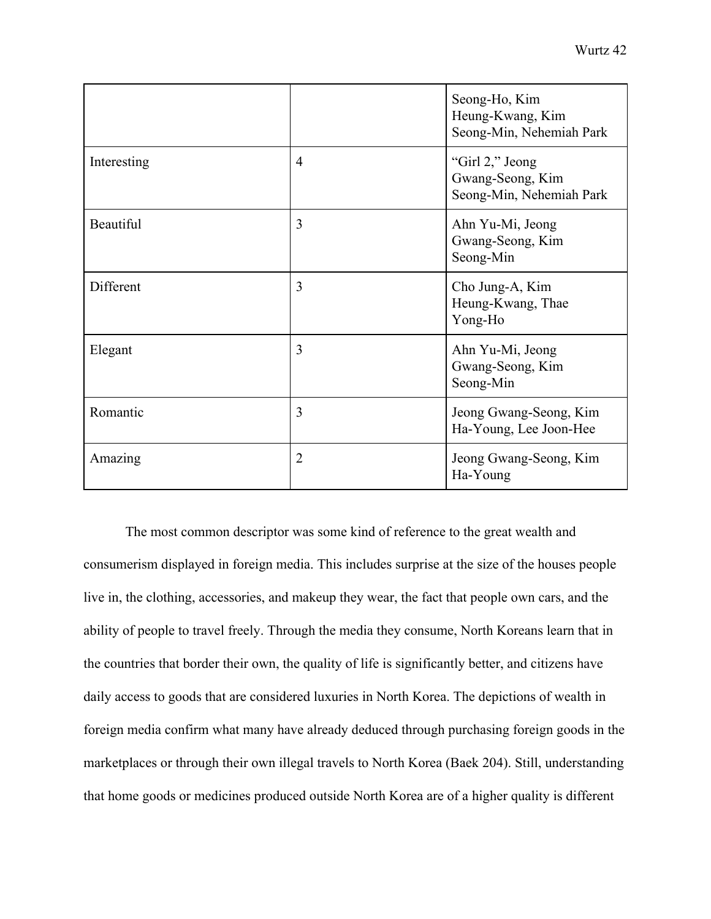|             |                | Seong-Ho, Kim<br>Heung-Kwang, Kim<br>Seong-Min, Nehemiah Park   |
|-------------|----------------|-----------------------------------------------------------------|
| Interesting | $\overline{4}$ | "Girl 2," Jeong<br>Gwang-Seong, Kim<br>Seong-Min, Nehemiah Park |
| Beautiful   | 3              | Ahn Yu-Mi, Jeong<br>Gwang-Seong, Kim<br>Seong-Min               |
| Different   | 3              | Cho Jung-A, Kim<br>Heung-Kwang, Thae<br>Yong-Ho                 |
| Elegant     | 3              | Ahn Yu-Mi, Jeong<br>Gwang-Seong, Kim<br>Seong-Min               |
| Romantic    | 3              | Jeong Gwang-Seong, Kim<br>Ha-Young, Lee Joon-Hee                |
| Amazing     | $\overline{2}$ | Jeong Gwang-Seong, Kim<br>Ha-Young                              |

The most common descriptor was some kind of reference to the great wealth and consumerism displayed in foreign media. This includes surprise at the size of the houses people live in, the clothing, accessories, and makeup they wear, the fact that people own cars, and the ability of people to travel freely. Through the media they consume, North Koreans learn that in the countries that border their own, the quality of life is significantly better, and citizens have daily access to goods that are considered luxuries in North Korea. The depictions of wealth in foreign media confirm what many have already deduced through purchasing foreign goods in the marketplaces or through their own illegal travels to North Korea (Baek 204). Still, understanding that home goods or medicines produced outside North Korea are of a higher quality is different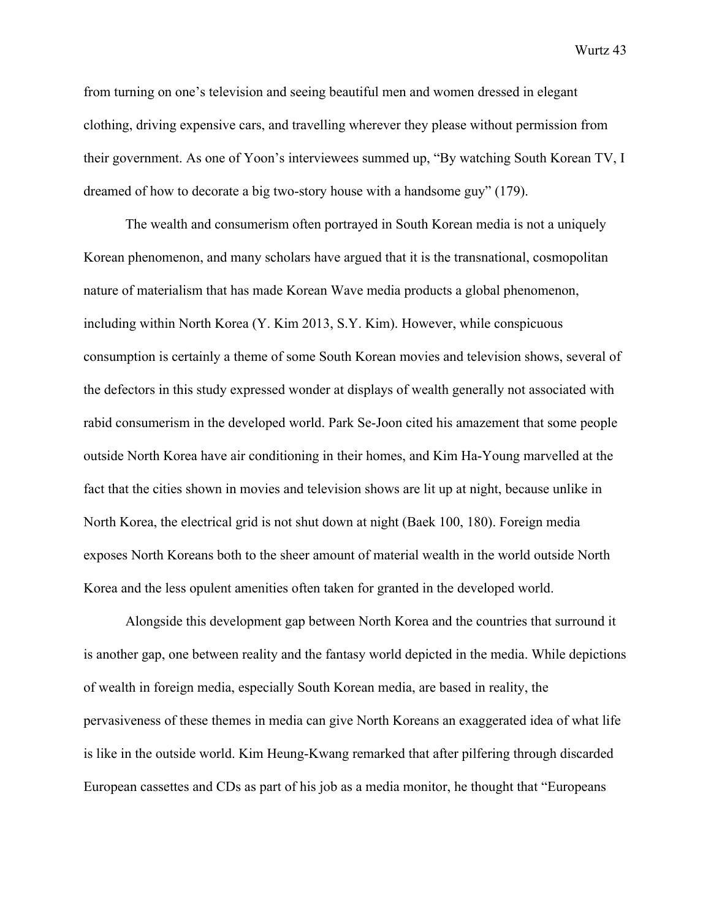from turning on one's television and seeing beautiful men and women dressed in elegant clothing, driving expensive cars, and travelling wherever they please without permission from their government. As one of Yoon's interviewees summed up, "By watching South Korean TV, I dreamed of how to decorate a big two-story house with a handsome guy" (179).

The wealth and consumerism often portrayed in South Korean media is not a uniquely Korean phenomenon, and many scholars have argued that it is the transnational, cosmopolitan nature of materialism that has made Korean Wave media products a global phenomenon, including within North Korea (Y. Kim 2013, S.Y. Kim). However, while conspicuous consumption is certainly a theme of some South Korean movies and television shows, several of the defectors in this study expressed wonder at displays of wealth generally not associated with rabid consumerism in the developed world. Park Se-Joon cited his amazement that some people outside North Korea have air conditioning in their homes, and Kim Ha-Young marvelled at the fact that the cities shown in movies and television shows are lit up at night, because unlike in North Korea, the electrical grid is not shut down at night (Baek 100, 180). Foreign media exposes North Koreans both to the sheer amount of material wealth in the world outside North Korea and the less opulent amenities often taken for granted in the developed world.

Alongside this development gap between North Korea and the countries that surround it is another gap, one between reality and the fantasy world depicted in the media. While depictions of wealth in foreign media, especially South Korean media, are based in reality, the pervasiveness of these themes in media can give North Koreans an exaggerated idea of what life is like in the outside world. Kim Heung-Kwang remarked that after pilfering through discarded European cassettes and CDs as part of his job as a media monitor, he thought that "Europeans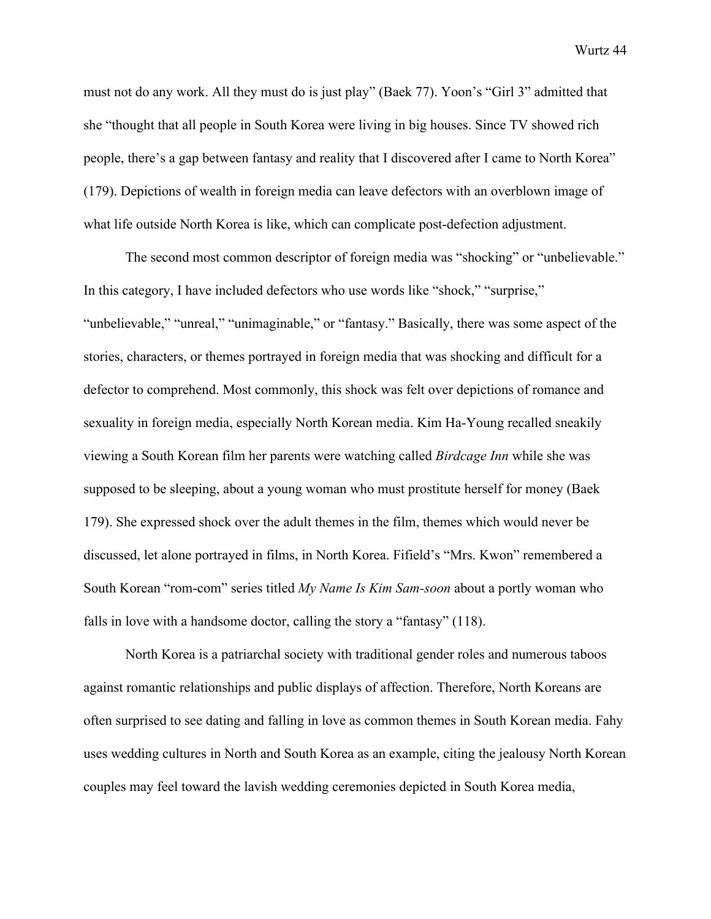must not do any work. All they must do is just play" (Baek 77). Yoon's "Girl 3" admitted that she "thought that all people in South Korea were living in big houses. Since TV showed rich people, there's a gap between fantasy and reality that I discovered after I came to North Korea" (179). Depictions of wealth in foreign media can leave defectors with an overblown image of what life outside North Korea is like, which can complicate post-defection adjustment.

The second most common descriptor of foreign media was "shocking" or "unbelievable." In this category, I have included defectors who use words like "shock," "surprise," "unbelievable," "unreal," "unimaginable," or "fantasy." Basically, there was some aspect of the stories, characters, or themes portrayed in foreign media that was shocking and difficult for a defector to comprehend. Most commonly, this shock was felt over depictions of romance and sexuality in foreign media, especially North Korean media. Kim Ha-Young recalled sneakily viewing a South Korean film her parents were watching called *Birdcage Inn* while she was supposed to be sleeping, about a young woman who must prostitute herself for money (Baek 179). She expressed shock over the adult themes in the film, themes which would never be discussed, let alone portrayed in films, in North Korea. Fifield's "Mrs. Kwon" remembered a South Korean "rom-com" series titled *My Name Is Kim Sam-soon* about a portly woman who falls in love with a handsome doctor, calling the story a "fantasy" (118).

North Korea is a patriarchal society with traditional gender roles and numerous taboos against romantic relationships and public displays of affection. Therefore, North Koreans are often surprised to see dating and falling in love as common themes in South Korean media. Fahy uses wedding cultures in North and South Korea as an example, citing the jealousy North Korean couples may feel toward the lavish wedding ceremonies depicted in South Korea media,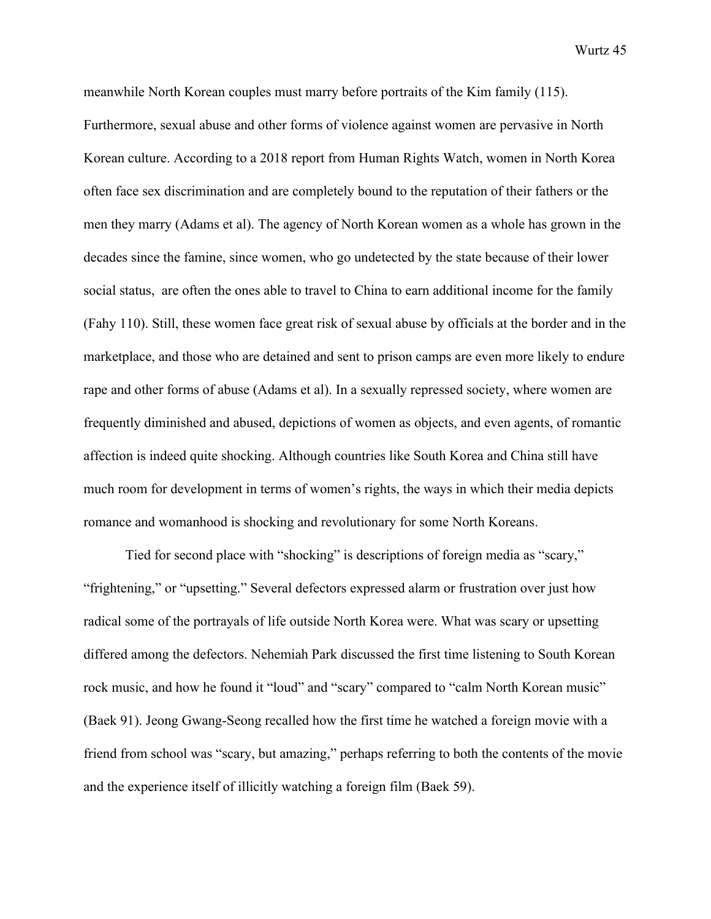meanwhile North Korean couples must marry before portraits of the Kim family (115). Furthermore, sexual abuse and other forms of violence against women are pervasive in North Korean culture. According to a 2018 report from Human Rights Watch, women in North Korea often face sex discrimination and are completely bound to the reputation of their fathers or the men they marry (Adams et al). The agency of North Korean women as a whole has grown in the decades since the famine, since women, who go undetected by the state because of their lower social status, are often the ones able to travel to China to earn additional income for the family (Fahy 110). Still, these women face great risk of sexual abuse by officials at the border and in the marketplace, and those who are detained and sent to prison camps are even more likely to endure rape and other forms of abuse (Adams et al). In a sexually repressed society, where women are frequently diminished and abused, depictions of women as objects, and even agents, of romantic affection is indeed quite shocking. Although countries like South Korea and China still have much room for development in terms of women's rights, the ways in which their media depicts romance and womanhood is shocking and revolutionary for some North Koreans.

Tied for second place with "shocking" is descriptions of foreign media as "scary," "frightening," or "upsetting." Several defectors expressed alarm or frustration over just how radical some of the portrayals of life outside North Korea were. What was scary or upsetting differed among the defectors. Nehemiah Park discussed the first time listening to South Korean rock music, and how he found it "loud" and "scary" compared to "calm North Korean music" (Baek 91). Jeong Gwang-Seong recalled how the first time he watched a foreign movie with a friend from school was "scary, but amazing," perhaps referring to both the contents of the movie and the experience itself of illicitly watching a foreign film (Baek 59).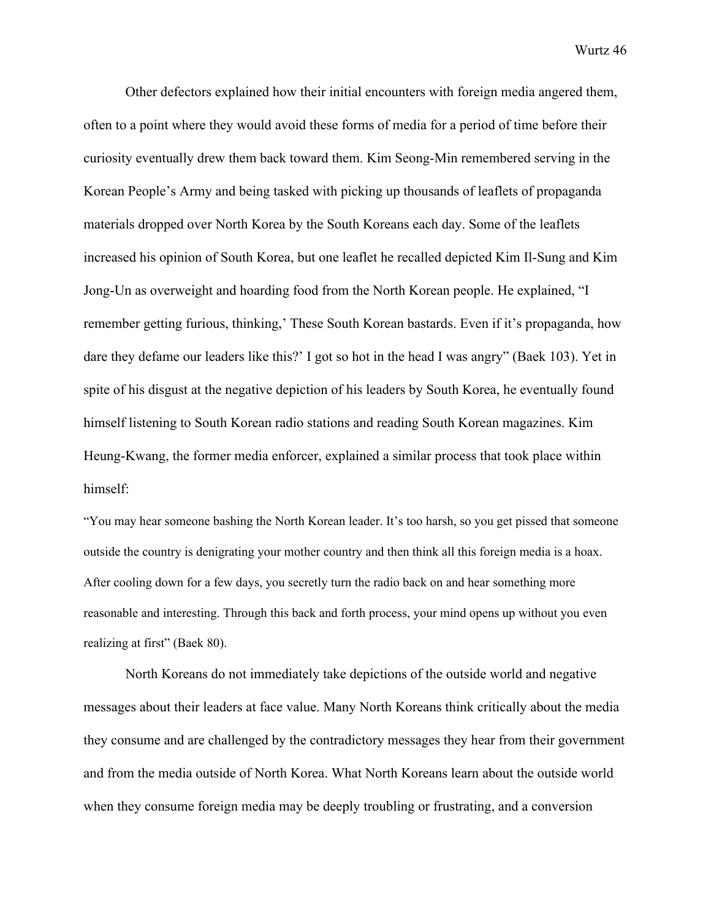Other defectors explained how their initial encounters with foreign media angered them, often to a point where they would avoid these forms of media for a period of time before their curiosity eventually drew them back toward them. Kim Seong-Min remembered serving in the Korean People's Army and being tasked with picking up thousands of leaflets of propaganda materials dropped over North Korea by the South Koreans each day. Some of the leaflets increased his opinion of South Korea, but one leaflet he recalled depicted Kim Il-Sung and Kim Jong-Un as overweight and hoarding food from the North Korean people. He explained, "I remember getting furious, thinking,' These South Korean bastards. Even if it's propaganda, how dare they defame our leaders like this?' I got so hot in the head I was angry" (Baek 103). Yet in spite of his disgust at the negative depiction of his leaders by South Korea, he eventually found himself listening to South Korean radio stations and reading South Korean magazines. Kim Heung-Kwang, the former media enforcer, explained a similar process that took place within himself:

"You may hear someone bashing the North Korean leader. It's too harsh, so you get pissed that someone outside the country is denigrating your mother country and then think all this foreign media is a hoax. After cooling down for a few days, you secretly turn the radio back on and hear something more reasonable and interesting. Through this back and forth process, your mind opens up without you even realizing at first" (Baek 80).

North Koreans do not immediately take depictions of the outside world and negative messages about their leaders at face value. Many North Koreans think critically about the media they consume and are challenged by the contradictory messages they hear from their government and from the media outside of North Korea. What North Koreans learn about the outside world when they consume foreign media may be deeply troubling or frustrating, and a conversion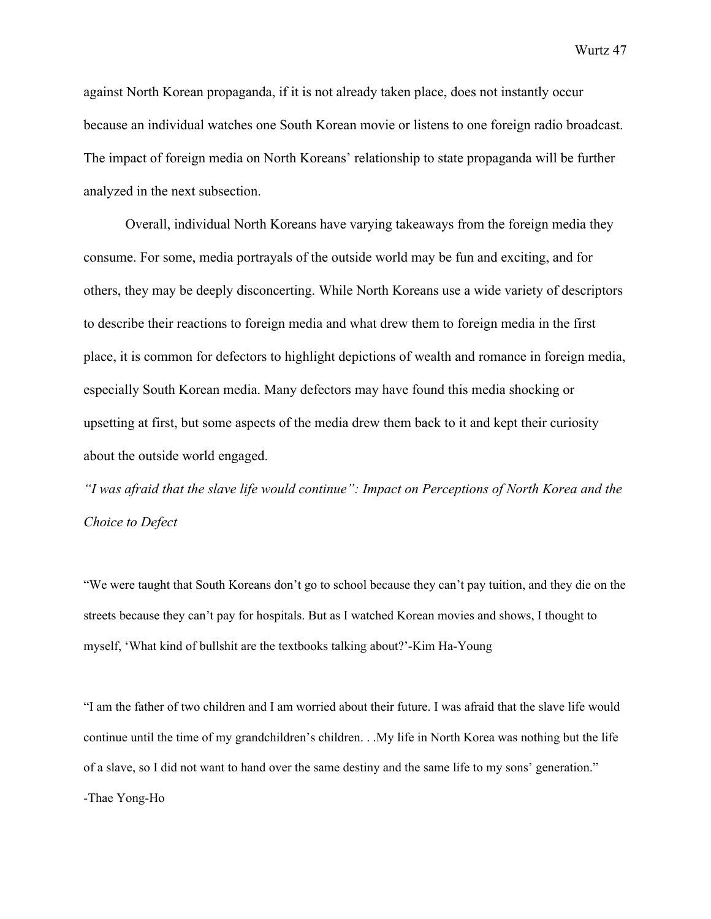against North Korean propaganda, if it is not already taken place, does not instantly occur because an individual watches one South Korean movie or listens to one foreign radio broadcast. The impact of foreign media on North Koreans' relationship to state propaganda will be further analyzed in the next subsection.

Overall, individual North Koreans have varying takeaways from the foreign media they consume. For some, media portrayals of the outside world may be fun and exciting, and for others, they may be deeply disconcerting. While North Koreans use a wide variety of descriptors to describe their reactions to foreign media and what drew them to foreign media in the first place, it is common for defectors to highlight depictions of wealth and romance in foreign media, especially South Korean media. Many defectors may have found this media shocking or upsetting at first, but some aspects of the media drew them back to it and kept their curiosity about the outside world engaged.

*"I was afraid that the slave life would continue": Impact on Perceptions of North Korea and the Choice to Defect*

"We were taught that South Koreans don't go to school because they can't pay tuition, and they die on the streets because they can't pay for hospitals. But as I watched Korean movies and shows, I thought to myself, 'What kind of bullshit are the textbooks talking about?'-Kim Ha-Young

"I am the father of two children and I am worried about their future. I was afraid that the slave life would continue until the time of my grandchildren's children. . .My life in North Korea was nothing but the life of a slave, so I did not want to hand over the same destiny and the same life to my sons' generation." -Thae Yong-Ho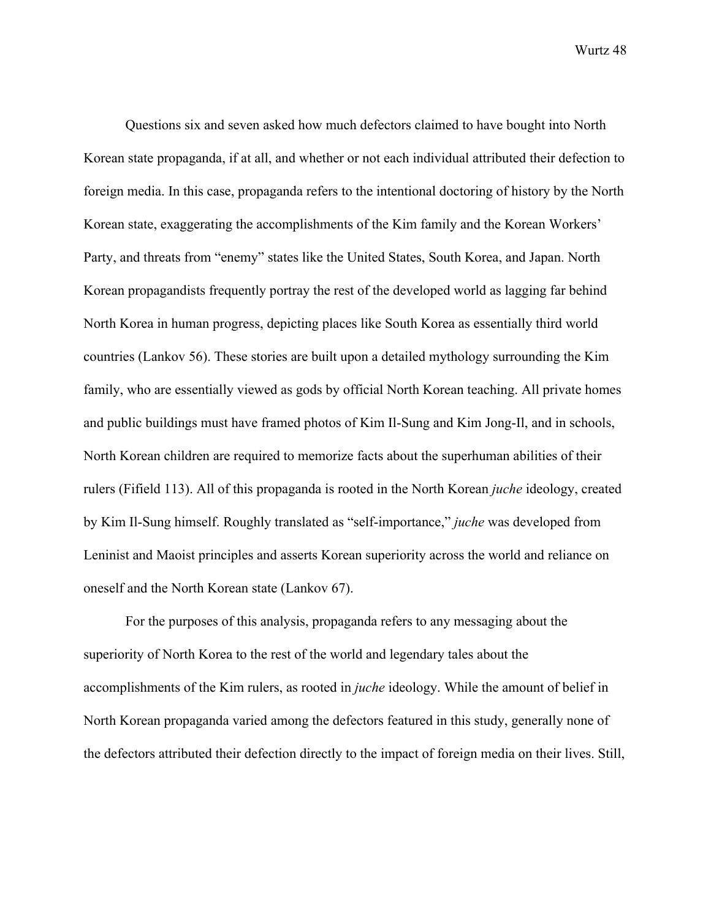Questions six and seven asked how much defectors claimed to have bought into North Korean state propaganda, if at all, and whether or not each individual attributed their defection to foreign media. In this case, propaganda refers to the intentional doctoring of history by the North Korean state, exaggerating the accomplishments of the Kim family and the Korean Workers' Party, and threats from "enemy" states like the United States, South Korea, and Japan. North Korean propagandists frequently portray the rest of the developed world as lagging far behind North Korea in human progress, depicting places like South Korea as essentially third world countries (Lankov 56). These stories are built upon a detailed mythology surrounding the Kim family, who are essentially viewed as gods by official North Korean teaching. All private homes and public buildings must have framed photos of Kim Il-Sung and Kim Jong-Il, and in schools, North Korean children are required to memorize facts about the superhuman abilities of their rulers (Fifield 113). All of this propaganda is rooted in the North Korean *juche* ideology, created by Kim Il-Sung himself. Roughly translated as "self-importance," *juche* was developed from Leninist and Maoist principles and asserts Korean superiority across the world and reliance on oneself and the North Korean state (Lankov 67).

For the purposes of this analysis, propaganda refers to any messaging about the superiority of North Korea to the rest of the world and legendary tales about the accomplishments of the Kim rulers, as rooted in *juche* ideology. While the amount of belief in North Korean propaganda varied among the defectors featured in this study, generally none of the defectors attributed their defection directly to the impact of foreign media on their lives. Still,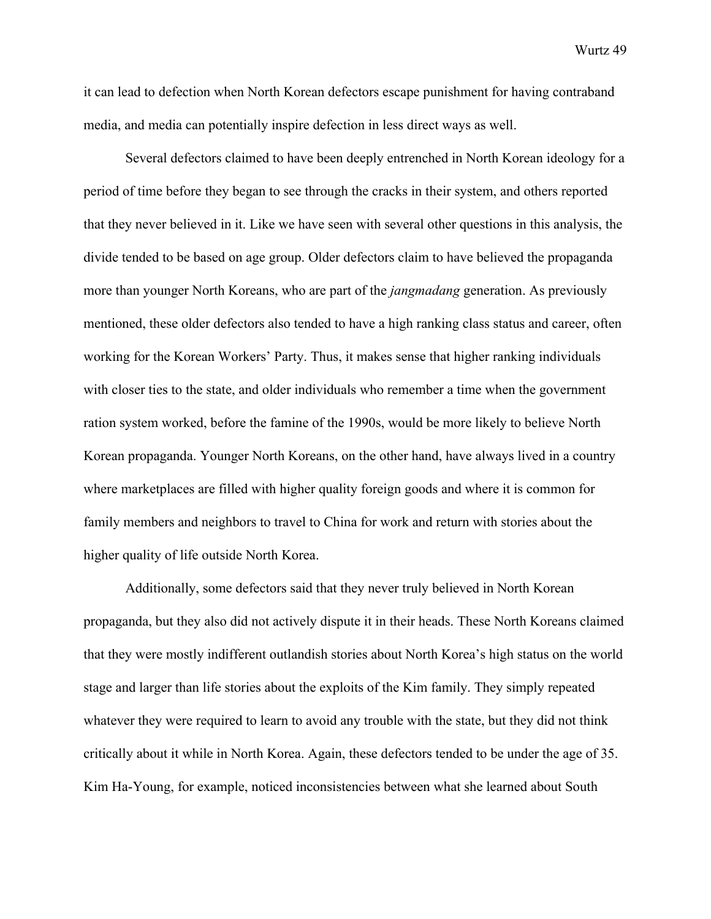it can lead to defection when North Korean defectors escape punishment for having contraband media, and media can potentially inspire defection in less direct ways as well.

Several defectors claimed to have been deeply entrenched in North Korean ideology for a period of time before they began to see through the cracks in their system, and others reported that they never believed in it. Like we have seen with several other questions in this analysis, the divide tended to be based on age group. Older defectors claim to have believed the propaganda more than younger North Koreans, who are part of the *jangmadang* generation. As previously mentioned, these older defectors also tended to have a high ranking class status and career, often working for the Korean Workers' Party. Thus, it makes sense that higher ranking individuals with closer ties to the state, and older individuals who remember a time when the government ration system worked, before the famine of the 1990s, would be more likely to believe North Korean propaganda. Younger North Koreans, on the other hand, have always lived in a country where marketplaces are filled with higher quality foreign goods and where it is common for family members and neighbors to travel to China for work and return with stories about the higher quality of life outside North Korea.

Additionally, some defectors said that they never truly believed in North Korean propaganda, but they also did not actively dispute it in their heads. These North Koreans claimed that they were mostly indifferent outlandish stories about North Korea's high status on the world stage and larger than life stories about the exploits of the Kim family. They simply repeated whatever they were required to learn to avoid any trouble with the state, but they did not think critically about it while in North Korea. Again, these defectors tended to be under the age of 35. Kim Ha-Young, for example, noticed inconsistencies between what she learned about South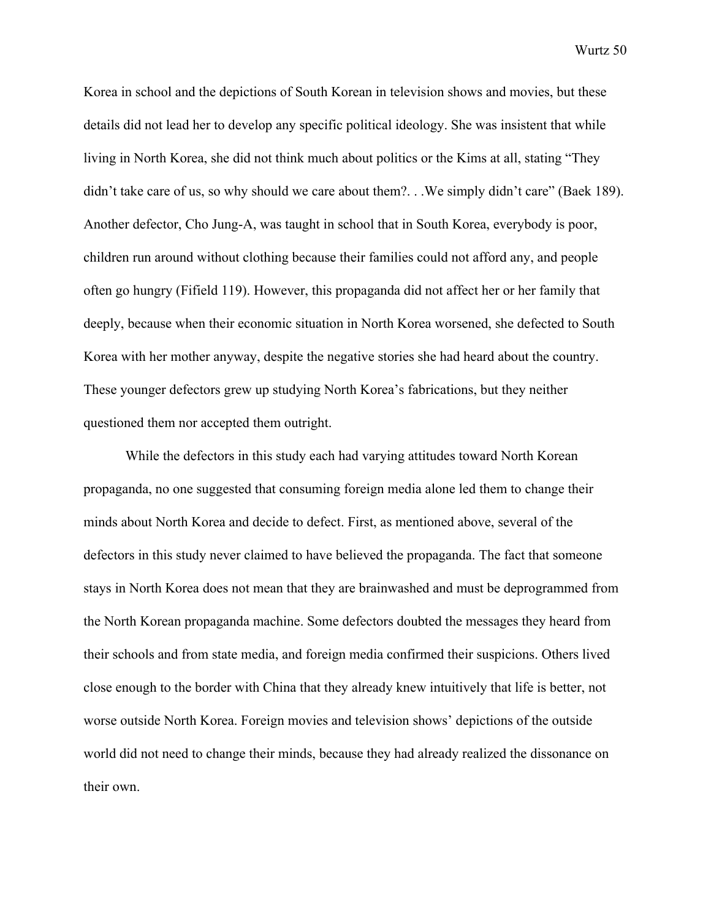Korea in school and the depictions of South Korean in television shows and movies, but these details did not lead her to develop any specific political ideology. She was insistent that while living in North Korea, she did not think much about politics or the Kims at all, stating "They didn't take care of us, so why should we care about them?. . .We simply didn't care" (Baek 189). Another defector, Cho Jung-A, was taught in school that in South Korea, everybody is poor, children run around without clothing because their families could not afford any, and people often go hungry (Fifield 119). However, this propaganda did not affect her or her family that deeply, because when their economic situation in North Korea worsened, she defected to South Korea with her mother anyway, despite the negative stories she had heard about the country. These younger defectors grew up studying North Korea's fabrications, but they neither questioned them nor accepted them outright.

While the defectors in this study each had varying attitudes toward North Korean propaganda, no one suggested that consuming foreign media alone led them to change their minds about North Korea and decide to defect. First, as mentioned above, several of the defectors in this study never claimed to have believed the propaganda. The fact that someone stays in North Korea does not mean that they are brainwashed and must be deprogrammed from the North Korean propaganda machine. Some defectors doubted the messages they heard from their schools and from state media, and foreign media confirmed their suspicions. Others lived close enough to the border with China that they already knew intuitively that life is better, not worse outside North Korea. Foreign movies and television shows' depictions of the outside world did not need to change their minds, because they had already realized the dissonance on their own.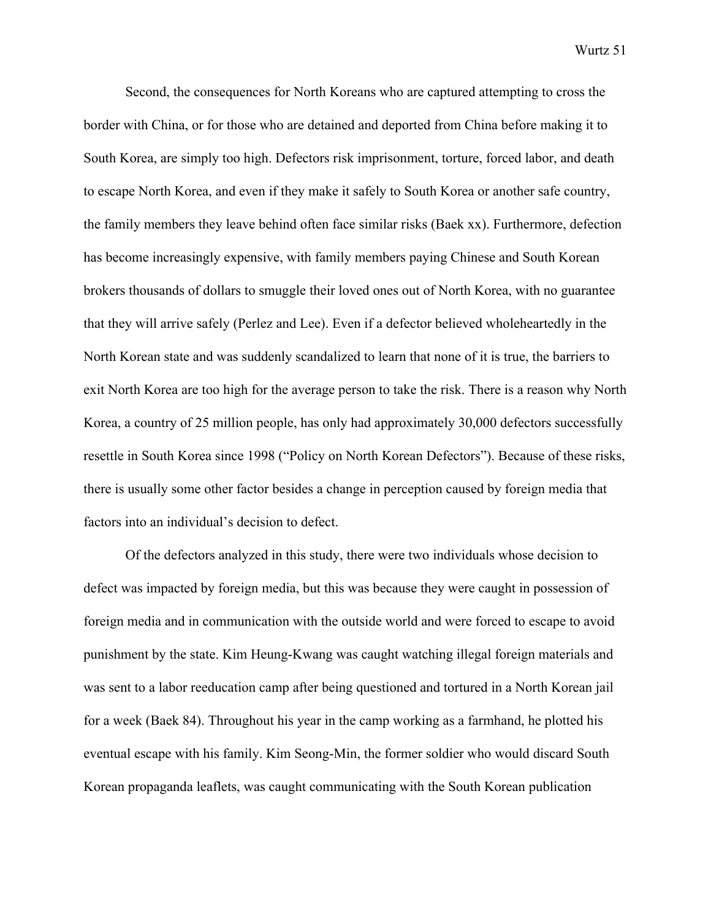Second, the consequences for North Koreans who are captured attempting to cross the border with China, or for those who are detained and deported from China before making it to South Korea, are simply too high. Defectors risk imprisonment, torture, forced labor, and death to escape North Korea, and even if they make it safely to South Korea or another safe country, the family members they leave behind often face similar risks (Baek xx). Furthermore, defection has become increasingly expensive, with family members paying Chinese and South Korean brokers thousands of dollars to smuggle their loved ones out of North Korea, with no guarantee that they will arrive safely (Perlez and Lee). Even if a defector believed wholeheartedly in the North Korean state and was suddenly scandalized to learn that none of it is true, the barriers to exit North Korea are too high for the average person to take the risk. There is a reason why North Korea, a country of 25 million people, has only had approximately 30,000 defectors successfully resettle in South Korea since 1998 ("Policy on North Korean Defectors"). Because of these risks, there is usually some other factor besides a change in perception caused by foreign media that factors into an individual's decision to defect.

Of the defectors analyzed in this study, there were two individuals whose decision to defect was impacted by foreign media, but this was because they were caught in possession of foreign media and in communication with the outside world and were forced to escape to avoid punishment by the state. Kim Heung-Kwang was caught watching illegal foreign materials and was sent to a labor reeducation camp after being questioned and tortured in a North Korean jail for a week (Baek 84). Throughout his year in the camp working as a farmhand, he plotted his eventual escape with his family. Kim Seong-Min, the former soldier who would discard South Korean propaganda leaflets, was caught communicating with the South Korean publication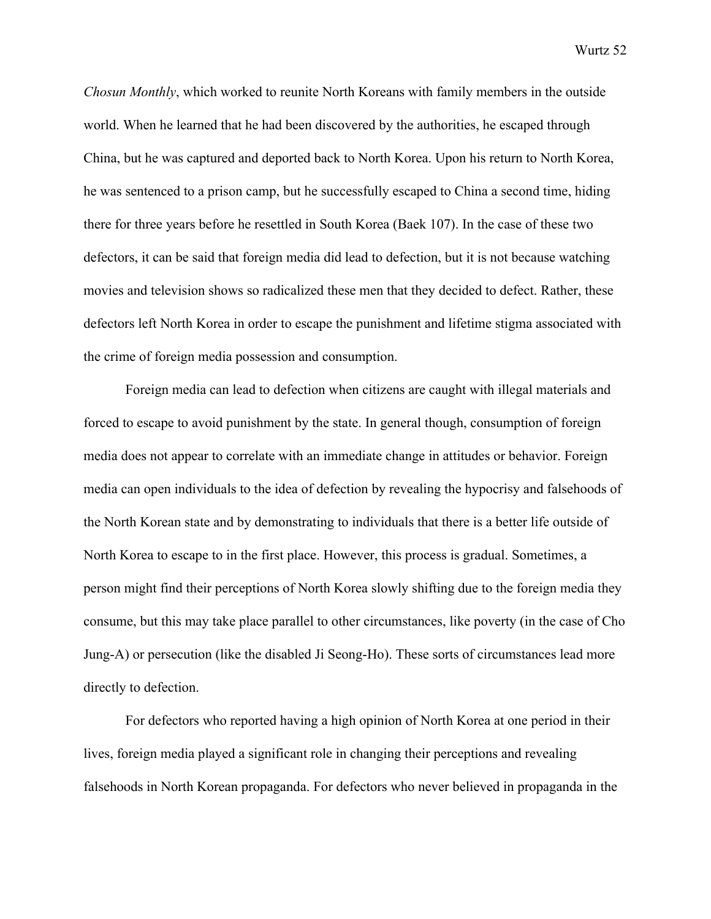*Chosun Monthly*, which worked to reunite North Koreans with family members in the outside world. When he learned that he had been discovered by the authorities, he escaped through China, but he was captured and deported back to North Korea. Upon his return to North Korea, he was sentenced to a prison camp, but he successfully escaped to China a second time, hiding there for three years before he resettled in South Korea (Baek 107). In the case of these two defectors, it can be said that foreign media did lead to defection, but it is not because watching movies and television shows so radicalized these men that they decided to defect. Rather, these defectors left North Korea in order to escape the punishment and lifetime stigma associated with the crime of foreign media possession and consumption.

Foreign media can lead to defection when citizens are caught with illegal materials and forced to escape to avoid punishment by the state. In general though, consumption of foreign media does not appear to correlate with an immediate change in attitudes or behavior. Foreign media can open individuals to the idea of defection by revealing the hypocrisy and falsehoods of the North Korean state and by demonstrating to individuals that there is a better life outside of North Korea to escape to in the first place. However, this process is gradual. Sometimes, a person might find their perceptions of North Korea slowly shifting due to the foreign media they consume, but this may take place parallel to other circumstances, like poverty (in the case of Cho Jung-A) or persecution (like the disabled Ji Seong-Ho). These sorts of circumstances lead more directly to defection.

For defectors who reported having a high opinion of North Korea at one period in their lives, foreign media played a significant role in changing their perceptions and revealing falsehoods in North Korean propaganda. For defectors who never believed in propaganda in the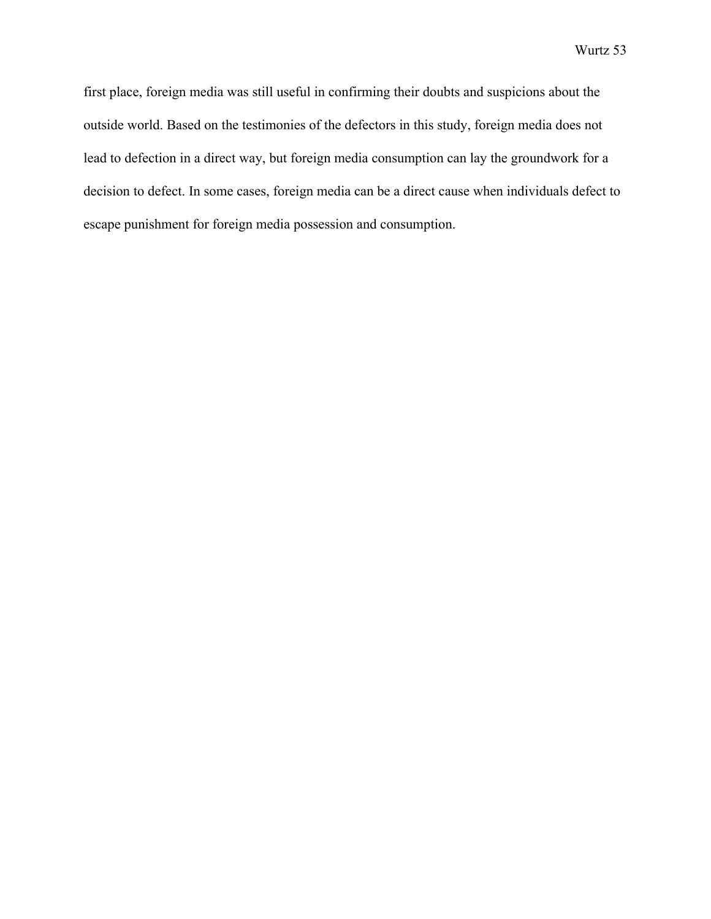first place, foreign media was still useful in confirming their doubts and suspicions about the outside world. Based on the testimonies of the defectors in this study, foreign media does not lead to defection in a direct way, but foreign media consumption can lay the groundwork for a decision to defect. In some cases, foreign media can be a direct cause when individuals defect to escape punishment for foreign media possession and consumption.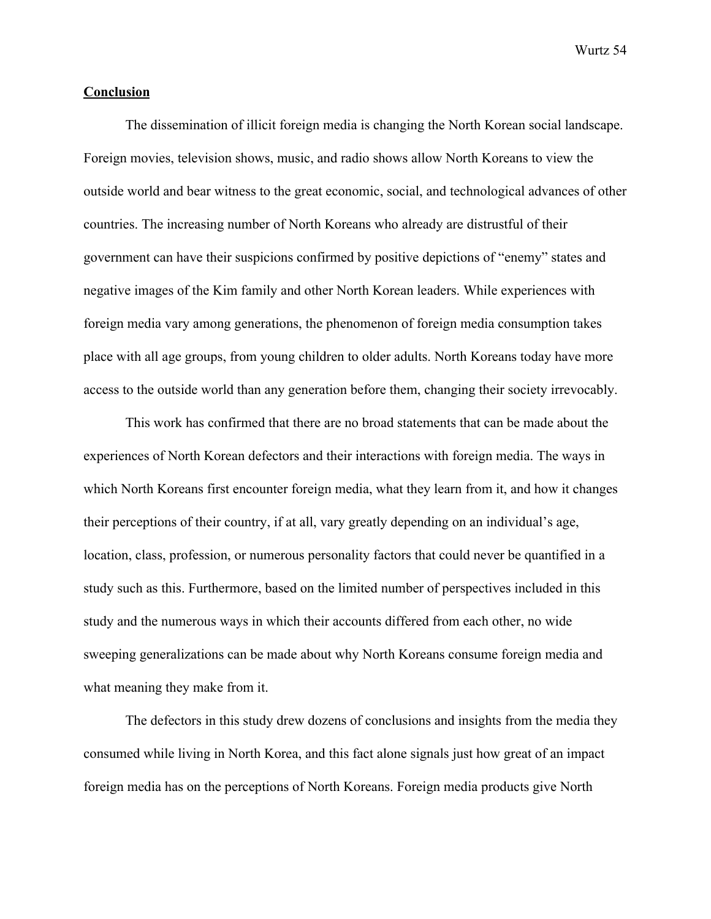#### **Conclusion**

The dissemination of illicit foreign media is changing the North Korean social landscape. Foreign movies, television shows, music, and radio shows allow North Koreans to view the outside world and bear witness to the great economic, social, and technological advances of other countries. The increasing number of North Koreans who already are distrustful of their government can have their suspicions confirmed by positive depictions of "enemy" states and negative images of the Kim family and other North Korean leaders. While experiences with foreign media vary among generations, the phenomenon of foreign media consumption takes place with all age groups, from young children to older adults. North Koreans today have more access to the outside world than any generation before them, changing their society irrevocably.

This work has confirmed that there are no broad statements that can be made about the experiences of North Korean defectors and their interactions with foreign media. The ways in which North Koreans first encounter foreign media, what they learn from it, and how it changes their perceptions of their country, if at all, vary greatly depending on an individual's age, location, class, profession, or numerous personality factors that could never be quantified in a study such as this. Furthermore, based on the limited number of perspectives included in this study and the numerous ways in which their accounts differed from each other, no wide sweeping generalizations can be made about why North Koreans consume foreign media and what meaning they make from it.

The defectors in this study drew dozens of conclusions and insights from the media they consumed while living in North Korea, and this fact alone signals just how great of an impact foreign media has on the perceptions of North Koreans. Foreign media products give North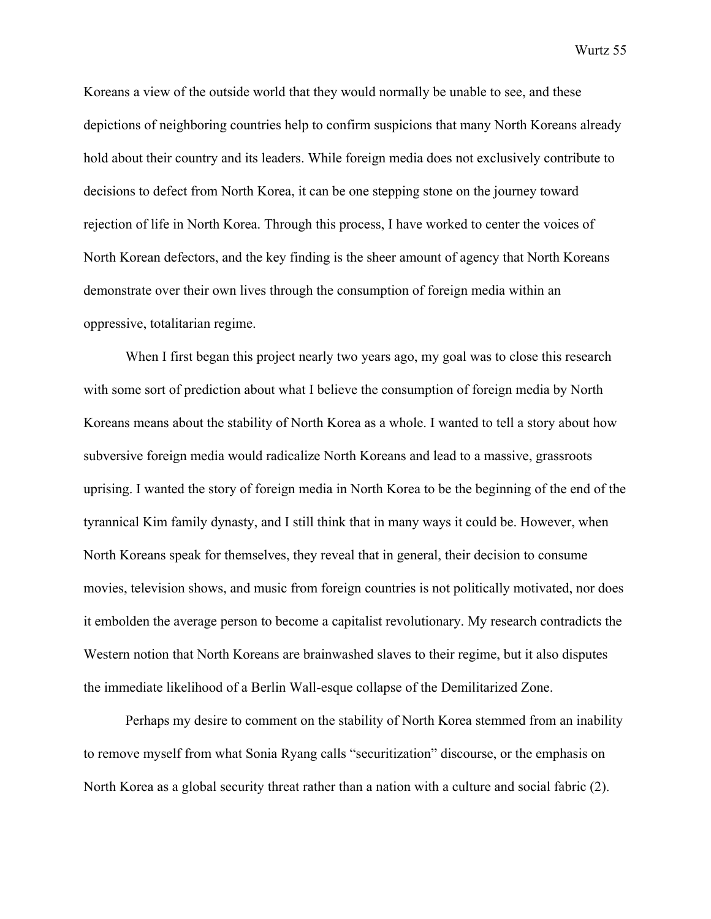Koreans a view of the outside world that they would normally be unable to see, and these depictions of neighboring countries help to confirm suspicions that many North Koreans already hold about their country and its leaders. While foreign media does not exclusively contribute to decisions to defect from North Korea, it can be one stepping stone on the journey toward rejection of life in North Korea. Through this process, I have worked to center the voices of North Korean defectors, and the key finding is the sheer amount of agency that North Koreans demonstrate over their own lives through the consumption of foreign media within an oppressive, totalitarian regime.

When I first began this project nearly two years ago, my goal was to close this research with some sort of prediction about what I believe the consumption of foreign media by North Koreans means about the stability of North Korea as a whole. I wanted to tell a story about how subversive foreign media would radicalize North Koreans and lead to a massive, grassroots uprising. I wanted the story of foreign media in North Korea to be the beginning of the end of the tyrannical Kim family dynasty, and I still think that in many ways it could be. However, when North Koreans speak for themselves, they reveal that in general, their decision to consume movies, television shows, and music from foreign countries is not politically motivated, nor does it embolden the average person to become a capitalist revolutionary. My research contradicts the Western notion that North Koreans are brainwashed slaves to their regime, but it also disputes the immediate likelihood of a Berlin Wall-esque collapse of the Demilitarized Zone.

Perhaps my desire to comment on the stability of North Korea stemmed from an inability to remove myself from what Sonia Ryang calls "securitization" discourse, or the emphasis on North Korea as a global security threat rather than a nation with a culture and social fabric (2).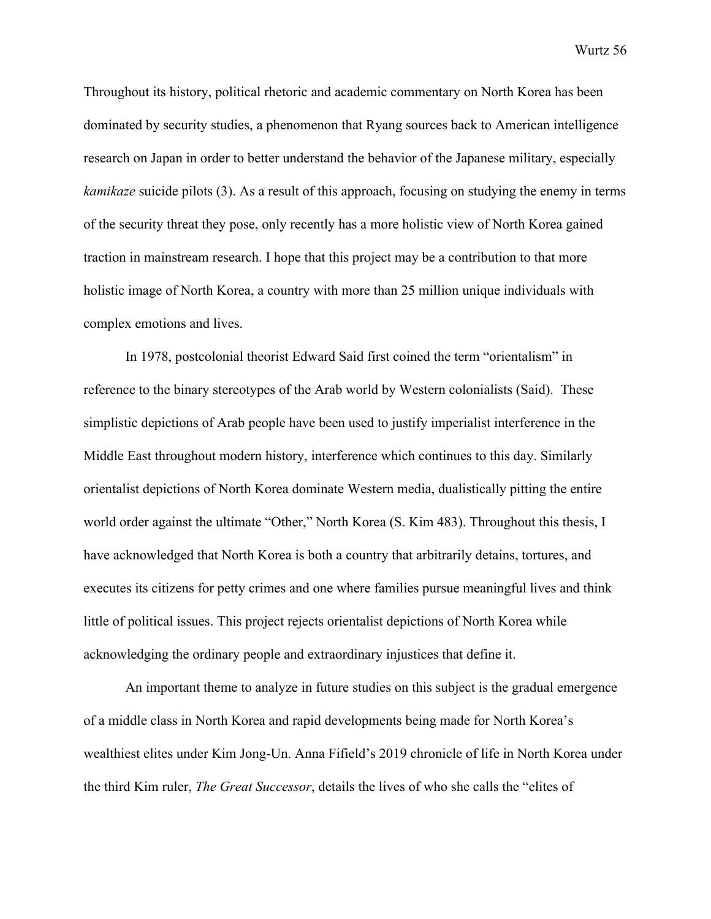Throughout its history, political rhetoric and academic commentary on North Korea has been dominated by security studies, a phenomenon that Ryang sources back to American intelligence research on Japan in order to better understand the behavior of the Japanese military, especially *kamikaze* suicide pilots (3). As a result of this approach, focusing on studying the enemy in terms of the security threat they pose, only recently has a more holistic view of North Korea gained traction in mainstream research. I hope that this project may be a contribution to that more holistic image of North Korea, a country with more than 25 million unique individuals with complex emotions and lives.

In 1978, postcolonial theorist Edward Said first coined the term "orientalism" in reference to the binary stereotypes of the Arab world by Western colonialists (Said). These simplistic depictions of Arab people have been used to justify imperialist interference in the Middle East throughout modern history, interference which continues to this day. Similarly orientalist depictions of North Korea dominate Western media, dualistically pitting the entire world order against the ultimate "Other," North Korea (S. Kim 483). Throughout this thesis, I have acknowledged that North Korea is both a country that arbitrarily detains, tortures, and executes its citizens for petty crimes and one where families pursue meaningful lives and think little of political issues. This project rejects orientalist depictions of North Korea while acknowledging the ordinary people and extraordinary injustices that define it.

An important theme to analyze in future studies on this subject is the gradual emergence of a middle class in North Korea and rapid developments being made for North Korea's wealthiest elites under Kim Jong-Un. Anna Fifield's 2019 chronicle of life in North Korea under the third Kim ruler, *The Great Successor*, details the lives of who she calls the "elites of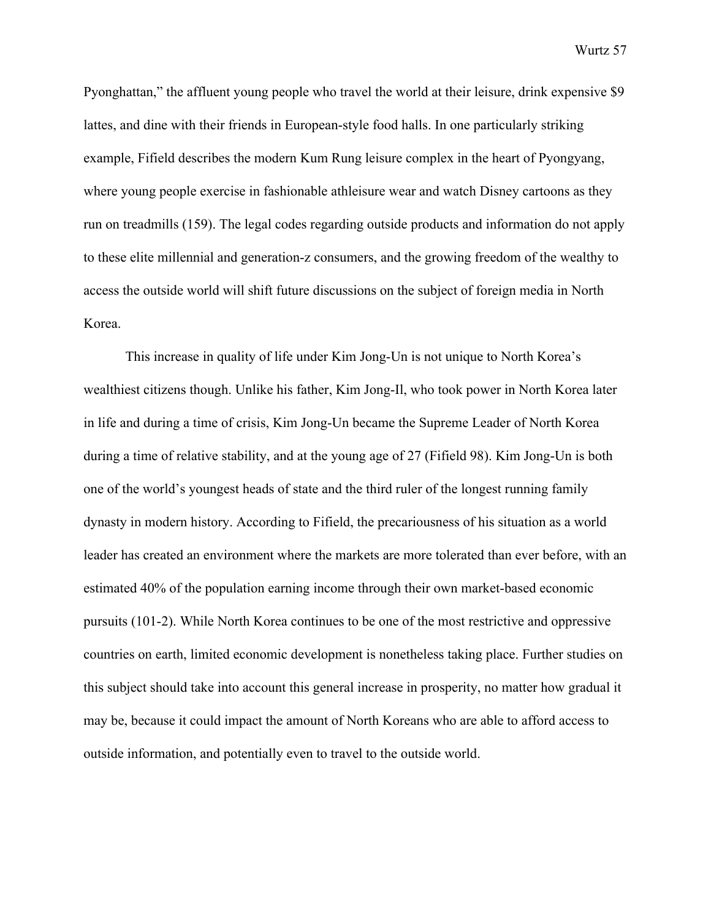Pyonghattan," the affluent young people who travel the world at their leisure, drink expensive \$9 lattes, and dine with their friends in European-style food halls. In one particularly striking example, Fifield describes the modern Kum Rung leisure complex in the heart of Pyongyang, where young people exercise in fashionable athleisure wear and watch Disney cartoons as they run on treadmills (159). The legal codes regarding outside products and information do not apply to these elite millennial and generation-z consumers, and the growing freedom of the wealthy to access the outside world will shift future discussions on the subject of foreign media in North Korea.

This increase in quality of life under Kim Jong-Un is not unique to North Korea's wealthiest citizens though. Unlike his father, Kim Jong-Il, who took power in North Korea later in life and during a time of crisis, Kim Jong-Un became the Supreme Leader of North Korea during a time of relative stability, and at the young age of 27 (Fifield 98). Kim Jong-Un is both one of the world's youngest heads of state and the third ruler of the longest running family dynasty in modern history. According to Fifield, the precariousness of his situation as a world leader has created an environment where the markets are more tolerated than ever before, with an estimated 40% of the population earning income through their own market-based economic pursuits (101-2). While North Korea continues to be one of the most restrictive and oppressive countries on earth, limited economic development is nonetheless taking place. Further studies on this subject should take into account this general increase in prosperity, no matter how gradual it may be, because it could impact the amount of North Koreans who are able to afford access to outside information, and potentially even to travel to the outside world.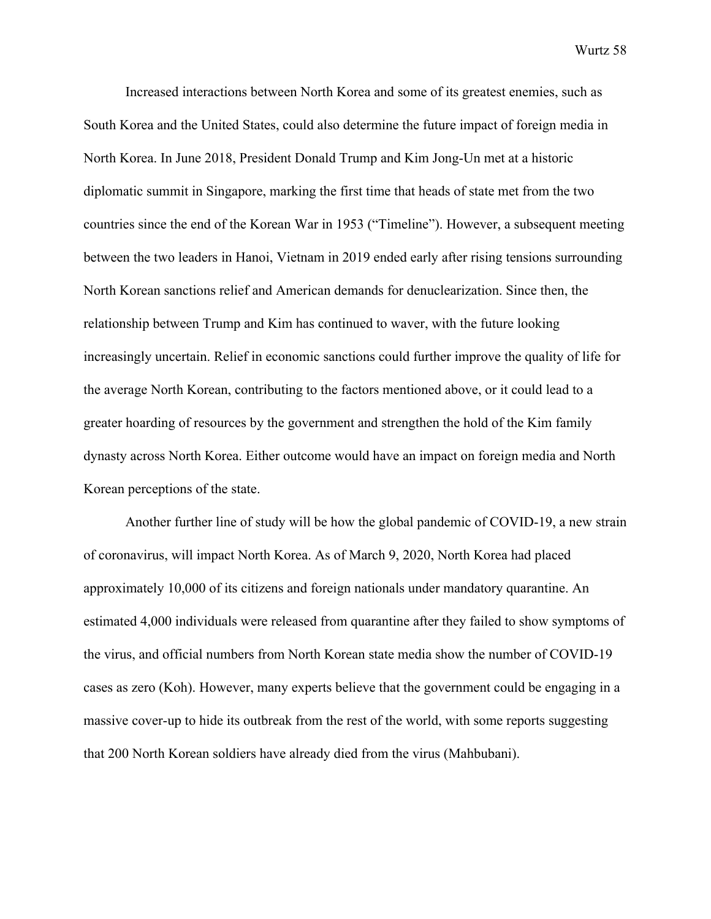Increased interactions between North Korea and some of its greatest enemies, such as South Korea and the United States, could also determine the future impact of foreign media in North Korea. In June 2018, President Donald Trump and Kim Jong-Un met at a historic diplomatic summit in Singapore, marking the first time that heads of state met from the two countries since the end of the Korean War in 1953 ("Timeline"). However, a subsequent meeting between the two leaders in Hanoi, Vietnam in 2019 ended early after rising tensions surrounding North Korean sanctions relief and American demands for denuclearization. Since then, the relationship between Trump and Kim has continued to waver, with the future looking increasingly uncertain. Relief in economic sanctions could further improve the quality of life for the average North Korean, contributing to the factors mentioned above, or it could lead to a greater hoarding of resources by the government and strengthen the hold of the Kim family dynasty across North Korea. Either outcome would have an impact on foreign media and North Korean perceptions of the state.

Another further line of study will be how the global pandemic of COVID-19, a new strain of coronavirus, will impact North Korea. As of March 9, 2020, North Korea had placed approximately 10,000 of its citizens and foreign nationals under mandatory quarantine. An estimated 4,000 individuals were released from quarantine after they failed to show symptoms of the virus, and official numbers from North Korean state media show the number of COVID-19 cases as zero (Koh). However, many experts believe that the government could be engaging in a massive cover-up to hide its outbreak from the rest of the world, with some reports suggesting that 200 North Korean soldiers have already died from the virus (Mahbubani).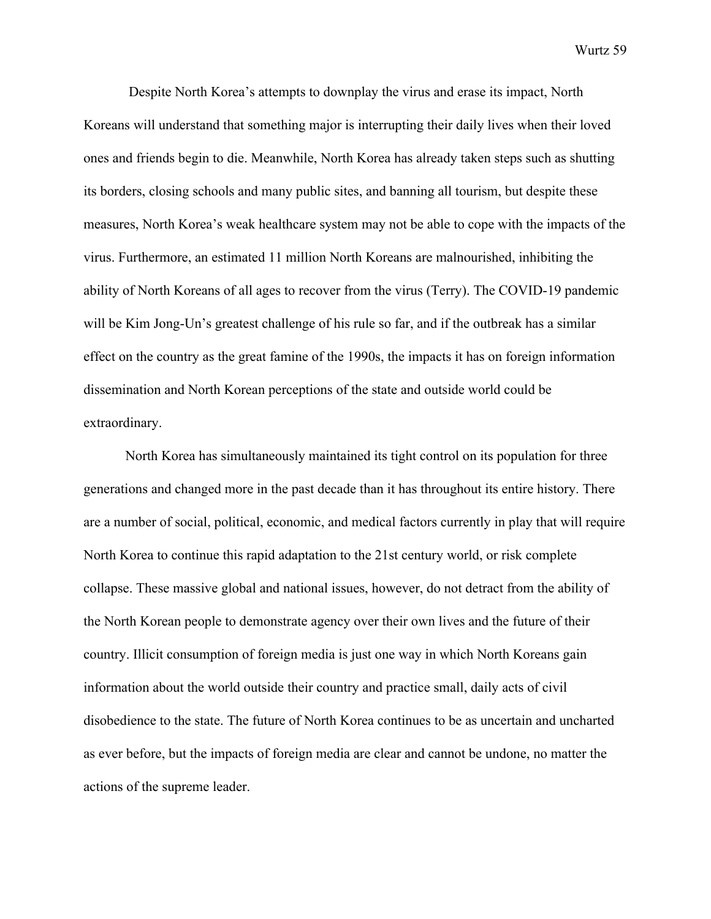Despite North Korea's attempts to downplay the virus and erase its impact, North Koreans will understand that something major is interrupting their daily lives when their loved ones and friends begin to die. Meanwhile, North Korea has already taken steps such as shutting its borders, closing schools and many public sites, and banning all tourism, but despite these measures, North Korea's weak healthcare system may not be able to cope with the impacts of the virus. Furthermore, an estimated 11 million North Koreans are malnourished, inhibiting the ability of North Koreans of all ages to recover from the virus (Terry). The COVID-19 pandemic will be Kim Jong-Un's greatest challenge of his rule so far, and if the outbreak has a similar effect on the country as the great famine of the 1990s, the impacts it has on foreign information dissemination and North Korean perceptions of the state and outside world could be extraordinary.

North Korea has simultaneously maintained its tight control on its population for three generations and changed more in the past decade than it has throughout its entire history. There are a number of social, political, economic, and medical factors currently in play that will require North Korea to continue this rapid adaptation to the 21st century world, or risk complete collapse. These massive global and national issues, however, do not detract from the ability of the North Korean people to demonstrate agency over their own lives and the future of their country. Illicit consumption of foreign media is just one way in which North Koreans gain information about the world outside their country and practice small, daily acts of civil disobedience to the state. The future of North Korea continues to be as uncertain and uncharted as ever before, but the impacts of foreign media are clear and cannot be undone, no matter the actions of the supreme leader.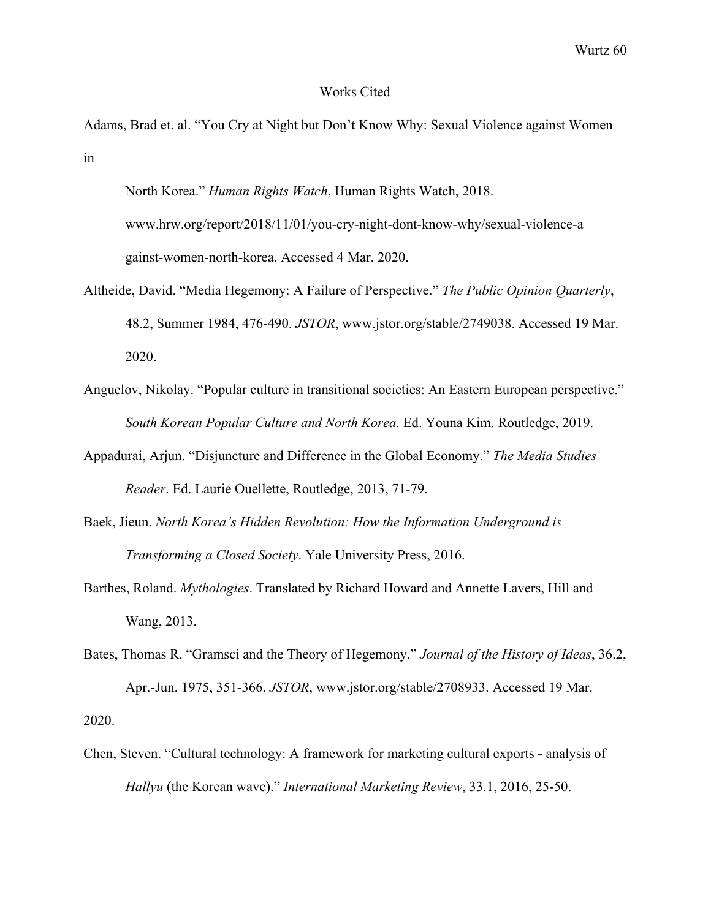#### Works Cited

Adams, Brad et. al. "You Cry at Night but Don't Know Why: Sexual Violence against Women in

North Korea." *Human Rights Watch*, Human Rights Watch, 2018. www.hrw.org/report/2018/11/01/you-cry-night-dont-know-why/sexual-violence-a gainst-women-north-korea. Accessed 4 Mar. 2020.

- Altheide, David. "Media Hegemony: A Failure of Perspective." *The Public Opinion Quarterly*, 48.2, Summer 1984, 476-490. *JSTOR*, www.jstor.org/stable/2749038. Accessed 19 Mar. 2020.
- Anguelov, Nikolay. "Popular culture in transitional societies: An Eastern European perspective." *South Korean Popular Culture and North Korea*. Ed. Youna Kim. Routledge, 2019.
- Appadurai, Arjun. "Disjuncture and Difference in the Global Economy." *The Media Studies Reader*. Ed. Laurie Ouellette, Routledge, 2013, 71-79.
- Baek, Jieun. *North Korea's Hidden Revolution: How the Information Underground is Transforming a Closed Society*. Yale University Press, 2016.
- Barthes, Roland. *Mythologies*. Translated by Richard Howard and Annette Lavers, Hill and Wang, 2013.
- Bates, Thomas R. "Gramsci and the Theory of Hegemony." *Journal of the History of Ideas*, 36.2, Apr.-Jun. 1975, 351-366. *JSTOR*, www.jstor.org/stable/2708933. Accessed 19 Mar. 2020.
- Chen, Steven. "Cultural technology: A framework for marketing cultural exports analysis of *Hallyu* (the Korean wave)." *International Marketing Review*, 33.1, 2016, 25-50.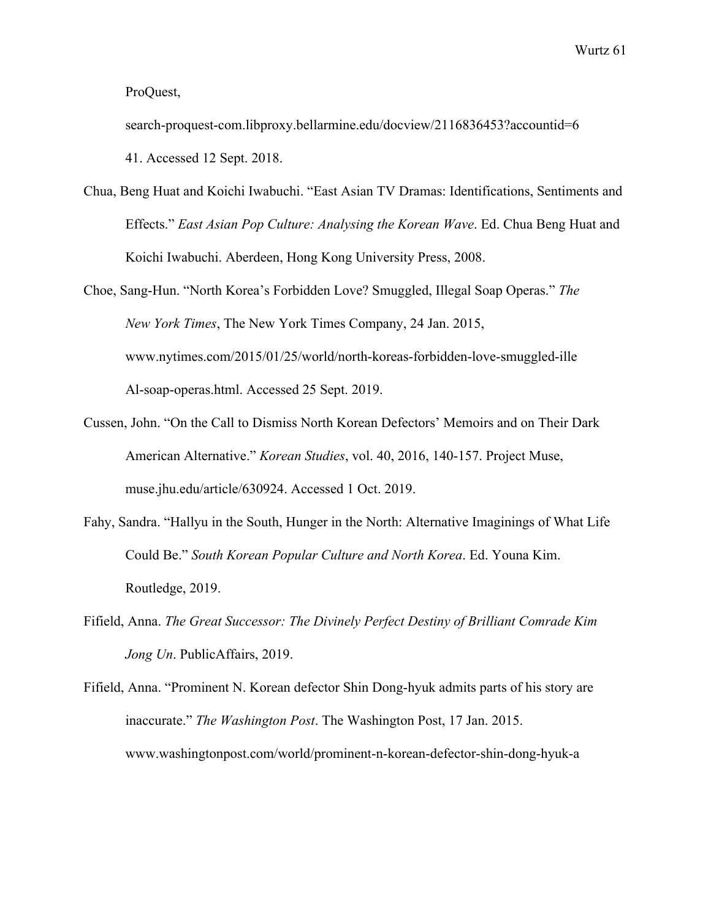ProQuest,

search-proquest-com.libproxy.bellarmine.edu/docview/2116836453?accountid=6 41. Accessed 12 Sept. 2018.

- Chua, Beng Huat and Koichi Iwabuchi. "East Asian TV Dramas: Identifications, Sentiments and Effects." *East Asian Pop Culture: Analysing the Korean Wave*. Ed. Chua Beng Huat and Koichi Iwabuchi. Aberdeen, Hong Kong University Press, 2008.
- Choe, Sang-Hun. "North Korea's Forbidden Love? Smuggled, Illegal Soap Operas." *The New York Times*, The New York Times Company, 24 Jan. 2015, www.nytimes.com/2015/01/25/world/north-koreas-forbidden-love-smuggled-ille Al-soap-operas.html. Accessed 25 Sept. 2019.
- Cussen, John. "On the Call to Dismiss North Korean Defectors' Memoirs and on Their Dark American Alternative." *Korean Studies*, vol. 40, 2016, 140-157. Project Muse, muse.jhu.edu/article/630924. Accessed 1 Oct. 2019.
- Fahy, Sandra. "Hallyu in the South, Hunger in the North: Alternative Imaginings of What Life Could Be." *South Korean Popular Culture and North Korea*. Ed. Youna Kim. Routledge, 2019.
- Fifield, Anna. *The Great Successor: The Divinely Perfect Destiny of Brilliant Comrade Kim Jong Un*. PublicAffairs, 2019.
- Fifield, Anna. "Prominent N. Korean defector Shin Dong-hyuk admits parts of his story are inaccurate." *The Washington Post*. The Washington Post, 17 Jan. 2015. www.washingtonpost.com/world/prominent-n-korean-defector-shin-dong-hyuk-a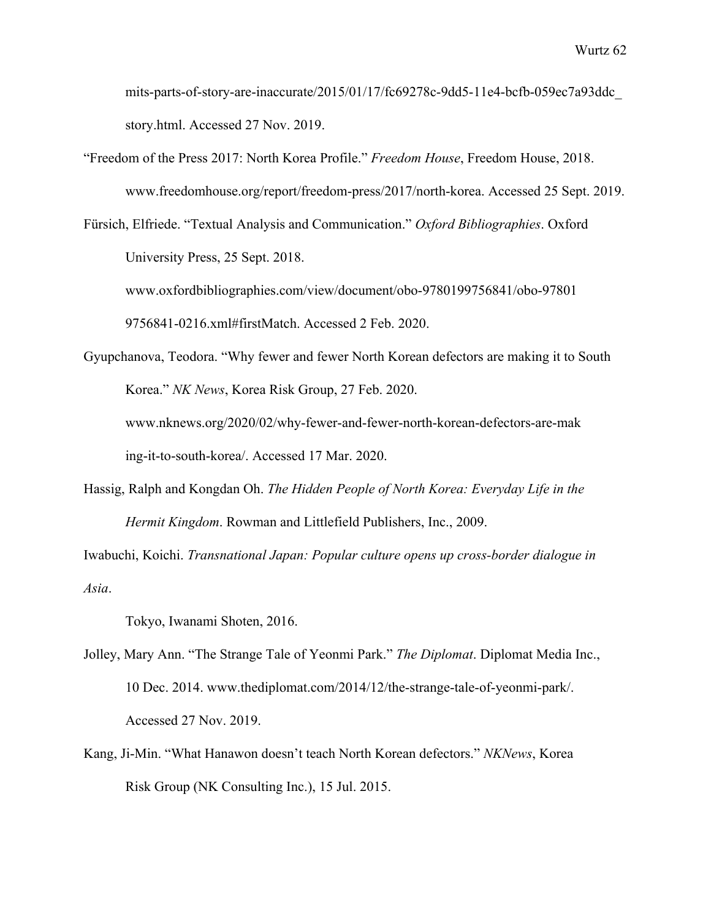mits-parts-of-story-are-inaccurate/2015/01/17/fc69278c-9dd5-11e4-bcfb-059ec7a93ddc\_ story.html. Accessed 27 Nov. 2019.

"Freedom of the Press 2017: North Korea Profile." *Freedom House*, Freedom House, 2018. www.freedomhouse.org/report/freedom-press/2017/north-korea. Accessed 25 Sept. 2019.

Fürsich, Elfriede. "Textual Analysis and Communication." *Oxford Bibliographies*. Oxford University Press, 25 Sept. 2018.

www.oxfordbibliographies.com/view/document/obo-9780199756841/obo-97801 9756841-0216.xml#firstMatch. Accessed 2 Feb. 2020.

Gyupchanova, Teodora. "Why fewer and fewer North Korean defectors are making it to South Korea." *NK News*, Korea Risk Group, 27 Feb. 2020. www.nknews.org/2020/02/why-fewer-and-fewer-north-korean-defectors-are-mak

ing-it-to-south-korea/. Accessed 17 Mar. 2020.

Hassig, Ralph and Kongdan Oh. *The Hidden People of North Korea: Everyday Life in the Hermit Kingdom*. Rowman and Littlefield Publishers, Inc., 2009.

Iwabuchi, Koichi. *Transnational Japan: Popular culture opens up cross-border dialogue in Asia*.

Tokyo, Iwanami Shoten, 2016.

- Jolley, Mary Ann. "The Strange Tale of Yeonmi Park." *The Diplomat*. Diplomat Media Inc., 10 Dec. 2014. www.thediplomat.com/2014/12/the-strange-tale-of-yeonmi-park/. Accessed 27 Nov. 2019.
- Kang, Ji-Min. "What Hanawon doesn't teach North Korean defectors." *NKNews*, Korea Risk Group (NK Consulting Inc.), 15 Jul. 2015.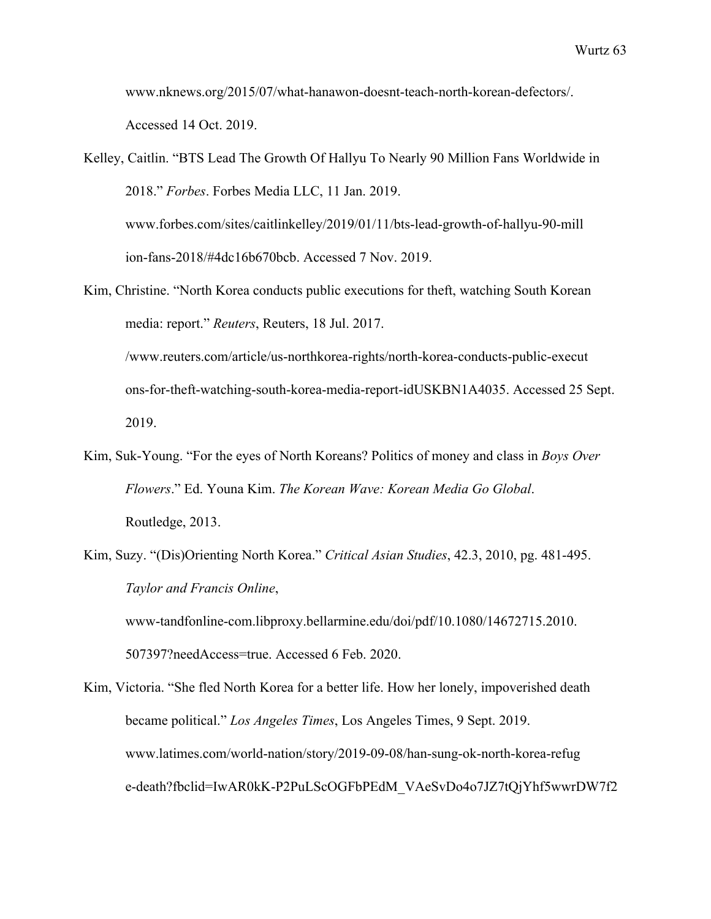www.nknews.org/2015/07/what-hanawon-doesnt-teach-north-korean-defectors/. Accessed 14 Oct. 2019.

Kelley, Caitlin. "BTS Lead The Growth Of Hallyu To Nearly 90 Million Fans Worldwide in 2018." *Forbes*. Forbes Media LLC, 11 Jan. 2019. www.forbes.com/sites/caitlinkelley/2019/01/11/bts-lead-growth-of-hallyu-90-mill ion-fans-2018/#4dc16b670bcb. Accessed 7 Nov. 2019.

- Kim, Christine. "North Korea conducts public executions for theft, watching South Korean media: report." *Reuters*, Reuters, 18 Jul. 2017. /www.reuters.com/article/us-northkorea-rights/north-korea-conducts-public-execut ons-for-theft-watching-south-korea-media-report-idUSKBN1A4035. Accessed 25 Sept. 2019.
- Kim, Suk-Young. "For the eyes of North Koreans? Politics of money and class in *Boys Over Flowers*." Ed. Youna Kim. *The Korean Wave: Korean Media Go Global*. Routledge, 2013.
- Kim, Suzy. "(Dis)Orienting North Korea." *Critical Asian Studies*, 42.3, 2010, pg. 481-495. *Taylor and Francis Online*, www-tandfonline-com.libproxy.bellarmine.edu/doi/pdf/10.1080/14672715.2010. 507397?needAccess=true. Accessed 6 Feb. 2020.
- Kim, Victoria. "She fled North Korea for a better life. How her lonely, impoverished death became political." *Los Angeles Times*, Los Angeles Times, 9 Sept. 2019. www.latimes.com/world-nation/story/2019-09-08/han-sung-ok-north-korea-refug e-death?fbclid=IwAR0kK-P2PuLScOGFbPEdM\_VAeSvDo4o7JZ7tQjYhf5wwrDW7f2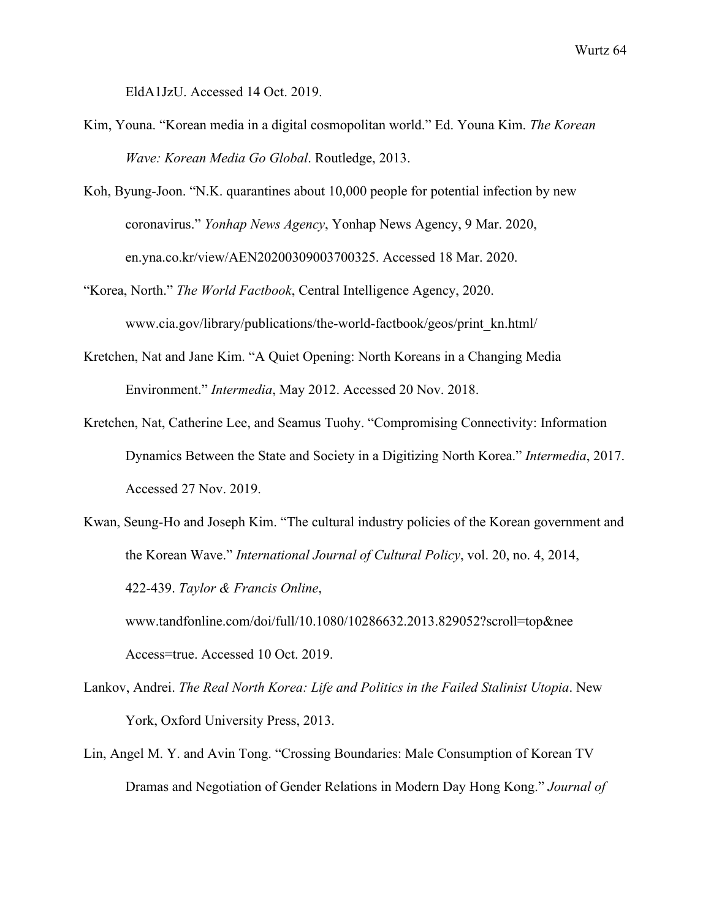EldA1JzU. Accessed 14 Oct. 2019.

- Kim, Youna. "Korean media in a digital cosmopolitan world." Ed. Youna Kim. *The Korean Wave: Korean Media Go Global*. Routledge, 2013.
- Koh, Byung-Joon. "N.K. quarantines about 10,000 people for potential infection by new coronavirus." *Yonhap News Agency*, Yonhap News Agency, 9 Mar. 2020, en.yna.co.kr/view/AEN20200309003700325. Accessed 18 Mar. 2020.
- "Korea, North." *The World Factbook*, Central Intelligence Agency, 2020. www.cia.gov/library/publications/the-world-factbook/geos/print\_kn.html/
- Kretchen, Nat and Jane Kim. "A Quiet Opening: North Koreans in a Changing Media Environment." *Intermedia*, May 2012. Accessed 20 Nov. 2018.
- Kretchen, Nat, Catherine Lee, and Seamus Tuohy. "Compromising Connectivity: Information Dynamics Between the State and Society in a Digitizing North Korea." *Intermedia*, 2017. Accessed 27 Nov. 2019.
- Kwan, Seung-Ho and Joseph Kim. "The cultural industry policies of the Korean government and the Korean Wave." *International Journal of Cultural Policy*, vol. 20, no. 4, 2014, 422-439. *Taylor & Francis Online*, www.tandfonline.com/doi/full/10.1080/10286632.2013.829052?scroll=top&nee Access=true. Accessed 10 Oct. 2019.
- Lankov, Andrei. *The Real North Korea: Life and Politics in the Failed Stalinist Utopia*. New York, Oxford University Press, 2013.
- Lin, Angel M. Y. and Avin Tong. "Crossing Boundaries: Male Consumption of Korean TV Dramas and Negotiation of Gender Relations in Modern Day Hong Kong." *Journal of*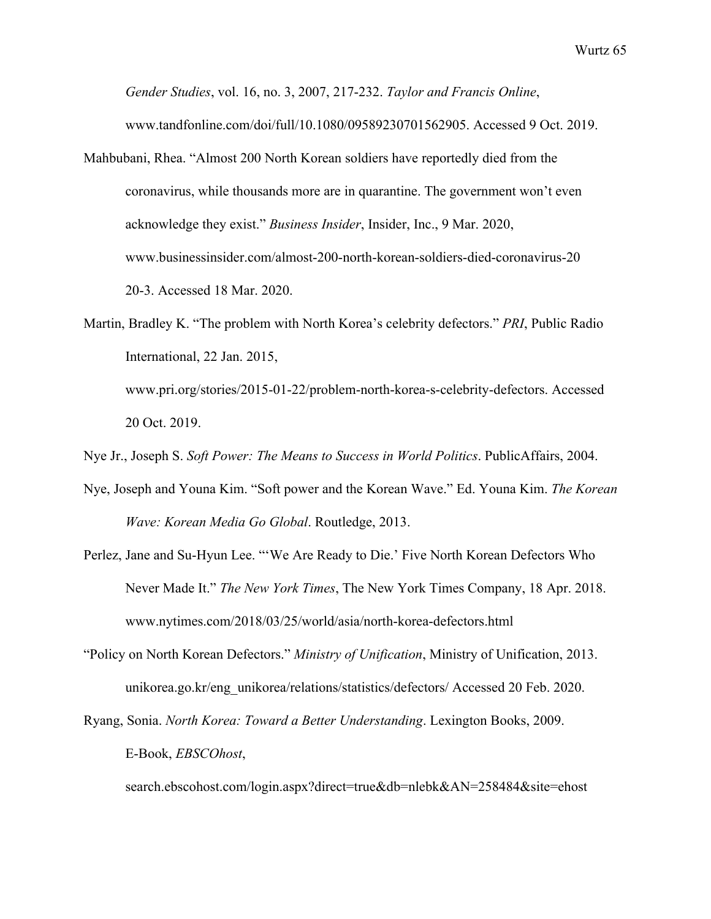*Gender Studies*, vol. 16, no. 3, 2007, 217-232. *Taylor and Francis Online*, www.tandfonline.com/doi/full/10.1080/09589230701562905. Accessed 9 Oct. 2019.

- Mahbubani, Rhea. "Almost 200 North Korean soldiers have reportedly died from the coronavirus, while thousands more are in quarantine. The government won't even acknowledge they exist." *Business Insider*, Insider, Inc., 9 Mar. 2020, www.businessinsider.com/almost-200-north-korean-soldiers-died-coronavirus-20 20-3. Accessed 18 Mar. 2020.
- Martin, Bradley K. "The problem with North Korea's celebrity defectors." *PRI*, Public Radio International, 22 Jan. 2015, www.pri.org/stories/2015-01-22/problem-north-korea-s-celebrity-defectors. Accessed 20 Oct. 2019.
- Nye Jr., Joseph S. *Soft Power: The Means to Success in World Politics*. PublicAffairs, 2004.
- Nye, Joseph and Youna Kim. "Soft power and the Korean Wave." Ed. Youna Kim. *The Korean Wave: Korean Media Go Global*. Routledge, 2013.
- Perlez, Jane and Su-Hyun Lee. "'We Are Ready to Die.' Five North Korean Defectors Who Never Made It." *The New York Times*, The New York Times Company, 18 Apr. 2018. www.nytimes.com/2018/03/25/world/asia/north-korea-defectors.html
- "Policy on North Korean Defectors." *Ministry of Unification*, Ministry of Unification, 2013. unikorea.go.kr/eng\_unikorea/relations/statistics/defectors/ Accessed 20 Feb. 2020.
- Ryang, Sonia. *North Korea: Toward a Better Understanding*. Lexington Books, 2009. E-Book, *EBSCOhost*,

search.ebscohost.com/login.aspx?direct=true&db=nlebk&AN=258484&site=ehost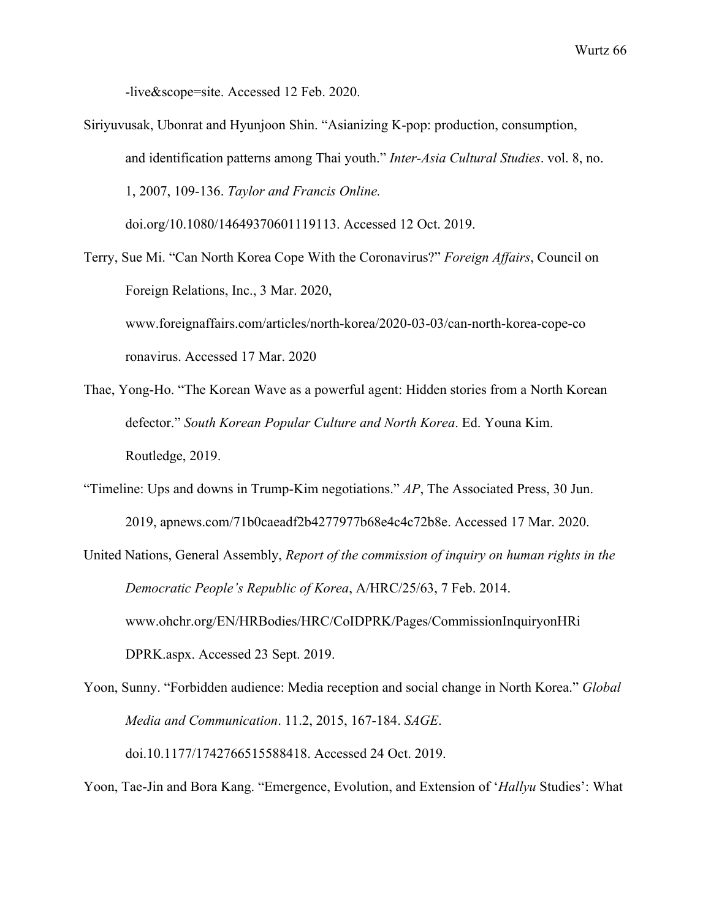-live&scope=site. Accessed 12 Feb. 2020.

Siriyuvusak, Ubonrat and Hyunjoon Shin. "Asianizing K-pop: production, consumption, and identification patterns among Thai youth." *Inter-Asia Cultural Studies*. vol. 8, no. 1, 2007, 109-136. *Taylor and Francis Online.* doi.org/10.1080/14649370601119113. Accessed 12 Oct. 2019.

Terry, Sue Mi. "Can North Korea Cope With the Coronavirus?" *Foreign Affairs*, Council on Foreign Relations, Inc., 3 Mar. 2020, www.foreignaffairs.com/articles/north-korea/2020-03-03/can-north-korea-cope-co ronavirus. Accessed 17 Mar. 2020

- Thae, Yong-Ho. "The Korean Wave as a powerful agent: Hidden stories from a North Korean defector." *South Korean Popular Culture and North Korea*. Ed. Youna Kim. Routledge, 2019.
- "Timeline: Ups and downs in Trump-Kim negotiations." *AP*, The Associated Press, 30 Jun. 2019, apnews.com/71b0caeadf2b4277977b68e4c4c72b8e. Accessed 17 Mar. 2020.
- United Nations, General Assembly, *Report of the commission of inquiry on human rights in the Democratic People's Republic of Korea*, A/HRC/25/63, 7 Feb. 2014. www.ohchr.org/EN/HRBodies/HRC/CoIDPRK/Pages/CommissionInquiryonHRi DPRK.aspx. Accessed 23 Sept. 2019.
- Yoon, Sunny. "Forbidden audience: Media reception and social change in North Korea." *Global Media and Communication*. 11.2, 2015, 167-184. *SAGE*. doi.10.1177/1742766515588418. Accessed 24 Oct. 2019.

Yoon, Tae-Jin and Bora Kang. "Emergence, Evolution, and Extension of '*Hallyu* Studies': What